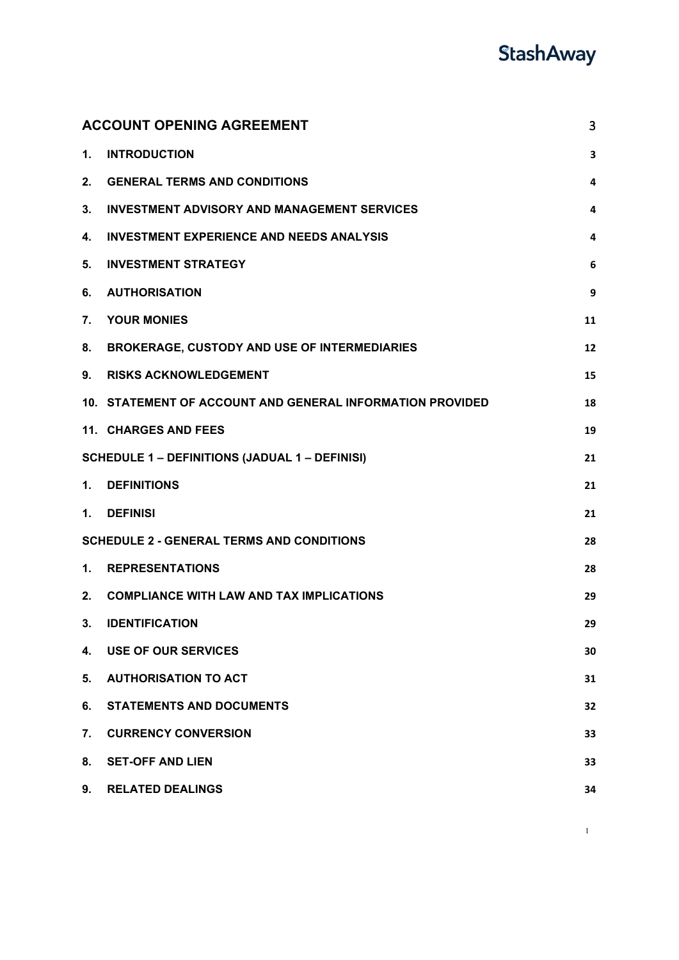|    | <b>ACCOUNT OPENING AGREEMENT</b><br>3                     |    |  |
|----|-----------------------------------------------------------|----|--|
| 1. | <b>INTRODUCTION</b>                                       | 3  |  |
| 2. | <b>GENERAL TERMS AND CONDITIONS</b>                       | 4  |  |
| 3. | <b>INVESTMENT ADVISORY AND MANAGEMENT SERVICES</b>        | 4  |  |
| 4. | <b>INVESTMENT EXPERIENCE AND NEEDS ANALYSIS</b>           | 4  |  |
| 5. | <b>INVESTMENT STRATEGY</b>                                | 6  |  |
| 6. | <b>AUTHORISATION</b>                                      | 9  |  |
| 7. | <b>YOUR MONIES</b>                                        | 11 |  |
| 8. | <b>BROKERAGE, CUSTODY AND USE OF INTERMEDIARIES</b>       | 12 |  |
| 9. | <b>RISKS ACKNOWLEDGEMENT</b>                              | 15 |  |
|    | 10. STATEMENT OF ACCOUNT AND GENERAL INFORMATION PROVIDED | 18 |  |
|    | 11. CHARGES AND FEES                                      | 19 |  |
|    | <b>SCHEDULE 1 - DEFINITIONS (JADUAL 1 - DEFINISI)</b>     | 21 |  |
| 1. | <b>DEFINITIONS</b>                                        | 21 |  |
| 1. | <b>DEFINISI</b>                                           | 21 |  |
|    | <b>SCHEDULE 2 - GENERAL TERMS AND CONDITIONS</b>          | 28 |  |
| 1. | <b>REPRESENTATIONS</b>                                    | 28 |  |
| 2. | <b>COMPLIANCE WITH LAW AND TAX IMPLICATIONS</b>           | 29 |  |
| 3. | <b>IDENTIFICATION</b>                                     | 29 |  |
| 4. | <b>USE OF OUR SERVICES</b>                                | 30 |  |
| 5. | <b>AUTHORISATION TO ACT</b>                               | 31 |  |
| 6. | <b>STATEMENTS AND DOCUMENTS</b>                           | 32 |  |
| 7. | <b>CURRENCY CONVERSION</b>                                | 33 |  |
| 8. | <b>SET-OFF AND LIEN</b>                                   | 33 |  |
| 9. | <b>RELATED DEALINGS</b>                                   | 34 |  |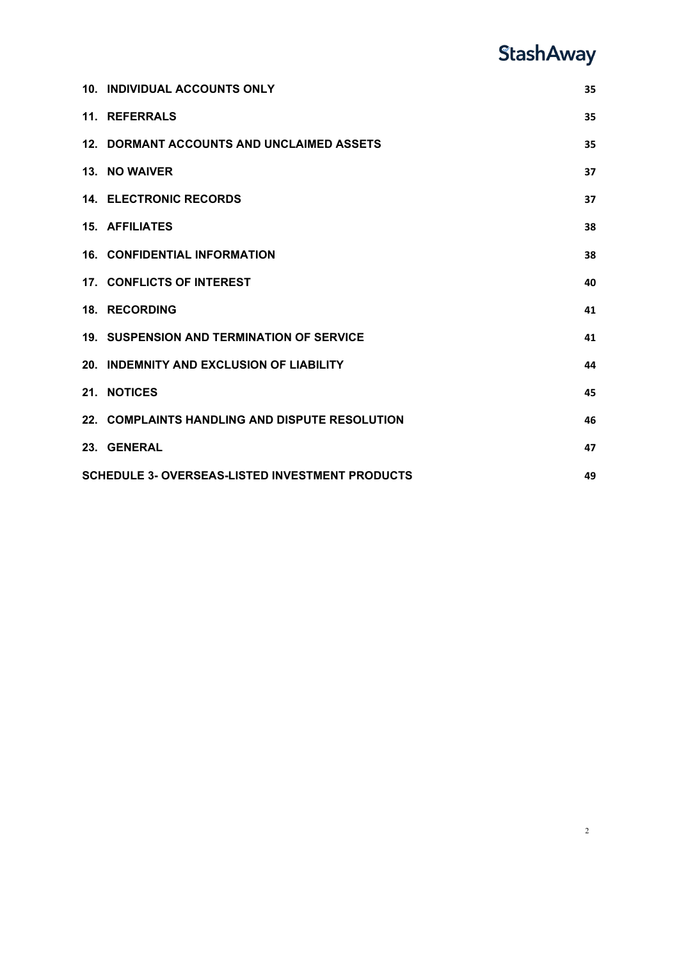| <b>10. INDIVIDUAL ACCOUNTS ONLY</b>                          | 35 |  |  |
|--------------------------------------------------------------|----|--|--|
| 11. REFERRALS                                                | 35 |  |  |
|                                                              |    |  |  |
| 12. DORMANT ACCOUNTS AND UNCLAIMED ASSETS                    | 35 |  |  |
| 13. NO WAIVER                                                | 37 |  |  |
| <b>14. ELECTRONIC RECORDS</b>                                | 37 |  |  |
| <b>15. AFFILIATES</b>                                        | 38 |  |  |
| <b>16. CONFIDENTIAL INFORMATION</b>                          | 38 |  |  |
| <b>17. CONFLICTS OF INTEREST</b>                             | 40 |  |  |
| <b>18. RECORDING</b>                                         | 41 |  |  |
| <b>19. SUSPENSION AND TERMINATION OF SERVICE</b>             | 41 |  |  |
| 20. INDEMNITY AND EXCLUSION OF LIABILITY                     | 44 |  |  |
| 21. NOTICES                                                  | 45 |  |  |
| 22. COMPLAINTS HANDLING AND DISPUTE RESOLUTION               | 46 |  |  |
| 23. GENERAL                                                  | 47 |  |  |
| <b>SCHEDULE 3- OVERSEAS-LISTED INVESTMENT PRODUCTS</b><br>49 |    |  |  |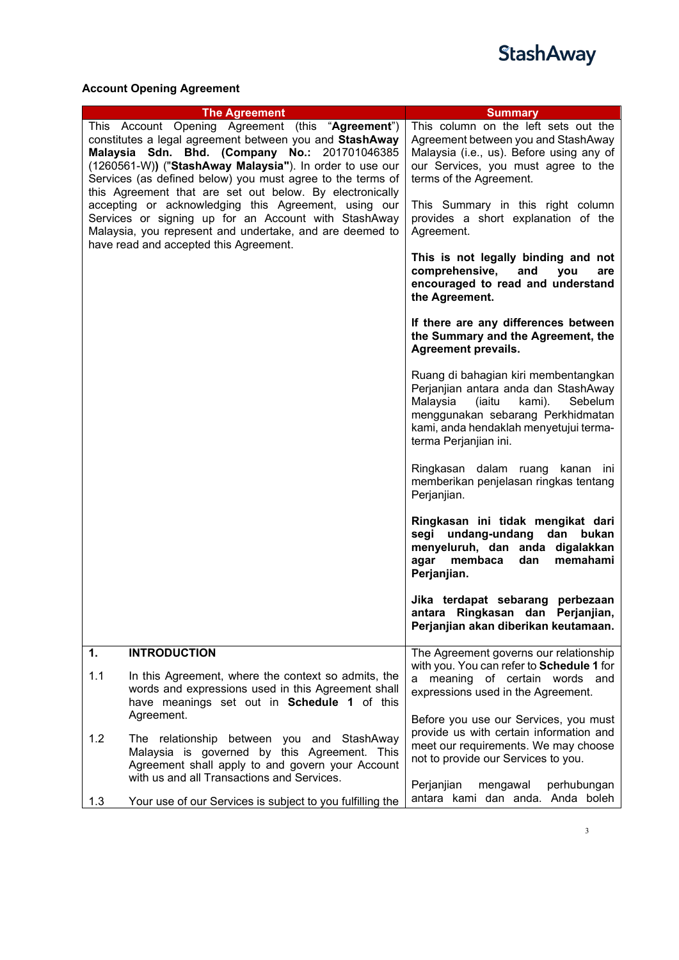

### <span id="page-2-0"></span>**Account Opening Agreement**

<span id="page-2-1"></span>

|     | <b>The Agreement</b>                                                                                                                                                                                                                                                                                                                                | <b>Summary</b>                                                                                                                                                                                                                  |
|-----|-----------------------------------------------------------------------------------------------------------------------------------------------------------------------------------------------------------------------------------------------------------------------------------------------------------------------------------------------------|---------------------------------------------------------------------------------------------------------------------------------------------------------------------------------------------------------------------------------|
|     | This Account Opening Agreement (this "Agreement")<br>constitutes a legal agreement between you and StashAway<br>Malaysia Sdn. Bhd. (Company No.: 201701046385<br>(1260561-W)) ("StashAway Malaysia"). In order to use our<br>Services (as defined below) you must agree to the terms of<br>this Agreement that are set out below. By electronically | This column on the left sets out the<br>Agreement between you and StashAway<br>Malaysia (i.e., us). Before using any of<br>our Services, you must agree to the<br>terms of the Agreement.                                       |
|     | accepting or acknowledging this Agreement, using our<br>Services or signing up for an Account with StashAway<br>Malaysia, you represent and undertake, and are deemed to<br>have read and accepted this Agreement.                                                                                                                                  | This Summary in this right column<br>provides a short explanation of the<br>Agreement.                                                                                                                                          |
|     |                                                                                                                                                                                                                                                                                                                                                     | This is not legally binding and not<br>comprehensive,<br>and<br>you<br>are<br>encouraged to read and understand<br>the Agreement.                                                                                               |
|     |                                                                                                                                                                                                                                                                                                                                                     | If there are any differences between<br>the Summary and the Agreement, the<br><b>Agreement prevails.</b>                                                                                                                        |
|     |                                                                                                                                                                                                                                                                                                                                                     | Ruang di bahagian kiri membentangkan<br>Perjanjian antara anda dan StashAway<br>Malaysia<br>(iaitu<br>kami).<br>Sebelum<br>menggunakan sebarang Perkhidmatan<br>kami, anda hendaklah menyetujui terma-<br>terma Perjanjian ini. |
|     |                                                                                                                                                                                                                                                                                                                                                     | Ringkasan dalam ruang kanan ini<br>memberikan penjelasan ringkas tentang<br>Perjanjian.                                                                                                                                         |
|     |                                                                                                                                                                                                                                                                                                                                                     | Ringkasan ini tidak mengikat dari<br>segi undang-undang dan bukan<br>menyeluruh, dan anda digalakkan<br>agar<br>membaca<br>dan<br>memahami<br>Perjanjian.                                                                       |
|     |                                                                                                                                                                                                                                                                                                                                                     | Jika terdapat sebarang perbezaan<br>antara Ringkasan dan Perjanjian,<br>Perjanjian akan diberikan keutamaan.                                                                                                                    |
| 1.  | <b>INTRODUCTION</b>                                                                                                                                                                                                                                                                                                                                 | The Agreement governs our relationship                                                                                                                                                                                          |
| 1.1 | In this Agreement, where the context so admits, the<br>words and expressions used in this Agreement shall<br>have meanings set out in Schedule 1 of this                                                                                                                                                                                            | with you. You can refer to Schedule 1 for<br>meaning of certain words and<br>a<br>expressions used in the Agreement.                                                                                                            |
|     | Agreement.                                                                                                                                                                                                                                                                                                                                          | Before you use our Services, you must                                                                                                                                                                                           |
| 1.2 | The relationship between you and StashAway<br>Malaysia is governed by this Agreement. This<br>Agreement shall apply to and govern your Account<br>with us and all Transactions and Services.                                                                                                                                                        | provide us with certain information and<br>meet our requirements. We may choose<br>not to provide our Services to you.                                                                                                          |
| 1.3 | Your use of our Services is subject to you fulfilling the                                                                                                                                                                                                                                                                                           | Perjanjian<br>mengawal<br>perhubungan<br>antara kami dan anda. Anda boleh                                                                                                                                                       |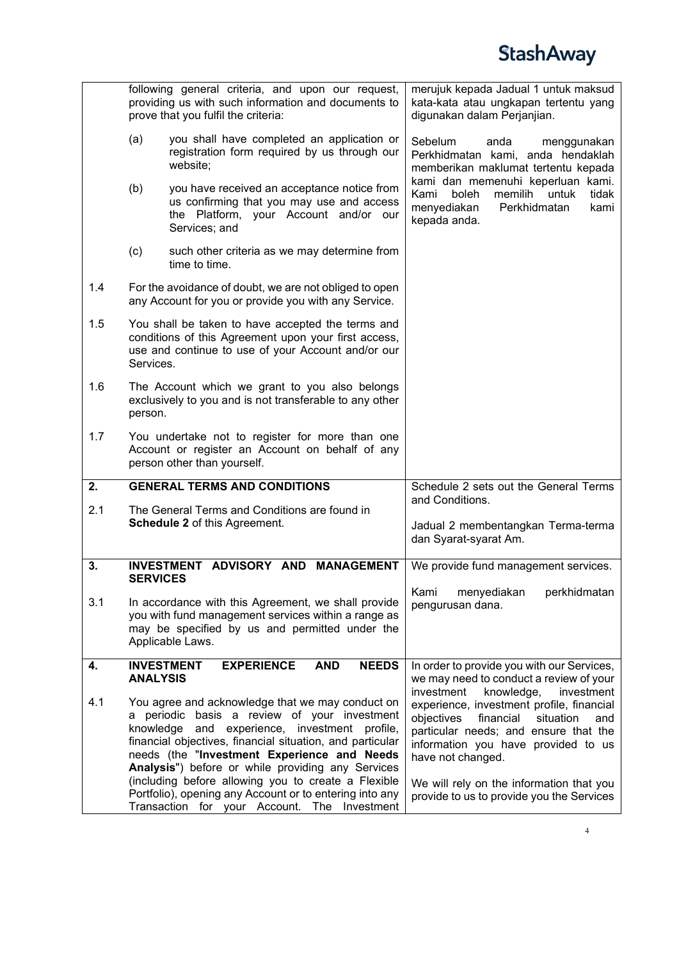<span id="page-3-2"></span><span id="page-3-1"></span><span id="page-3-0"></span>

|     |                                                                                                                                                                                                     | following general criteria, and upon our request,<br>providing us with such information and documents to<br>prove that you fulfil the criteria:                                                                                                                                                                                                                           | merujuk kepada Jadual 1 untuk maksud<br>kata-kata atau ungkapan tertentu yang<br>digunakan dalam Perjanjian.                                                                                                                                                          |
|-----|-----------------------------------------------------------------------------------------------------------------------------------------------------------------------------------------------------|---------------------------------------------------------------------------------------------------------------------------------------------------------------------------------------------------------------------------------------------------------------------------------------------------------------------------------------------------------------------------|-----------------------------------------------------------------------------------------------------------------------------------------------------------------------------------------------------------------------------------------------------------------------|
|     | (a)                                                                                                                                                                                                 | you shall have completed an application or<br>registration form required by us through our<br>website;                                                                                                                                                                                                                                                                    | Sebelum<br>anda<br>menggunakan<br>Perkhidmatan kami, anda hendaklah<br>memberikan maklumat tertentu kepada                                                                                                                                                            |
|     | (b)                                                                                                                                                                                                 | you have received an acceptance notice from<br>us confirming that you may use and access<br>the Platform, your Account and/or our<br>Services; and                                                                                                                                                                                                                        | kami dan memenuhi keperluan kami.<br>boleh<br>memilih<br>Kami<br>untuk<br>tidak<br>menyediakan<br>Perkhidmatan<br>kami<br>kepada anda.                                                                                                                                |
|     | (c)                                                                                                                                                                                                 | such other criteria as we may determine from<br>time to time.                                                                                                                                                                                                                                                                                                             |                                                                                                                                                                                                                                                                       |
| 1.4 |                                                                                                                                                                                                     | For the avoidance of doubt, we are not obliged to open<br>any Account for you or provide you with any Service.                                                                                                                                                                                                                                                            |                                                                                                                                                                                                                                                                       |
| 1.5 | Services.                                                                                                                                                                                           | You shall be taken to have accepted the terms and<br>conditions of this Agreement upon your first access,<br>use and continue to use of your Account and/or our                                                                                                                                                                                                           |                                                                                                                                                                                                                                                                       |
| 1.6 | The Account which we grant to you also belongs<br>exclusively to you and is not transferable to any other<br>person.                                                                                |                                                                                                                                                                                                                                                                                                                                                                           |                                                                                                                                                                                                                                                                       |
| 1.7 |                                                                                                                                                                                                     | You undertake not to register for more than one<br>Account or register an Account on behalf of any<br>person other than yourself.                                                                                                                                                                                                                                         |                                                                                                                                                                                                                                                                       |
| 2.  |                                                                                                                                                                                                     | <b>GENERAL TERMS AND CONDITIONS</b>                                                                                                                                                                                                                                                                                                                                       | Schedule 2 sets out the General Terms                                                                                                                                                                                                                                 |
| 2.1 |                                                                                                                                                                                                     | The General Terms and Conditions are found in<br><b>Schedule 2 of this Agreement.</b>                                                                                                                                                                                                                                                                                     | and Conditions.<br>Jadual 2 membentangkan Terma-terma<br>dan Syarat-syarat Am.                                                                                                                                                                                        |
| 3.  |                                                                                                                                                                                                     | <b>ADVISORY AND</b><br><b>INVESTMENT</b><br><b>MANAGEMENT</b>                                                                                                                                                                                                                                                                                                             | We provide fund management services.                                                                                                                                                                                                                                  |
| 3.1 | <b>SERVICES</b><br>In accordance with this Agreement, we shall provide<br>you with fund management services within a range as<br>may be specified by us and permitted under the<br>Applicable Laws. |                                                                                                                                                                                                                                                                                                                                                                           | Kami<br>menyediakan<br>perkhidmatan<br>pengurusan dana.                                                                                                                                                                                                               |
| 4.  | <b>ANALYSIS</b>                                                                                                                                                                                     | <b>INVESTMENT</b><br><b>EXPERIENCE</b><br><b>AND</b><br><b>NEEDS</b>                                                                                                                                                                                                                                                                                                      | In order to provide you with our Services,<br>we may need to conduct a review of your<br>investment                                                                                                                                                                   |
| 4.1 |                                                                                                                                                                                                     | You agree and acknowledge that we may conduct on<br>a periodic basis a review of your investment<br>knowledge and experience, investment profile,<br>financial objectives, financial situation, and particular<br>needs (the "Investment Experience and Needs<br>Analysis") before or while providing any Services<br>(including before allowing you to create a Flexible | knowledge,<br>investment<br>experience, investment profile, financial<br>objectives<br>financial<br>situation<br>and<br>particular needs; and ensure that the<br>information you have provided to us<br>have not changed.<br>We will rely on the information that you |
|     |                                                                                                                                                                                                     | Portfolio), opening any Account or to entering into any<br>Transaction for your Account. The Investment                                                                                                                                                                                                                                                                   | provide to us to provide you the Services                                                                                                                                                                                                                             |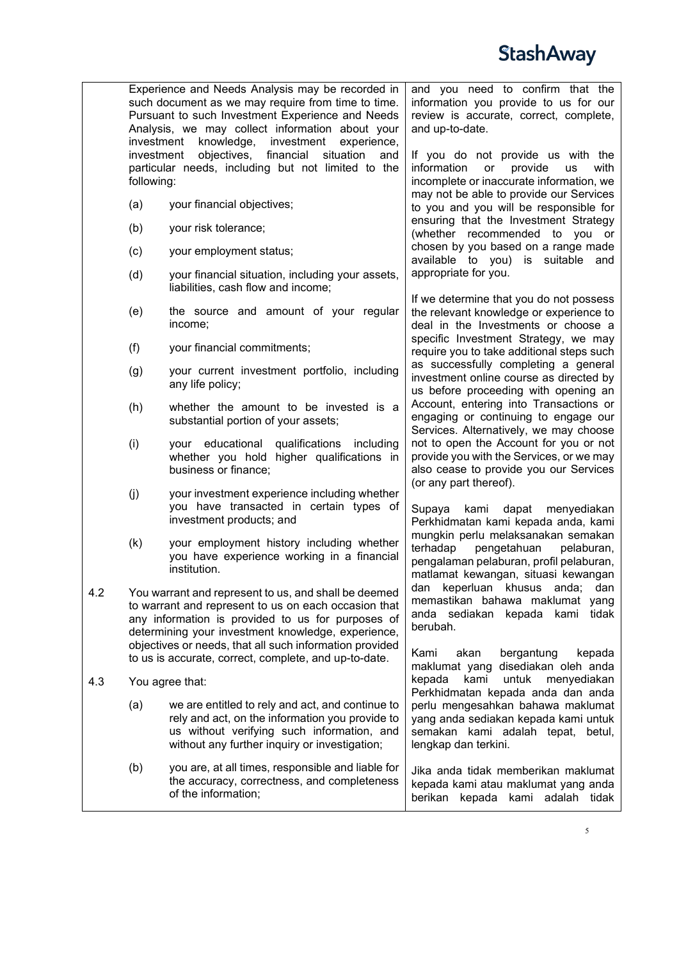

Experience and Needs Analysis may be recorded in such document as we may require from time to time. Pursuant to such Investment Experience and Needs Analysis, we may collect information about your investment knowledge, investment experience,<br>investment objectives, financial situation and investment objectives, particular needs, including but not limited to the following: (a) your financial objectives; (b) your risk tolerance; (c) your employment status; (d) your financial situation, including your assets, liabilities, cash flow and income; (e) the source and amount of your regular income; (f) your financial commitments; (g) your current investment portfolio, including any life policy; (h) whether the amount to be invested is a substantial portion of your assets; (i) your educational qualifications including whether you hold higher qualifications in business or finance; (j) your investment experience including whether you have transacted in certain types of investment products; and (k) your employment history including whether you have experience working in a financial institution. 4.2 You warrant and represent to us, and shall be deemed to warrant and represent to us on each occasion that any information is provided to us for purposes of determining your investment knowledge, experience, objectives or needs, that all such information provided to us is accurate, correct, complete, and up-to-date. 4.3 You agree that: (a) we are entitled to rely and act, and continue to rely and act, on the information you provide to us without verifying such information, and without any further inquiry or investigation; (b) you are, at all times, responsible and liable for the accuracy, correctness, and completeness of the information; and you need to confirm that the information you provide to us for our review is accurate, correct, complete, and up-to-date. If you do not provide us with the information or provide us with information or incomplete or inaccurate information, we may not be able to provide our Services to you and you will be responsible for ensuring that the Investment Strategy (whether recommended to you or chosen by you based on a range made available to you) is suitable and appropriate for you. If we determine that you do not possess the relevant knowledge or experience to deal in the Investments or choose a specific Investment Strategy, we may require you to take additional steps such as successfully completing a general investment online course as directed by us before proceeding with opening an Account, entering into Transactions or engaging or continuing to engage our Services. Alternatively, we may choose not to open the Account for you or not provide you with the Services, or we may also cease to provide you our Services (or any part thereof). Supaya kami dapat menyediakan Perkhidmatan kami kepada anda, kami mungkin perlu melaksanakan semakan<br>terhadap pengetahuan pelaburan. pengetahuan pengalaman pelaburan, profil pelaburan, matlamat kewangan, situasi kewangan dan keperluan khusus anda; dan memastikan bahawa maklumat yang anda sediakan kepada kami tidak berubah. Kami akan bergantung kepada maklumat yang disediakan oleh anda untuk menyediakan Perkhidmatan kepada anda dan anda perlu mengesahkan bahawa maklumat yang anda sediakan kepada kami untuk semakan kami adalah tepat, betul, lengkap dan terkini. Jika anda tidak memberikan maklumat kepada kami atau maklumat yang anda berikan kepada kami adalah tidak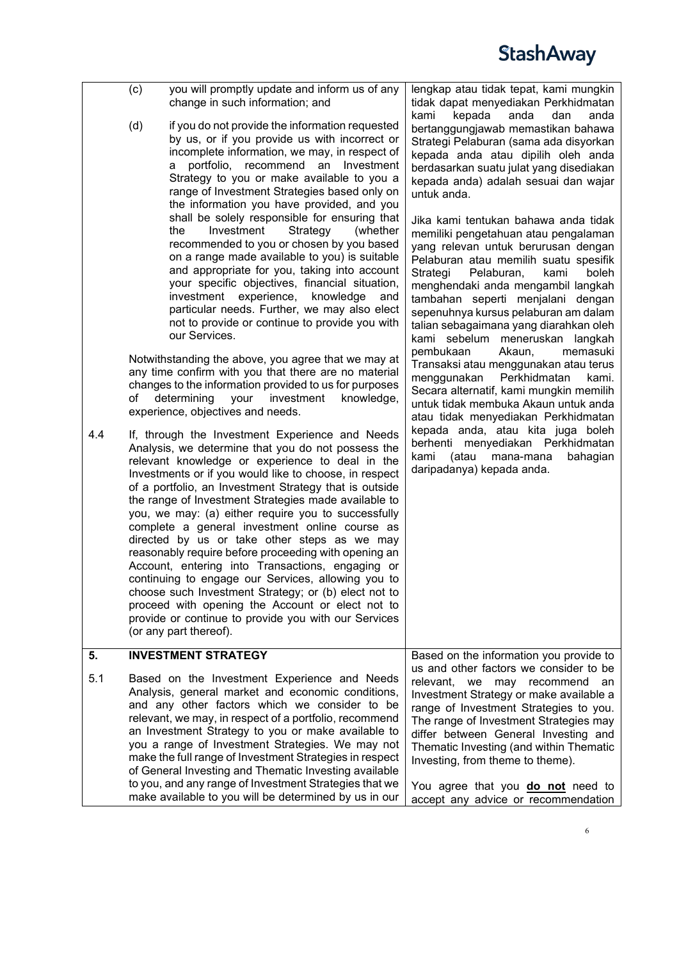<span id="page-5-0"></span>

|     | (c) | you will promptly update and inform us of any<br>change in such information; and                                                                                                                                                                                                                                                                                                                                                                                                                                                                                                                                                                                                                                                                                                                                                                              | lengkap atau tidak tepat, kami mungkin<br>tidak dapat menyediakan Perkhidmatan<br>kepada<br>kami<br>anda<br>dan<br>anda                                                                                                                                                                                                                                    |
|-----|-----|---------------------------------------------------------------------------------------------------------------------------------------------------------------------------------------------------------------------------------------------------------------------------------------------------------------------------------------------------------------------------------------------------------------------------------------------------------------------------------------------------------------------------------------------------------------------------------------------------------------------------------------------------------------------------------------------------------------------------------------------------------------------------------------------------------------------------------------------------------------|------------------------------------------------------------------------------------------------------------------------------------------------------------------------------------------------------------------------------------------------------------------------------------------------------------------------------------------------------------|
|     | (d) | if you do not provide the information requested<br>by us, or if you provide us with incorrect or<br>incomplete information, we may, in respect of<br>portfolio, recommend an Investment<br>а<br>Strategy to you or make available to you a<br>range of Investment Strategies based only on<br>the information you have provided, and you<br>shall be solely responsible for ensuring that<br>Investment<br>Strategy<br>the<br>(whether                                                                                                                                                                                                                                                                                                                                                                                                                        | bertanggungjawab memastikan bahawa<br>Strategi Pelaburan (sama ada disyorkan<br>kepada anda atau dipilih oleh anda<br>berdasarkan suatu julat yang disediakan<br>kepada anda) adalah sesuai dan wajar<br>untuk anda.<br>Jika kami tentukan bahawa anda tidak<br>memiliki pengetahuan atau pengalaman                                                       |
|     |     | recommended to you or chosen by you based<br>on a range made available to you) is suitable<br>and appropriate for you, taking into account<br>your specific objectives, financial situation,<br>investment experience, knowledge<br>and<br>particular needs. Further, we may also elect<br>not to provide or continue to provide you with<br>our Services.                                                                                                                                                                                                                                                                                                                                                                                                                                                                                                    | yang relevan untuk berurusan dengan<br>Pelaburan atau memilih suatu spesifik<br>Strategi<br>Pelaburan,<br>kami<br>boleh<br>menghendaki anda mengambil langkah<br>tambahan seperti menjalani dengan<br>sepenuhnya kursus pelaburan am dalam<br>talian sebagaimana yang diarahkan oleh<br>kami sebelum meneruskan langkah<br>pembukaan<br>Akaun,<br>memasuki |
|     | of  | Notwithstanding the above, you agree that we may at<br>any time confirm with you that there are no material<br>changes to the information provided to us for purposes<br>determining<br>knowledge,<br>your<br>investment<br>experience, objectives and needs.                                                                                                                                                                                                                                                                                                                                                                                                                                                                                                                                                                                                 | Transaksi atau menggunakan atau terus<br>Perkhidmatan<br>menggunakan<br>kami.<br>Secara alternatif, kami mungkin memilih<br>untuk tidak membuka Akaun untuk anda<br>atau tidak menyediakan Perkhidmatan                                                                                                                                                    |
| 4.4 |     | If, through the Investment Experience and Needs<br>Analysis, we determine that you do not possess the<br>relevant knowledge or experience to deal in the<br>Investments or if you would like to choose, in respect<br>of a portfolio, an Investment Strategy that is outside<br>the range of Investment Strategies made available to<br>you, we may: (a) either require you to successfully<br>complete a general investment online course as<br>directed by us or take other steps as we may<br>reasonably require before proceeding with opening an<br>Account, entering into Transactions, engaging or<br>continuing to engage our Services, allowing you to<br>choose such Investment Strategy; or (b) elect not to<br>proceed with opening the Account or elect not to<br>provide or continue to provide you with our Services<br>(or any part thereof). | kepada anda, atau kita juga boleh<br>menyediakan Perkhidmatan<br>berhenti<br>kami<br>(atau<br>mana-mana<br>bahagian<br>daripadanya) kepada anda.                                                                                                                                                                                                           |
| 5.  |     | <b>INVESTMENT STRATEGY</b>                                                                                                                                                                                                                                                                                                                                                                                                                                                                                                                                                                                                                                                                                                                                                                                                                                    | Based on the information you provide to<br>us and other factors we consider to be                                                                                                                                                                                                                                                                          |
| 5.1 |     | Based on the Investment Experience and Needs<br>Analysis, general market and economic conditions,<br>and any other factors which we consider to be<br>relevant, we may, in respect of a portfolio, recommend<br>an Investment Strategy to you or make available to<br>you a range of Investment Strategies. We may not<br>make the full range of Investment Strategies in respect<br>of General Investing and Thematic Investing available<br>to you, and any range of Investment Strategies that we<br>make available to you will be determined by us in our                                                                                                                                                                                                                                                                                                 | relevant,<br>we may recommend<br>an<br>Investment Strategy or make available a<br>range of Investment Strategies to you.<br>The range of Investment Strategies may<br>differ between General Investing and<br>Thematic Investing (and within Thematic<br>Investing, from theme to theme).<br>You agree that you <b>do not</b> need to                      |
|     |     |                                                                                                                                                                                                                                                                                                                                                                                                                                                                                                                                                                                                                                                                                                                                                                                                                                                               | accept any advice or recommendation                                                                                                                                                                                                                                                                                                                        |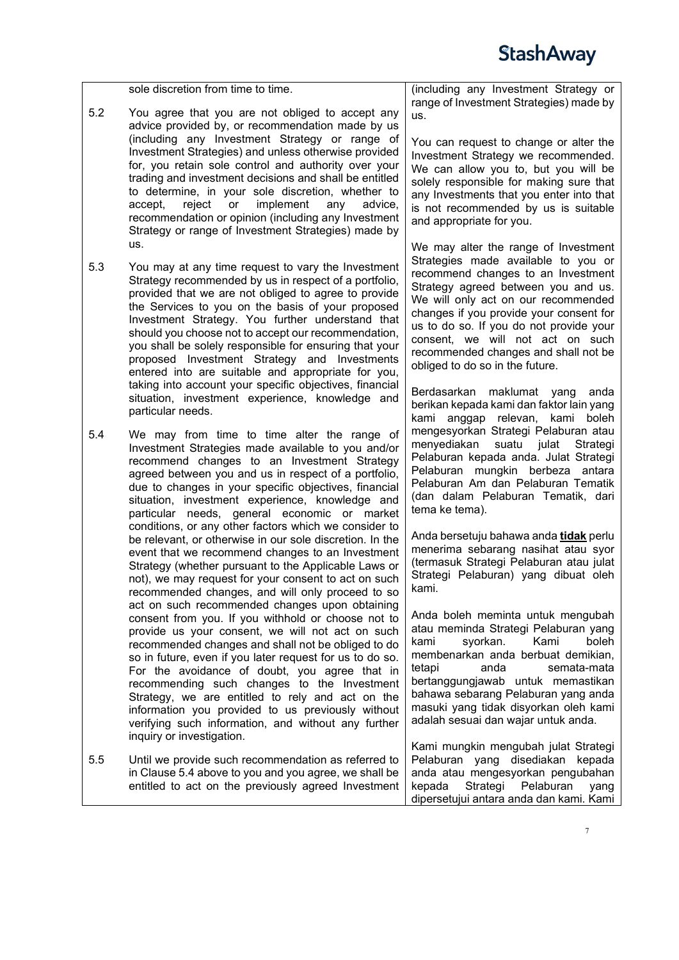sole discretion from time to time. 5.2 You agree that you are not obliged to accept any advice provided by, or recommendation made by us (including any Investment Strategy or range of Investment Strategies) and unless otherwise provided for, you retain sole control and authority over your trading and investment decisions and shall be entitled to determine, in your sole discretion, whether to accept, reject or implement any advice, implement recommendation or opinion (including any Investment Strategy or range of Investment Strategies) made by us.

- 5.3 You may at any time request to vary the Investment Strategy recommended by us in respect of a portfolio, provided that we are not obliged to agree to provide the Services to you on the basis of your proposed Investment Strategy. You further understand that should you choose not to accept our recommendation, you shall be solely responsible for ensuring that your proposed Investment Strategy and Investments entered into are suitable and appropriate for you, taking into account your specific objectives, financial situation, investment experience, knowledge and particular needs.
- <span id="page-6-0"></span>5.4 We may from time to time alter the range of Investment Strategies made available to you and/or recommend changes to an Investment Strategy agreed between you and us in respect of a portfolio, due to changes in your specific objectives, financial situation, investment experience, knowledge and particular needs, general economic or market conditions, or any other factors which we consider to be relevant, or otherwise in our sole discretion. In the event that we recommend changes to an Investment Strategy (whether pursuant to the Applicable Laws or not), we may request for your consent to act on such recommended changes, and will only proceed to so act on such recommended changes upon obtaining consent from you. If you withhold or choose not to provide us your consent, we will not act on such recommended changes and shall not be obliged to do so in future, even if you later request for us to do so. For the avoidance of doubt, you agree that in recommending such changes to the Investment Strategy, we are entitled to rely and act on the information you provided to us previously without verifying such information, and without any further inquiry or investigation.
- 5.5 Until we provide such recommendation as referred to in Clause [5.4](#page-6-0) above to you and you agree, we shall be entitled to act on the previously agreed Investment

(including any Investment Strategy or range of Investment Strategies) made by us.

You can request to change or alter the Investment Strategy we recommended. We can allow you to, but you will be solely responsible for making sure that any Investments that you enter into that is not recommended by us is suitable and appropriate for you.

We may alter the range of Investment Strategies made available to you or recommend changes to an Investment Strategy agreed between you and us. We will only act on our recommended changes if you provide your consent for us to do so. If you do not provide your consent, we will not act on such recommended changes and shall not be obliged to do so in the future.

Berdasarkan maklumat yang anda berikan kepada kami dan faktor lain yang kami anggap relevan, kami boleh mengesyorkan Strategi Pelaburan atau menyediakan suatu julat Strategi Pelaburan kepada anda. Julat Strategi Pelaburan mungkin berbeza antara Pelaburan Am dan Pelaburan Tematik (dan dalam Pelaburan Tematik, dari tema ke tema).

Anda bersetuju bahawa anda **tidak** perlu menerima sebarang nasihat atau syor (termasuk Strategi Pelaburan atau julat Strategi Pelaburan) yang dibuat oleh kami.

Anda boleh meminta untuk mengubah atau meminda Strategi Pelaburan yang<br>kami svorkan. Kami boleh syorkan. membenarkan anda berbuat demikian, tetapi anda semata-mata bertanggungjawab untuk memastikan bahawa sebarang Pelaburan yang anda masuki yang tidak disyorkan oleh kami adalah sesuai dan wajar untuk anda.

Kami mungkin mengubah julat Strategi Pelaburan yang disediakan kepada anda atau mengesyorkan pengubahan kepada Strategi Pelaburan yang dipersetujui antara anda dan kami. Kami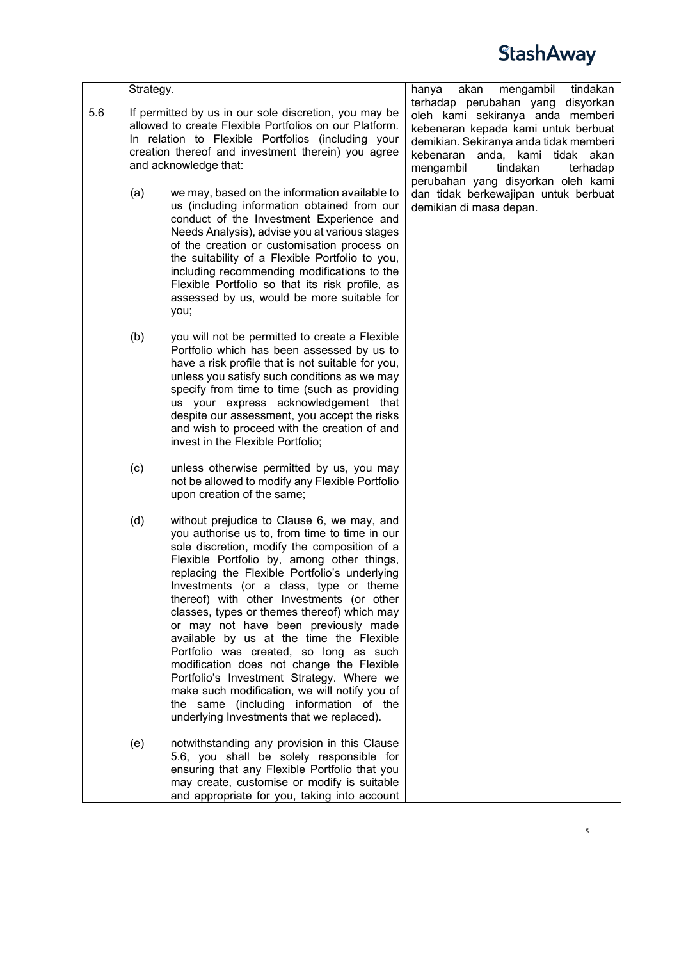|     | Strategy. |                                                                                                                                                                                                                                                                                                                                                                                                                                                                                                                                                                                                                                                                                                                                                  | tindakan<br>hanya<br>akan<br>mengambil                                                                                                                                                                                               |
|-----|-----------|--------------------------------------------------------------------------------------------------------------------------------------------------------------------------------------------------------------------------------------------------------------------------------------------------------------------------------------------------------------------------------------------------------------------------------------------------------------------------------------------------------------------------------------------------------------------------------------------------------------------------------------------------------------------------------------------------------------------------------------------------|--------------------------------------------------------------------------------------------------------------------------------------------------------------------------------------------------------------------------------------|
| 5.6 |           | If permitted by us in our sole discretion, you may be<br>allowed to create Flexible Portfolios on our Platform.<br>In relation to Flexible Portfolios (including your<br>creation thereof and investment therein) you agree<br>and acknowledge that:                                                                                                                                                                                                                                                                                                                                                                                                                                                                                             | terhadap perubahan yang<br>disyorkan<br>oleh kami sekiranya anda memberi<br>kebenaran kepada kami untuk berbuat<br>demikian. Sekiranya anda tidak memberi<br>anda, kami tidak akan<br>kebenaran<br>mengambil<br>tindakan<br>terhadap |
|     | (a)       | we may, based on the information available to<br>us (including information obtained from our<br>conduct of the Investment Experience and<br>Needs Analysis), advise you at various stages<br>of the creation or customisation process on<br>the suitability of a Flexible Portfolio to you,<br>including recommending modifications to the<br>Flexible Portfolio so that its risk profile, as<br>assessed by us, would be more suitable for<br>you;                                                                                                                                                                                                                                                                                              | perubahan yang disyorkan oleh kami<br>dan tidak berkewajipan untuk berbuat<br>demikian di masa depan.                                                                                                                                |
|     | (b)       | you will not be permitted to create a Flexible<br>Portfolio which has been assessed by us to<br>have a risk profile that is not suitable for you,<br>unless you satisfy such conditions as we may<br>specify from time to time (such as providing<br>us your express acknowledgement that<br>despite our assessment, you accept the risks<br>and wish to proceed with the creation of and<br>invest in the Flexible Portfolio;                                                                                                                                                                                                                                                                                                                   |                                                                                                                                                                                                                                      |
|     | (c)       | unless otherwise permitted by us, you may<br>not be allowed to modify any Flexible Portfolio<br>upon creation of the same;                                                                                                                                                                                                                                                                                                                                                                                                                                                                                                                                                                                                                       |                                                                                                                                                                                                                                      |
|     | (d)       | without prejudice to Clause 6, we may, and<br>you authorise us to, from time to time in our<br>sole discretion, modify the composition of a<br>Flexible Portfolio by, among other things,<br>replacing the Flexible Portfolio's underlying<br>Investments (or a class, type or theme<br>thereof) with other Investments (or other<br>classes, types or themes thereof) which may<br>or may not have been previously made<br>available by us at the time the Flexible<br>Portfolio was created, so long as such<br>modification does not change the Flexible<br>Portfolio's Investment Strategy. Where we<br>make such modification, we will notify you of<br>the same (including information of the<br>underlying Investments that we replaced). |                                                                                                                                                                                                                                      |
|     | (e)       | notwithstanding any provision in this Clause<br>5.6, you shall be solely responsible for<br>ensuring that any Flexible Portfolio that you<br>may create, customise or modify is suitable<br>and appropriate for you, taking into account                                                                                                                                                                                                                                                                                                                                                                                                                                                                                                         |                                                                                                                                                                                                                                      |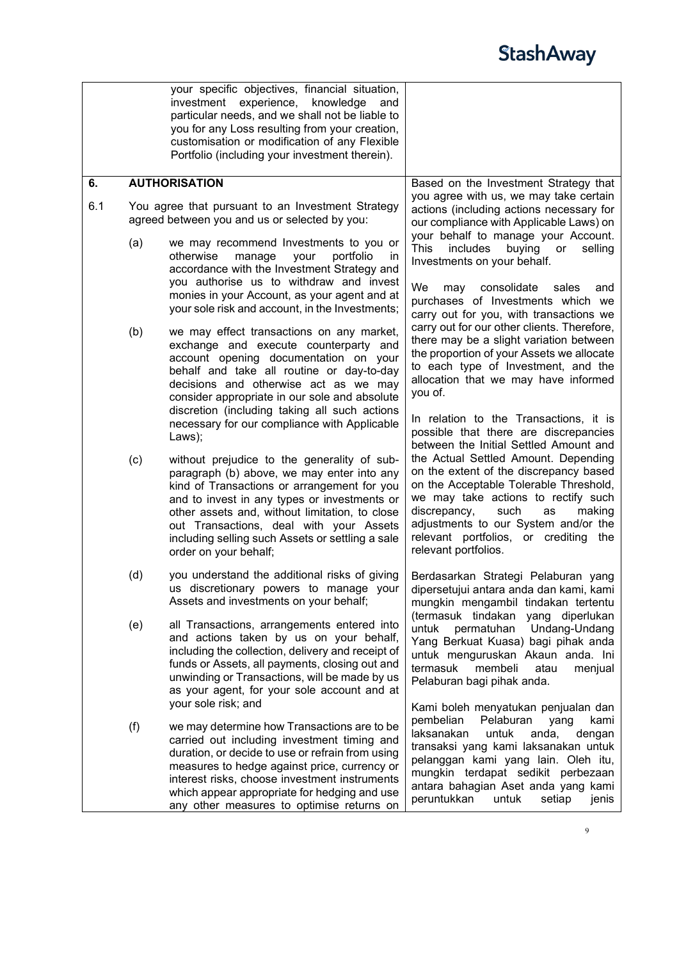<span id="page-8-0"></span>

|     |                                                                                                    | your specific objectives, financial situation,<br>investment experience, knowledge<br>and<br>particular needs, and we shall not be liable to<br>you for any Loss resulting from your creation,<br>customisation or modification of any Flexible<br>Portfolio (including your investment therein).                                                                   |                                                                                                                                                                                                                                                                                                                                |
|-----|----------------------------------------------------------------------------------------------------|---------------------------------------------------------------------------------------------------------------------------------------------------------------------------------------------------------------------------------------------------------------------------------------------------------------------------------------------------------------------|--------------------------------------------------------------------------------------------------------------------------------------------------------------------------------------------------------------------------------------------------------------------------------------------------------------------------------|
| 6.  |                                                                                                    | <b>AUTHORISATION</b>                                                                                                                                                                                                                                                                                                                                                | Based on the Investment Strategy that                                                                                                                                                                                                                                                                                          |
| 6.1 | You agree that pursuant to an Investment Strategy<br>agreed between you and us or selected by you: |                                                                                                                                                                                                                                                                                                                                                                     | you agree with us, we may take certain<br>actions (including actions necessary for<br>our compliance with Applicable Laws) on                                                                                                                                                                                                  |
|     | (a)                                                                                                | we may recommend Investments to you or<br>otherwise<br>manage<br>portfolio<br>your<br><i>in</i><br>accordance with the Investment Strategy and<br>you authorise us to withdraw and invest                                                                                                                                                                           | your behalf to manage your Account.<br><b>This</b><br>includes<br>buying<br>selling<br>or<br>Investments on your behalf.                                                                                                                                                                                                       |
|     |                                                                                                    | monies in your Account, as your agent and at<br>your sole risk and account, in the Investments;                                                                                                                                                                                                                                                                     | We<br>consolidate<br>sales<br>and<br>may<br>purchases of Investments which we<br>carry out for you, with transactions we<br>carry out for our other clients. Therefore,                                                                                                                                                        |
|     | (b)                                                                                                | we may effect transactions on any market,<br>exchange and execute counterparty and<br>account opening documentation on your<br>behalf and take all routine or day-to-day<br>decisions and otherwise act as we may<br>consider appropriate in our sole and absolute                                                                                                  | there may be a slight variation between<br>the proportion of your Assets we allocate<br>to each type of Investment, and the<br>allocation that we may have informed<br>you of.                                                                                                                                                 |
|     |                                                                                                    | discretion (including taking all such actions<br>necessary for our compliance with Applicable<br>Laws);                                                                                                                                                                                                                                                             | In relation to the Transactions, it is<br>possible that there are discrepancies<br>between the Initial Settled Amount and                                                                                                                                                                                                      |
|     | (c)                                                                                                | without prejudice to the generality of sub-<br>paragraph (b) above, we may enter into any<br>kind of Transactions or arrangement for you<br>and to invest in any types or investments or<br>other assets and, without limitation, to close<br>out Transactions, deal with your Assets<br>including selling such Assets or settling a sale<br>order on your behalf;  | the Actual Settled Amount. Depending<br>on the extent of the discrepancy based<br>on the Acceptable Tolerable Threshold,<br>we may take actions to rectify such<br>discrepancy,<br>such<br>as<br>making<br>adjustments to our System and/or the<br>relevant portfolios, or crediting the<br>relevant portfolios.               |
|     | (d)                                                                                                | you understand the additional risks of giving<br>us discretionary powers to manage your<br>Assets and investments on your behalf;                                                                                                                                                                                                                                   | Berdasarkan Strategi Pelaburan yang<br>dipersetujui antara anda dan kami, kami<br>mungkin mengambil tindakan tertentu<br>(termasuk tindakan yang diperlukan                                                                                                                                                                    |
|     | (e)                                                                                                | all Transactions, arrangements entered into<br>and actions taken by us on your behalf,<br>including the collection, delivery and receipt of<br>funds or Assets, all payments, closing out and<br>unwinding or Transactions, will be made by us<br>as your agent, for your sole account and at                                                                       | untuk<br>Undang-Undang<br>permatuhan<br>Yang Berkuat Kuasa) bagi pihak anda<br>untuk menguruskan Akaun anda. Ini<br>termasuk<br>membeli<br>atau<br>menjual<br>Pelaburan bagi pihak anda.                                                                                                                                       |
|     | (f)                                                                                                | your sole risk; and<br>we may determine how Transactions are to be<br>carried out including investment timing and<br>duration, or decide to use or refrain from using<br>measures to hedge against price, currency or<br>interest risks, choose investment instruments<br>which appear appropriate for hedging and use<br>any other measures to optimise returns on | Kami boleh menyatukan penjualan dan<br>pembelian<br>Pelaburan<br>yang<br>kami<br>laksanakan<br>untuk<br>anda,<br>dengan<br>transaksi yang kami laksanakan untuk<br>pelanggan kami yang lain. Oleh itu,<br>mungkin terdapat sedikit perbezaan<br>antara bahagian Aset anda yang kami<br>peruntukkan<br>setiap<br>untuk<br>jenis |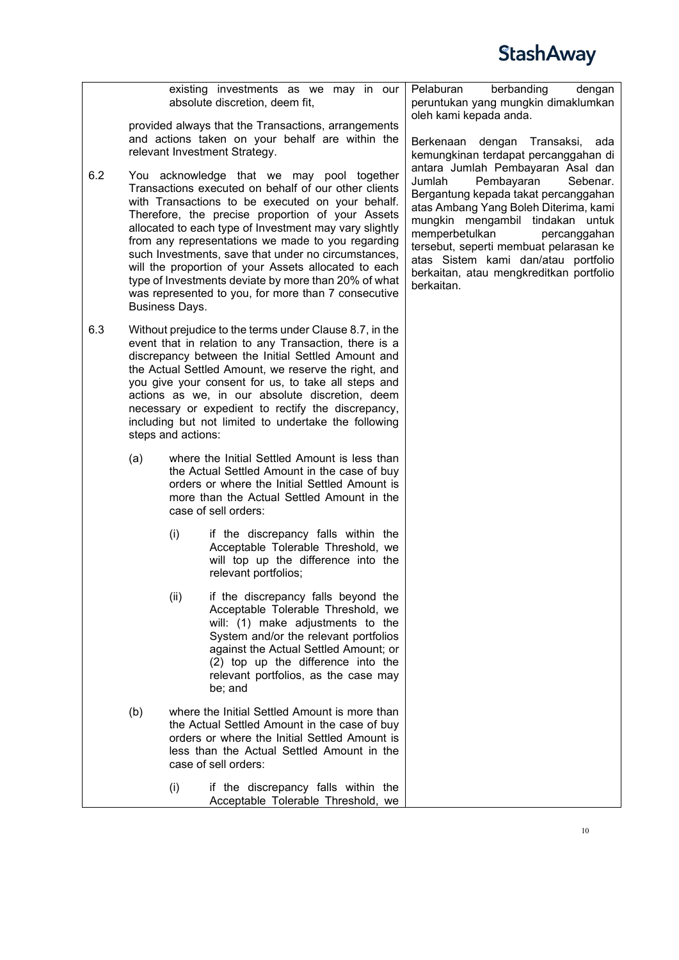|     |                                                                                                                                                                                                                                                                                                                                                                                                                                                                              |                       | existing investments as we may in our<br>absolute discretion, deem fit,                                                                                                                                                                                                                                                                                                                                                                                                                                                                                | Pelaburan<br>berbanding<br>dengan<br>peruntukan yang mungkin dimaklumkan<br>oleh kami kepada anda.                                                                                                                                                                                                                                                                     |
|-----|------------------------------------------------------------------------------------------------------------------------------------------------------------------------------------------------------------------------------------------------------------------------------------------------------------------------------------------------------------------------------------------------------------------------------------------------------------------------------|-----------------------|--------------------------------------------------------------------------------------------------------------------------------------------------------------------------------------------------------------------------------------------------------------------------------------------------------------------------------------------------------------------------------------------------------------------------------------------------------------------------------------------------------------------------------------------------------|------------------------------------------------------------------------------------------------------------------------------------------------------------------------------------------------------------------------------------------------------------------------------------------------------------------------------------------------------------------------|
|     |                                                                                                                                                                                                                                                                                                                                                                                                                                                                              |                       | provided always that the Transactions, arrangements<br>and actions taken on your behalf are within the<br>relevant Investment Strategy.                                                                                                                                                                                                                                                                                                                                                                                                                | dengan<br>Berkenaan<br>Transaksi,<br>ada<br>kemungkinan terdapat percanggahan di                                                                                                                                                                                                                                                                                       |
| 6.2 |                                                                                                                                                                                                                                                                                                                                                                                                                                                                              | <b>Business Days.</b> | You acknowledge that we may pool together<br>Transactions executed on behalf of our other clients<br>with Transactions to be executed on your behalf.<br>Therefore, the precise proportion of your Assets<br>allocated to each type of Investment may vary slightly<br>from any representations we made to you regarding<br>such Investments, save that under no circumstances,<br>will the proportion of your Assets allocated to each<br>type of Investments deviate by more than 20% of what<br>was represented to you, for more than 7 consecutive | antara Jumlah Pembayaran Asal dan<br>Jumlah<br>Pembayaran<br>Sebenar.<br>Bergantung kepada takat percanggahan<br>atas Ambang Yang Boleh Diterima, kami<br>mungkin mengambil tindakan untuk<br>memperbetulkan<br>percanggahan<br>tersebut, seperti membuat pelarasan ke<br>atas Sistem kami dan/atau portfolio<br>berkaitan, atau mengkreditkan portfolio<br>berkaitan. |
| 6.3 | Without prejudice to the terms under Clause 8.7, in the<br>event that in relation to any Transaction, there is a<br>discrepancy between the Initial Settled Amount and<br>the Actual Settled Amount, we reserve the right, and<br>you give your consent for us, to take all steps and<br>actions as we, in our absolute discretion, deem<br>necessary or expedient to rectify the discrepancy,<br>including but not limited to undertake the following<br>steps and actions: |                       |                                                                                                                                                                                                                                                                                                                                                                                                                                                                                                                                                        |                                                                                                                                                                                                                                                                                                                                                                        |
|     | (a)                                                                                                                                                                                                                                                                                                                                                                                                                                                                          |                       | where the Initial Settled Amount is less than<br>the Actual Settled Amount in the case of buy<br>orders or where the Initial Settled Amount is<br>more than the Actual Settled Amount in the<br>case of sell orders:                                                                                                                                                                                                                                                                                                                                   |                                                                                                                                                                                                                                                                                                                                                                        |
|     |                                                                                                                                                                                                                                                                                                                                                                                                                                                                              | (i)                   | if the discrepancy falls within the<br>Acceptable Tolerable Threshold, we<br>will top up the difference into the<br>relevant portfolios;                                                                                                                                                                                                                                                                                                                                                                                                               |                                                                                                                                                                                                                                                                                                                                                                        |
|     |                                                                                                                                                                                                                                                                                                                                                                                                                                                                              | (ii)                  | if the discrepancy falls beyond the<br>Acceptable Tolerable Threshold, we<br>will: (1) make adjustments to the<br>System and/or the relevant portfolios<br>against the Actual Settled Amount; or<br>(2) top up the difference into the<br>relevant portfolios, as the case may<br>be; and                                                                                                                                                                                                                                                              |                                                                                                                                                                                                                                                                                                                                                                        |
|     | (b)                                                                                                                                                                                                                                                                                                                                                                                                                                                                          |                       | where the Initial Settled Amount is more than<br>the Actual Settled Amount in the case of buy<br>orders or where the Initial Settled Amount is<br>less than the Actual Settled Amount in the<br>case of sell orders:                                                                                                                                                                                                                                                                                                                                   |                                                                                                                                                                                                                                                                                                                                                                        |
|     |                                                                                                                                                                                                                                                                                                                                                                                                                                                                              | (i)                   | if the discrepancy falls within the<br>Acceptable Tolerable Threshold, we                                                                                                                                                                                                                                                                                                                                                                                                                                                                              |                                                                                                                                                                                                                                                                                                                                                                        |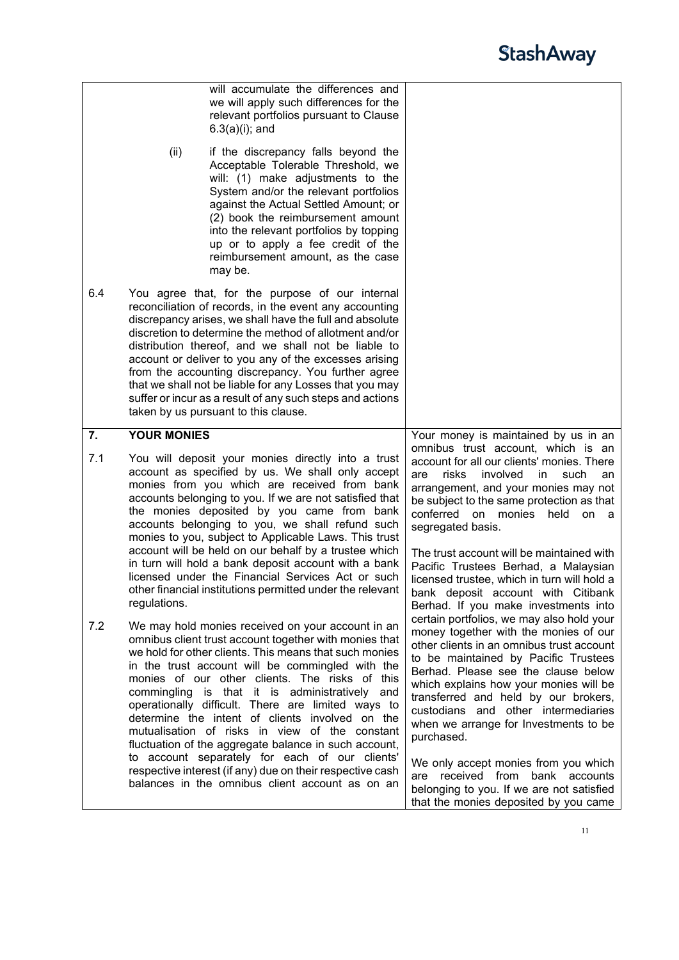<span id="page-10-0"></span>

|     | will accumulate the differences and<br>we will apply such differences for the<br>relevant portfolios pursuant to Clause<br>$6.3(a)(i)$ ; and<br>(ii)<br>if the discrepancy falls beyond the<br>Acceptable Tolerable Threshold, we<br>will: (1) make adjustments to the                                                                                                                                                                                                                                                                                               |                                                                                                                                                                                                                                                                                                                                                                                                |
|-----|----------------------------------------------------------------------------------------------------------------------------------------------------------------------------------------------------------------------------------------------------------------------------------------------------------------------------------------------------------------------------------------------------------------------------------------------------------------------------------------------------------------------------------------------------------------------|------------------------------------------------------------------------------------------------------------------------------------------------------------------------------------------------------------------------------------------------------------------------------------------------------------------------------------------------------------------------------------------------|
|     | System and/or the relevant portfolios<br>against the Actual Settled Amount; or<br>(2) book the reimbursement amount<br>into the relevant portfolios by topping<br>up or to apply a fee credit of the<br>reimbursement amount, as the case<br>may be.                                                                                                                                                                                                                                                                                                                 |                                                                                                                                                                                                                                                                                                                                                                                                |
| 6.4 | You agree that, for the purpose of our internal<br>reconciliation of records, in the event any accounting<br>discrepancy arises, we shall have the full and absolute<br>discretion to determine the method of allotment and/or<br>distribution thereof, and we shall not be liable to<br>account or deliver to you any of the excesses arising<br>from the accounting discrepancy. You further agree<br>that we shall not be liable for any Losses that you may<br>suffer or incur as a result of any such steps and actions<br>taken by us pursuant to this clause. |                                                                                                                                                                                                                                                                                                                                                                                                |
| 7.  | <b>YOUR MONIES</b>                                                                                                                                                                                                                                                                                                                                                                                                                                                                                                                                                   | Your money is maintained by us in an                                                                                                                                                                                                                                                                                                                                                           |
| 7.1 | You will deposit your monies directly into a trust<br>account as specified by us. We shall only accept<br>monies from you which are received from bank<br>accounts belonging to you. If we are not satisfied that<br>the monies deposited by you came from bank<br>accounts belonging to you, we shall refund such<br>monies to you, subject to Applicable Laws. This trust<br>account will be held on our behalf by a trustee which                                                                                                                                 | omnibus trust account, which is an<br>account for all our clients' monies. There<br>involved<br>risks<br>in<br>such<br>are<br>an<br>arrangement, and your monies may not<br>be subject to the same protection as that<br>conferred on<br>monies<br>held<br>on<br>- a<br>segregated basis.<br>The trust account will be maintained with                                                         |
|     | in turn will hold a bank deposit account with a bank<br>licensed under the Financial Services Act or such<br>other financial institutions permitted under the relevant<br>regulations.                                                                                                                                                                                                                                                                                                                                                                               | Pacific Trustees Berhad, a Malaysian<br>licensed trustee, which in turn will hold a<br>bank deposit account with Citibank<br>Berhad. If you make investments into                                                                                                                                                                                                                              |
| 7.2 | We may hold monies received on your account in an<br>omnibus client trust account together with monies that<br>we hold for other clients. This means that such monies<br>in the trust account will be commingled with the<br>monies of our other clients. The risks of this<br>commingling is that it is administratively and<br>operationally difficult. There are limited ways to<br>determine the intent of clients involved on the<br>mutualisation of risks in view of the constant<br>fluctuation of the aggregate balance in such account,                    | certain portfolios, we may also hold your<br>money together with the monies of our<br>other clients in an omnibus trust account<br>to be maintained by Pacific Trustees<br>Berhad. Please see the clause below<br>which explains how your monies will be<br>transferred and held by our brokers,<br>custodians and other intermediaries<br>when we arrange for Investments to be<br>purchased. |
|     | to account separately for each of our clients'<br>respective interest (if any) due on their respective cash<br>balances in the omnibus client account as on an                                                                                                                                                                                                                                                                                                                                                                                                       | We only accept monies from you which<br>received from bank accounts<br>are<br>belonging to you. If we are not satisfied<br>that the monies deposited by you came                                                                                                                                                                                                                               |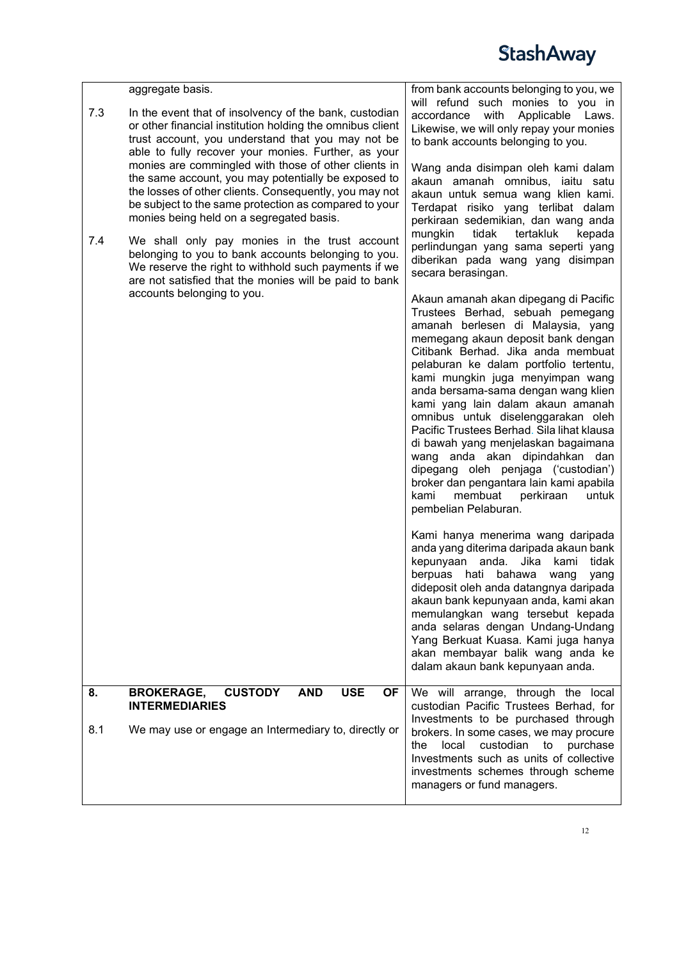<span id="page-11-0"></span>

|     | aggregate basis.                                                                                                                                                                                                                                                                                                                                                                                                                                                  | from bank accounts belonging to you, we                                                                                                                                                                                                                                                                                                                                                                                                                                                                                                                                                                                                                                                                                                                                                                                                                                                                                                                                                                                                                                                                             |
|-----|-------------------------------------------------------------------------------------------------------------------------------------------------------------------------------------------------------------------------------------------------------------------------------------------------------------------------------------------------------------------------------------------------------------------------------------------------------------------|---------------------------------------------------------------------------------------------------------------------------------------------------------------------------------------------------------------------------------------------------------------------------------------------------------------------------------------------------------------------------------------------------------------------------------------------------------------------------------------------------------------------------------------------------------------------------------------------------------------------------------------------------------------------------------------------------------------------------------------------------------------------------------------------------------------------------------------------------------------------------------------------------------------------------------------------------------------------------------------------------------------------------------------------------------------------------------------------------------------------|
| 7.3 | In the event that of insolvency of the bank, custodian<br>or other financial institution holding the omnibus client<br>trust account, you understand that you may not be<br>able to fully recover your monies. Further, as your<br>monies are commingled with those of other clients in<br>the same account, you may potentially be exposed to<br>the losses of other clients. Consequently, you may not<br>be subject to the same protection as compared to your | will refund such monies to you in<br>Applicable Laws.<br>accordance<br>with<br>Likewise, we will only repay your monies<br>to bank accounts belonging to you.<br>Wang anda disimpan oleh kami dalam<br>akaun amanah omnibus, iaitu satu<br>akaun untuk semua wang klien kami.<br>Terdapat risiko yang terlibat dalam                                                                                                                                                                                                                                                                                                                                                                                                                                                                                                                                                                                                                                                                                                                                                                                                |
| 7.4 | monies being held on a segregated basis.<br>We shall only pay monies in the trust account<br>belonging to you to bank accounts belonging to you.<br>We reserve the right to withhold such payments if we<br>are not satisfied that the monies will be paid to bank                                                                                                                                                                                                | perkiraan sedemikian, dan wang anda<br>mungkin<br>tidak<br>tertakluk<br>kepada<br>perlindungan yang sama seperti yang<br>diberikan pada wang yang disimpan<br>secara berasingan.                                                                                                                                                                                                                                                                                                                                                                                                                                                                                                                                                                                                                                                                                                                                                                                                                                                                                                                                    |
|     | accounts belonging to you.                                                                                                                                                                                                                                                                                                                                                                                                                                        | Akaun amanah akan dipegang di Pacific<br>Trustees Berhad, sebuah pemegang<br>amanah berlesen di Malaysia, yang<br>memegang akaun deposit bank dengan<br>Citibank Berhad. Jika anda membuat<br>pelaburan ke dalam portfolio tertentu,<br>kami mungkin juga menyimpan wang<br>anda bersama-sama dengan wang klien<br>kami yang lain dalam akaun amanah<br>omnibus untuk diselenggarakan oleh<br>Pacific Trustees Berhad. Sila lihat klausa<br>di bawah yang menjelaskan bagaimana<br>wang anda akan dipindahkan dan<br>dipegang oleh penjaga ('custodian')<br>broker dan pengantara lain kami apabila<br>membuat<br>kami<br>perkiraan<br>untuk<br>pembelian Pelaburan.<br>Kami hanya menerima wang daripada<br>anda yang diterima daripada akaun bank<br>kepunyaan anda.<br>Jika<br>tidak<br>kami<br>berpuas hati<br>bahawa<br>wang<br>yang<br>dideposit oleh anda datangnya daripada<br>akaun bank kepunyaan anda, kami akan<br>memulangkan wang tersebut kepada<br>anda selaras dengan Undang-Undang<br>Yang Berkuat Kuasa. Kami juga hanya<br>akan membayar balik wang anda ke<br>dalam akaun bank kepunyaan anda. |
| 8.  | <b>CUSTODY</b><br><b>BROKERAGE,</b><br><b>AND</b><br><b>USE</b><br><b>OF</b>                                                                                                                                                                                                                                                                                                                                                                                      | We will arrange, through the local                                                                                                                                                                                                                                                                                                                                                                                                                                                                                                                                                                                                                                                                                                                                                                                                                                                                                                                                                                                                                                                                                  |
| 8.1 | <b>INTERMEDIARIES</b><br>We may use or engage an Intermediary to, directly or                                                                                                                                                                                                                                                                                                                                                                                     | custodian Pacific Trustees Berhad, for<br>Investments to be purchased through<br>brokers. In some cases, we may procure<br>custodian<br>local<br>to<br>purchase<br>the<br>Investments such as units of collective<br>investments schemes through scheme<br>managers or fund managers.                                                                                                                                                                                                                                                                                                                                                                                                                                                                                                                                                                                                                                                                                                                                                                                                                               |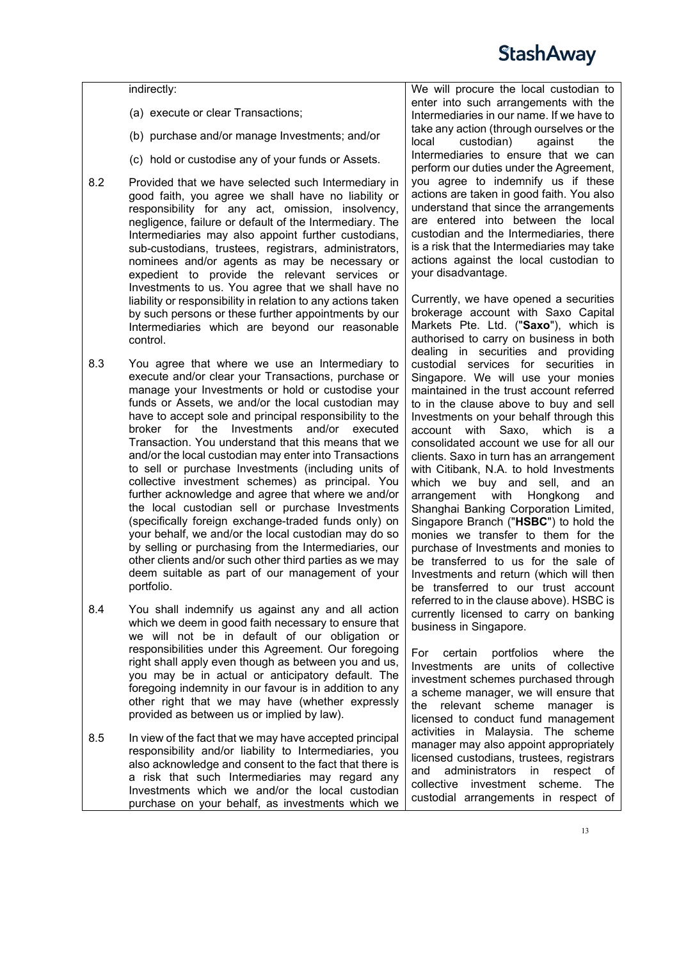indirectly:

- (a) execute or clear Transactions;
- (b) purchase and/or manage Investments; and/or
- (c) hold or custodise any of your funds or Assets.
- 8.2 Provided that we have selected such Intermediary in good faith, you agree we shall have no liability or responsibility for any act, omission, insolvency, negligence, failure or default of the Intermediary. The Intermediaries may also appoint further custodians, sub-custodians, trustees, registrars, administrators, nominees and/or agents as may be necessary or expedient to provide the relevant services or Investments to us. You agree that we shall have no liability or responsibility in relation to any actions taken by such persons or these further appointments by our Intermediaries which are beyond our reasonable control.
- 8.3 You agree that where we use an Intermediary to execute and/or clear your Transactions, purchase or manage your Investments or hold or custodise your funds or Assets, we and/or the local custodian may have to accept sole and principal responsibility to the broker for the Investments and/or executed Transaction. You understand that this means that we and/or the local custodian may enter into Transactions to sell or purchase Investments (including units of collective investment schemes) as principal. You further acknowledge and agree that where we and/or the local custodian sell or purchase Investments (specifically foreign exchange-traded funds only) on your behalf, we and/or the local custodian may do so by selling or purchasing from the Intermediaries, our other clients and/or such other third parties as we may deem suitable as part of our management of your portfolio.
- 8.4 You shall indemnify us against any and all action which we deem in good faith necessary to ensure that we will not be in default of our obligation or responsibilities under this Agreement. Our foregoing right shall apply even though as between you and us, you may be in actual or anticipatory default. The foregoing indemnity in our favour is in addition to any other right that we may have (whether expressly provided as between us or implied by law).
- 8.5 In view of the fact that we may have accepted principal responsibility and/or liability to Intermediaries, you also acknowledge and consent to the fact that there is a risk that such Intermediaries may regard any Investments which we and/or the local custodian purchase on your behalf, as investments which we

We will procure the local custodian to enter into such arrangements with the Intermediaries in our name. If we have to take any action (through ourselves or the<br>local custodian) against the custodian) Intermediaries to ensure that we can perform our duties under the Agreement, you agree to indemnify us if these actions are taken in good faith. You also understand that since the arrangements are entered into between the local custodian and the Intermediaries, there is a risk that the Intermediaries may take actions against the local custodian to your disadvantage.

Currently, we have opened a securities brokerage account with Saxo Capital Markets Pte. Ltd. ("**Saxo**"), which is authorised to carry on business in both dealing in securities and providing custodial services for securities in Singapore. We will use your monies maintained in the trust account referred to in the clause above to buy and sell Investments on your behalf through this account with Saxo, which is a consolidated account we use for all our clients. Saxo in turn has an arrangement with Citibank, N.A. to hold Investments which we buy and sell, and an arrangement with Hongkong and Shanghai Banking Corporation Limited, Singapore Branch ("**HSBC**") to hold the monies we transfer to them for the purchase of Investments and monies to be transferred to us for the sale of Investments and return (which will then be transferred to our trust account referred to in the clause above). HSBC is currently licensed to carry on banking business in Singapore.

For certain portfolios where the Investments are units of collective investment schemes purchased through a scheme manager, we will ensure that the relevant scheme manager is licensed to conduct fund management activities in Malaysia. The scheme manager may also appoint appropriately licensed custodians, trustees, registrars and administrators in respect of collective investment scheme. The custodial arrangements in respect of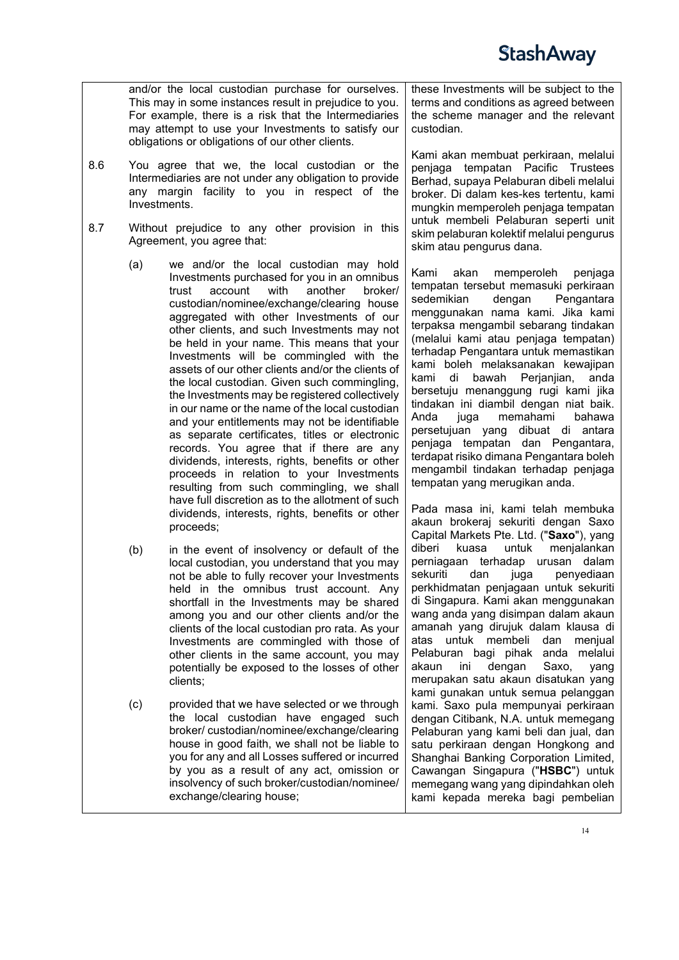

and/or the local custodian purchase for ourselves. This may in some instances result in prejudice to you. For example, there is a risk that the Intermediaries may attempt to use your Investments to satisfy our obligations or obligations of our other clients.

- 8.6 You agree that we, the local custodian or the Intermediaries are not under any obligation to provide any margin facility to you in respect of the Investments.
- 8.7 Without prejudice to any other provision in this Agreement, you agree that:
	- (a) we and/or the local custodian may hold Investments purchased for you in an omnibus trust account with another broker/ custodian/nominee/exchange/clearing house aggregated with other Investments of our other clients, and such Investments may not be held in your name. This means that your Investments will be commingled with the assets of our other clients and/or the clients of the local custodian. Given such commingling, the Investments may be registered collectively in our name or the name of the local custodian and your entitlements may not be identifiable as separate certificates, titles or electronic records. You agree that if there are any dividends, interests, rights, benefits or other proceeds in relation to your Investments resulting from such commingling, we shall have full discretion as to the allotment of such dividends, interests, rights, benefits or other proceeds;
	- (b) in the event of insolvency or default of the local custodian, you understand that you may not be able to fully recover your Investments held in the omnibus trust account. Any shortfall in the Investments may be shared among you and our other clients and/or the clients of the local custodian pro rata. As your Investments are commingled with those of other clients in the same account, you may potentially be exposed to the losses of other clients;
	- (c) provided that we have selected or we through the local custodian have engaged such broker/ custodian/nominee/exchange/clearing house in good faith, we shall not be liable to you for any and all Losses suffered or incurred by you as a result of any act, omission or insolvency of such broker/custodian/nominee/ exchange/clearing house;

these Investments will be subject to the terms and conditions as agreed between the scheme manager and the relevant custodian.

Kami akan membuat perkiraan, melalui penjaga tempatan Pacific Trustees Berhad, supaya Pelaburan dibeli melalui broker. Di dalam kes-kes tertentu, kami mungkin memperoleh penjaga tempatan untuk membeli Pelaburan seperti unit skim pelaburan kolektif melalui pengurus skim atau pengurus dana.

Kami akan memperoleh penjaga tempatan tersebut memasuki perkiraan<br>sedemikian dengan Pengantara **Pengantara** menggunakan nama kami. Jika kami terpaksa mengambil sebarang tindakan (melalui kami atau penjaga tempatan) terhadap Pengantara untuk memastikan kami boleh melaksanakan kewajipan kami di bawah Perjanjian, anda bersetuju menanggung rugi kami jika tindakan ini diambil dengan niat baik. memahami persetujuan yang dibuat di antara penjaga tempatan dan Pengantara, terdapat risiko dimana Pengantara boleh mengambil tindakan terhadap penjaga tempatan yang merugikan anda.

Pada masa ini, kami telah membuka akaun brokeraj sekuriti dengan Saxo Capital Markets Pte. Ltd. ("**Saxo**"), yang untuk menjalankan perniagaan terhadap urusan dalam<br>sekuriti dan juga penyediaan dan juga penyediaan perkhidmatan penjagaan untuk sekuriti di Singapura. Kami akan menggunakan wang anda yang disimpan dalam akaun amanah yang dirujuk dalam klausa di atas untuk membeli dan menjual Pelaburan bagi pihak anda melalui<br>akaun ini dengan Saxo, yang dengan merupakan satu akaun disatukan yang kami gunakan untuk semua pelanggan kami. Saxo pula mempunyai perkiraan dengan Citibank, N.A. untuk memegang Pelaburan yang kami beli dan jual, dan satu perkiraan dengan Hongkong and Shanghai Banking Corporation Limited, Cawangan Singapura ("**HSBC**") untuk memegang wang yang dipindahkan oleh kami kepada mereka bagi pembelian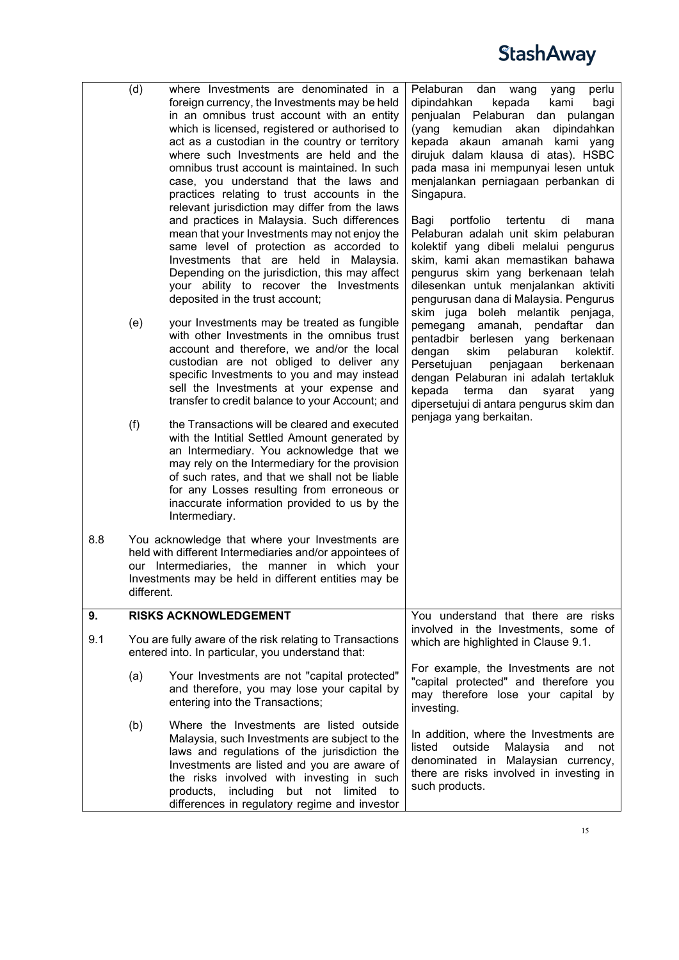<span id="page-14-0"></span>

|     | (d)<br>(e)<br>(f) | where Investments are denominated in a<br>foreign currency, the Investments may be held<br>in an omnibus trust account with an entity<br>which is licensed, registered or authorised to<br>act as a custodian in the country or territory<br>where such Investments are held and the<br>omnibus trust account is maintained. In such<br>case, you understand that the laws and<br>practices relating to trust accounts in the<br>relevant jurisdiction may differ from the laws<br>and practices in Malaysia. Such differences<br>mean that your Investments may not enjoy the<br>same level of protection as accorded to<br>Investments that are held in Malaysia.<br>Depending on the jurisdiction, this may affect<br>your ability to recover the Investments<br>deposited in the trust account;<br>your Investments may be treated as fungible<br>with other Investments in the omnibus trust<br>account and therefore, we and/or the local<br>custodian are not obliged to deliver any<br>specific Investments to you and may instead<br>sell the Investments at your expense and<br>transfer to credit balance to your Account; and<br>the Transactions will be cleared and executed<br>with the Intitial Settled Amount generated by<br>an Intermediary. You acknowledge that we<br>may rely on the Intermediary for the provision<br>of such rates, and that we shall not be liable<br>for any Losses resulting from erroneous or<br>inaccurate information provided to us by the<br>Intermediary. | Pelaburan<br>perlu<br>dan<br>wang<br>yang<br>dipindahkan<br>kepada<br>kami<br>bagi<br>penjualan Pelaburan dan pulangan<br>kemudian<br>akan<br>(yang<br>dipindahkan<br>kepada akaun amanah<br>kami yang<br>dirujuk dalam klausa di atas). HSBC<br>pada masa ini mempunyai lesen untuk<br>menjalankan perniagaan perbankan di<br>Singapura.<br>Bagi<br>portfolio<br>tertentu<br>di<br>mana<br>Pelaburan adalah unit skim pelaburan<br>kolektif yang dibeli melalui pengurus<br>skim, kami akan memastikan bahawa<br>pengurus skim yang berkenaan telah<br>dilesenkan untuk menjalankan aktiviti<br>pengurusan dana di Malaysia. Pengurus<br>skim juga boleh melantik penjaga,<br>pemegang<br>amanah,<br>pendaftar dan<br>pentadbir berlesen yang<br>berkenaan<br>dengan<br>skim<br>pelaburan<br>kolektif.<br>Persetujuan<br>penjagaan<br>berkenaan<br>dengan Pelaburan ini adalah tertakluk<br>kepada<br>terma<br>dan<br>syarat<br>yang<br>dipersetujui di antara pengurus skim dan<br>penjaga yang berkaitan. |
|-----|-------------------|------------------------------------------------------------------------------------------------------------------------------------------------------------------------------------------------------------------------------------------------------------------------------------------------------------------------------------------------------------------------------------------------------------------------------------------------------------------------------------------------------------------------------------------------------------------------------------------------------------------------------------------------------------------------------------------------------------------------------------------------------------------------------------------------------------------------------------------------------------------------------------------------------------------------------------------------------------------------------------------------------------------------------------------------------------------------------------------------------------------------------------------------------------------------------------------------------------------------------------------------------------------------------------------------------------------------------------------------------------------------------------------------------------------------------------------------------------------------------------------------------------|--------------------------------------------------------------------------------------------------------------------------------------------------------------------------------------------------------------------------------------------------------------------------------------------------------------------------------------------------------------------------------------------------------------------------------------------------------------------------------------------------------------------------------------------------------------------------------------------------------------------------------------------------------------------------------------------------------------------------------------------------------------------------------------------------------------------------------------------------------------------------------------------------------------------------------------------------------------------------------------------------------------|
| 8.8 | different.        | You acknowledge that where your Investments are<br>held with different Intermediaries and/or appointees of<br>our Intermediaries, the manner in which your<br>Investments may be held in different entities may be                                                                                                                                                                                                                                                                                                                                                                                                                                                                                                                                                                                                                                                                                                                                                                                                                                                                                                                                                                                                                                                                                                                                                                                                                                                                                         |                                                                                                                                                                                                                                                                                                                                                                                                                                                                                                                                                                                                                                                                                                                                                                                                                                                                                                                                                                                                              |
| 9.  |                   | <b>RISKS ACKNOWLEDGEMENT</b>                                                                                                                                                                                                                                                                                                                                                                                                                                                                                                                                                                                                                                                                                                                                                                                                                                                                                                                                                                                                                                                                                                                                                                                                                                                                                                                                                                                                                                                                               | You understand that there are risks                                                                                                                                                                                                                                                                                                                                                                                                                                                                                                                                                                                                                                                                                                                                                                                                                                                                                                                                                                          |
| 9.1 |                   | You are fully aware of the risk relating to Transactions<br>entered into. In particular, you understand that:                                                                                                                                                                                                                                                                                                                                                                                                                                                                                                                                                                                                                                                                                                                                                                                                                                                                                                                                                                                                                                                                                                                                                                                                                                                                                                                                                                                              | involved in the Investments, some of<br>which are highlighted in Clause 9.1.                                                                                                                                                                                                                                                                                                                                                                                                                                                                                                                                                                                                                                                                                                                                                                                                                                                                                                                                 |
|     | (a)               | Your Investments are not "capital protected"<br>and therefore, you may lose your capital by<br>entering into the Transactions;                                                                                                                                                                                                                                                                                                                                                                                                                                                                                                                                                                                                                                                                                                                                                                                                                                                                                                                                                                                                                                                                                                                                                                                                                                                                                                                                                                             | For example, the Investments are not<br>"capital protected" and therefore you<br>may therefore lose your capital by<br>investing.                                                                                                                                                                                                                                                                                                                                                                                                                                                                                                                                                                                                                                                                                                                                                                                                                                                                            |
|     | (b)               | Where the Investments are listed outside<br>Malaysia, such Investments are subject to the<br>laws and regulations of the jurisdiction the<br>Investments are listed and you are aware of<br>the risks involved with investing in such<br>but not limited<br>products,<br>including<br>to<br>differences in regulatory regime and investor                                                                                                                                                                                                                                                                                                                                                                                                                                                                                                                                                                                                                                                                                                                                                                                                                                                                                                                                                                                                                                                                                                                                                                  | In addition, where the Investments are<br>outside<br>listed<br>Malaysia<br>and<br>not<br>denominated in Malaysian currency,<br>there are risks involved in investing in<br>such products.                                                                                                                                                                                                                                                                                                                                                                                                                                                                                                                                                                                                                                                                                                                                                                                                                    |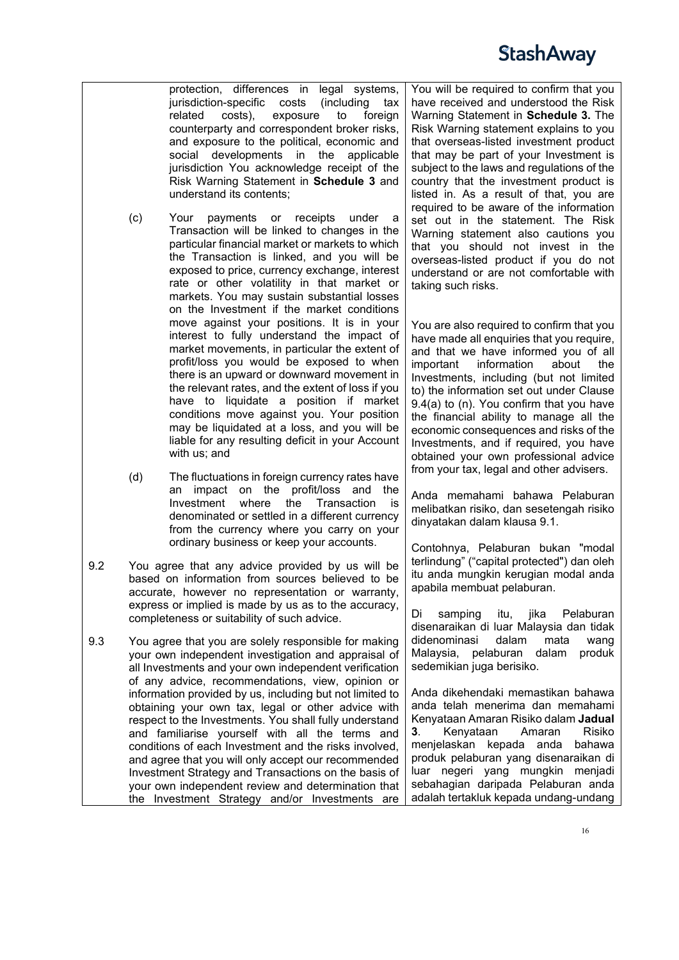protection, differences in legal systems,<br>jurisdiction-specific costs (including tax jurisdiction-specific costs related costs), exposure to foreign counterparty and correspondent broker risks, and exposure to the political, economic and social developments in the applicable jurisdiction You acknowledge receipt of the Risk Warning Statement in **Schedule 3** and understand its contents;

- (c) Your payments or receipts under a Transaction will be linked to changes in the particular financial market or markets to which the Transaction is linked, and you will be exposed to price, currency exchange, interest rate or other volatility in that market or markets. You may sustain substantial losses on the Investment if the market conditions move against your positions. It is in your interest to fully understand the impact of market movements, in particular the extent of profit/loss you would be exposed to when there is an upward or downward movement in the relevant rates, and the extent of loss if you have to liquidate a position if market conditions move against you. Your position may be liquidated at a loss, and you will be liable for any resulting deficit in your Account with us; and
- (d) The fluctuations in foreign currency rates have an impact on the profit/loss and the<br>Investment where the Transaction is Investment where the denominated or settled in a different currency from the currency where you carry on your ordinary business or keep your accounts.
- 9.2 You agree that any advice provided by us will be based on information from sources believed to be accurate, however no representation or warranty, express or implied is made by us as to the accuracy, completeness or suitability of such advice.
- 9.3 You agree that you are solely responsible for making your own independent investigation and appraisal of all Investments and your own independent verification of any advice, recommendations, view, opinion or information provided by us, including but not limited to obtaining your own tax, legal or other advice with respect to the Investments. You shall fully understand and familiarise yourself with all the terms and conditions of each Investment and the risks involved, and agree that you will only accept our recommended Investment Strategy and Transactions on the basis of your own independent review and determination that the Investment Strategy and/or Investments are

You will be required to confirm that you have received and understood the Risk Warning Statement in **Schedule 3.** The Risk Warning statement explains to you that overseas-listed investment product that may be part of your Investment is subject to the laws and regulations of the country that the investment product is listed in. As a result of that, you are required to be aware of the information set out in the statement. The Risk Warning statement also cautions you that you should not invest in the overseas-listed product if you do not understand or are not comfortable with taking such risks.

You are also required to confirm that you have made all enquiries that you require, and that we have informed you of all important information about the Investments, including (but not limited to) the information set out under Clause 9.4(a) to (n). You confirm that you have the financial ability to manage all the economic consequences and risks of the Investments, and if required, you have obtained your own professional advice from your tax, legal and other advisers.

Anda memahami bahawa Pelaburan melibatkan risiko, dan sesetengah risiko dinyatakan dalam klausa 9.1.

Contohnya, Pelaburan bukan "modal terlindung" ("capital protected") dan oleh itu anda mungkin kerugian modal anda apabila membuat pelaburan.

samping itu, jika Pelaburan disenaraikan di luar Malaysia dan tidak didenominasi dalam mata wang Malaysia, pelaburan dalam produk sedemikian juga berisiko.

Anda dikehendaki memastikan bahawa anda telah menerima dan memahami Kenyataan Amaran Risiko dalam **Jadual 3.** Kenyataan menjelaskan kepada anda bahawa produk pelaburan yang disenaraikan di luar negeri yang mungkin menjadi sebahagian daripada Pelaburan anda adalah tertakluk kepada undang-undang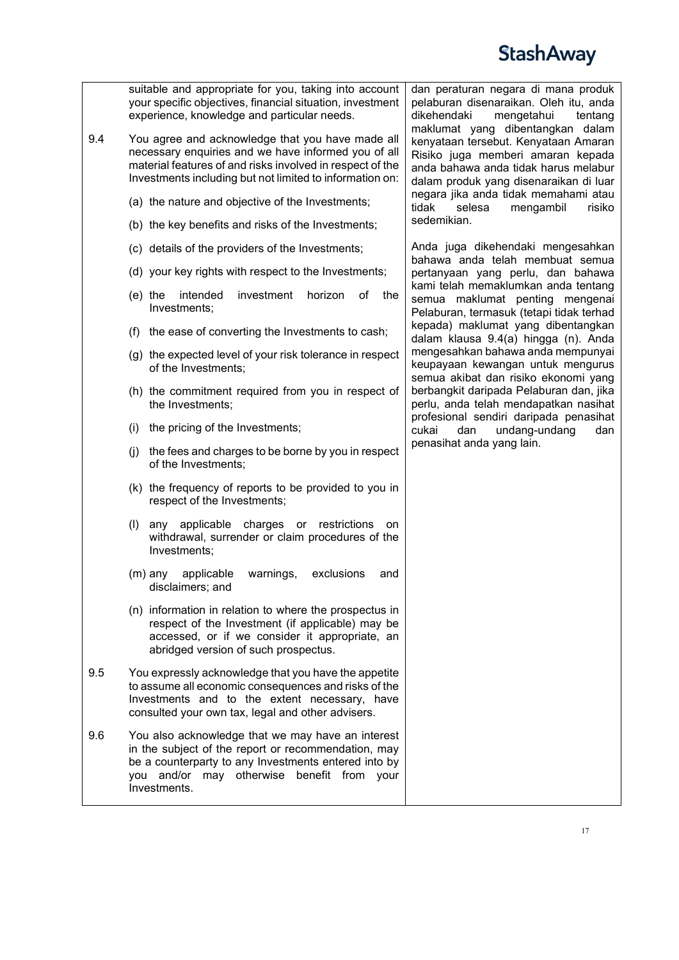| 9.4 | suitable and appropriate for you, taking into account<br>your specific objectives, financial situation, investment<br>experience, knowledge and particular needs.<br>You agree and acknowledge that you have made all<br>necessary enquiries and we have informed you of all<br>material features of and risks involved in respect of the<br>Investments including but not limited to information on: | dan peraturan negara di mana produk<br>pelaburan disenaraikan. Oleh itu, anda<br>dikehendaki<br>mengetahui<br>tentang<br>maklumat yang dibentangkan dalam<br>kenyataan tersebut. Kenyataan Amaran<br>Risiko juga memberi amaran kepada<br>anda bahawa anda tidak harus melabur<br>dalam produk yang disenaraikan di luar |
|-----|-------------------------------------------------------------------------------------------------------------------------------------------------------------------------------------------------------------------------------------------------------------------------------------------------------------------------------------------------------------------------------------------------------|--------------------------------------------------------------------------------------------------------------------------------------------------------------------------------------------------------------------------------------------------------------------------------------------------------------------------|
|     | (a) the nature and objective of the Investments;                                                                                                                                                                                                                                                                                                                                                      | negara jika anda tidak memahami atau<br>tidak<br>selesa<br>risiko<br>mengambil                                                                                                                                                                                                                                           |
|     | (b) the key benefits and risks of the Investments;                                                                                                                                                                                                                                                                                                                                                    | sedemikian.                                                                                                                                                                                                                                                                                                              |
|     | (c) details of the providers of the Investments;                                                                                                                                                                                                                                                                                                                                                      | Anda juga dikehendaki mengesahkan<br>bahawa anda telah membuat semua                                                                                                                                                                                                                                                     |
|     | (d) your key rights with respect to the Investments;                                                                                                                                                                                                                                                                                                                                                  | pertanyaan yang perlu, dan bahawa                                                                                                                                                                                                                                                                                        |
|     | investment<br>$(e)$ the<br>intended<br>horizon<br>οf<br>the<br>Investments;                                                                                                                                                                                                                                                                                                                           | kami telah memaklumkan anda tentang<br>semua maklumat penting mengenai<br>Pelaburan, termasuk (tetapi tidak terhad                                                                                                                                                                                                       |
|     | (f) the ease of converting the Investments to cash;                                                                                                                                                                                                                                                                                                                                                   | kepada) maklumat yang dibentangkan<br>dalam klausa 9.4(a) hingga (n). Anda                                                                                                                                                                                                                                               |
|     | (g) the expected level of your risk tolerance in respect<br>of the Investments;                                                                                                                                                                                                                                                                                                                       | mengesahkan bahawa anda mempunyai<br>keupayaan kewangan untuk mengurus<br>semua akibat dan risiko ekonomi yang                                                                                                                                                                                                           |
|     | (h) the commitment required from you in respect of<br>the Investments;                                                                                                                                                                                                                                                                                                                                | berbangkit daripada Pelaburan dan, jika<br>perlu, anda telah mendapatkan nasihat                                                                                                                                                                                                                                         |
|     | the pricing of the Investments;<br>(i)                                                                                                                                                                                                                                                                                                                                                                | profesional sendiri daripada penasihat<br>cukai<br>undang-undang<br>dan<br>dan                                                                                                                                                                                                                                           |
|     | the fees and charges to be borne by you in respect<br>(j)<br>of the Investments;                                                                                                                                                                                                                                                                                                                      | penasihat anda yang lain.                                                                                                                                                                                                                                                                                                |
|     | (k) the frequency of reports to be provided to you in<br>respect of the Investments;                                                                                                                                                                                                                                                                                                                  |                                                                                                                                                                                                                                                                                                                          |
|     | (1)<br>any applicable<br>charges or restrictions<br>on<br>withdrawal, surrender or claim procedures of the<br>Investments;                                                                                                                                                                                                                                                                            |                                                                                                                                                                                                                                                                                                                          |
|     | applicable<br>warnings,<br>exclusions<br>$(m)$ any<br>and<br>disclaimers; and                                                                                                                                                                                                                                                                                                                         |                                                                                                                                                                                                                                                                                                                          |
|     | (n) information in relation to where the prospectus in<br>respect of the Investment (if applicable) may be<br>accessed, or if we consider it appropriate, an<br>abridged version of such prospectus.                                                                                                                                                                                                  |                                                                                                                                                                                                                                                                                                                          |
| 9.5 | You expressly acknowledge that you have the appetite<br>to assume all economic consequences and risks of the<br>Investments and to the extent necessary, have<br>consulted your own tax, legal and other advisers.                                                                                                                                                                                    |                                                                                                                                                                                                                                                                                                                          |
| 9.6 | You also acknowledge that we may have an interest<br>in the subject of the report or recommendation, may<br>be a counterparty to any Investments entered into by<br>you and/or may otherwise benefit from your<br>Investments.                                                                                                                                                                        |                                                                                                                                                                                                                                                                                                                          |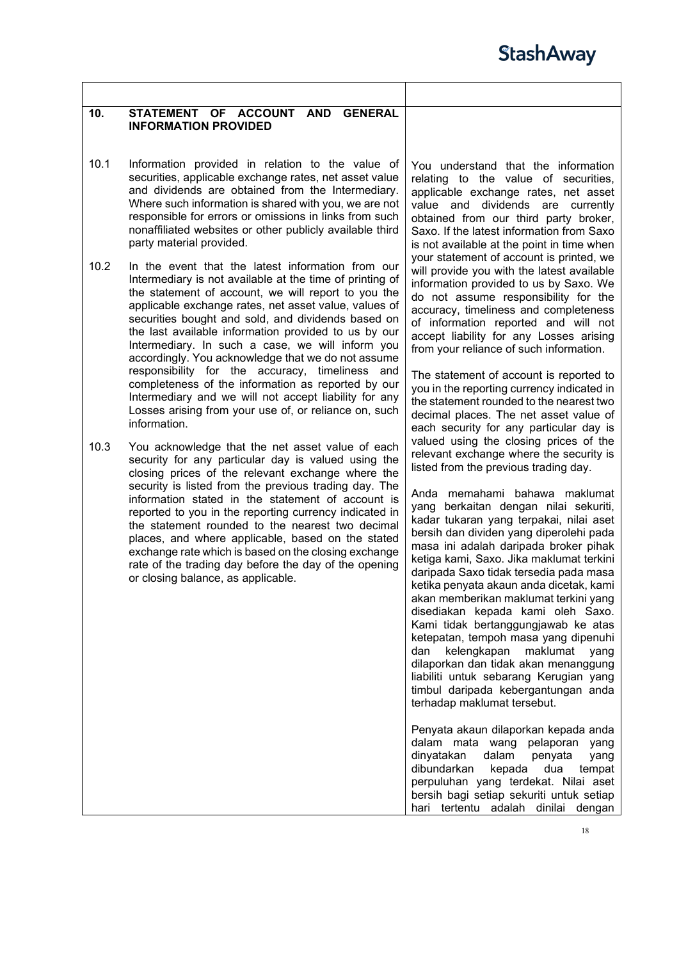<span id="page-17-0"></span>

| 10.  | STATEMENT OF ACCOUNT AND GENERAL<br><b>INFORMATION PROVIDED</b>                                                                                                                                                                                                                                                                                                                                                                                                                                                                                                                                                                                                                                  |                                                                                                                                                                                                                                                                                                                                                                                                                                                                                                                                                                                                                                                                                                                                                                                                                                                                                                                                                                                                                                                                                                                                 |
|------|--------------------------------------------------------------------------------------------------------------------------------------------------------------------------------------------------------------------------------------------------------------------------------------------------------------------------------------------------------------------------------------------------------------------------------------------------------------------------------------------------------------------------------------------------------------------------------------------------------------------------------------------------------------------------------------------------|---------------------------------------------------------------------------------------------------------------------------------------------------------------------------------------------------------------------------------------------------------------------------------------------------------------------------------------------------------------------------------------------------------------------------------------------------------------------------------------------------------------------------------------------------------------------------------------------------------------------------------------------------------------------------------------------------------------------------------------------------------------------------------------------------------------------------------------------------------------------------------------------------------------------------------------------------------------------------------------------------------------------------------------------------------------------------------------------------------------------------------|
| 10.1 | Information provided in relation to the value of<br>securities, applicable exchange rates, net asset value<br>and dividends are obtained from the Intermediary.<br>Where such information is shared with you, we are not<br>responsible for errors or omissions in links from such<br>nonaffiliated websites or other publicly available third<br>party material provided.                                                                                                                                                                                                                                                                                                                       | You understand that the information<br>relating to the value of securities,<br>applicable exchange rates, net asset<br>value and dividends are currently<br>obtained from our third party broker,<br>Saxo. If the latest information from Saxo<br>is not available at the point in time when                                                                                                                                                                                                                                                                                                                                                                                                                                                                                                                                                                                                                                                                                                                                                                                                                                    |
| 10.2 | In the event that the latest information from our<br>Intermediary is not available at the time of printing of<br>the statement of account, we will report to you the<br>applicable exchange rates, net asset value, values of<br>securities bought and sold, and dividends based on<br>the last available information provided to us by our<br>Intermediary. In such a case, we will inform you<br>accordingly. You acknowledge that we do not assume<br>responsibility for the accuracy, timeliness and<br>completeness of the information as reported by our<br>Intermediary and we will not accept liability for any<br>Losses arising from your use of, or reliance on, such<br>information. | your statement of account is printed, we<br>will provide you with the latest available<br>information provided to us by Saxo. We<br>do not assume responsibility for the<br>accuracy, timeliness and completeness<br>of information reported and will not<br>accept liability for any Losses arising<br>from your reliance of such information.<br>The statement of account is reported to<br>you in the reporting currency indicated in<br>the statement rounded to the nearest two<br>decimal places. The net asset value of<br>each security for any particular day is                                                                                                                                                                                                                                                                                                                                                                                                                                                                                                                                                       |
| 10.3 | You acknowledge that the net asset value of each<br>security for any particular day is valued using the<br>closing prices of the relevant exchange where the<br>security is listed from the previous trading day. The<br>information stated in the statement of account is<br>reported to you in the reporting currency indicated in<br>the statement rounded to the nearest two decimal<br>places, and where applicable, based on the stated<br>exchange rate which is based on the closing exchange<br>rate of the trading day before the day of the opening<br>or closing balance, as applicable.                                                                                             | valued using the closing prices of the<br>relevant exchange where the security is<br>listed from the previous trading day.<br>Anda memahami bahawa maklumat<br>yang berkaitan dengan nilai sekuriti,<br>kadar tukaran yang terpakai, nilai aset<br>bersih dan dividen yang diperolehi pada<br>masa ini adalah daripada broker pihak<br>ketiga kami, Saxo. Jika maklumat terkini<br>daripada Saxo tidak tersedia pada masa<br>ketika penyata akaun anda dicetak, kami<br>akan memberikan maklumat terkini yang<br>disediakan kepada kami oleh Saxo.<br>Kami tidak bertanggungjawab ke atas<br>ketepatan, tempoh masa yang dipenuhi<br>dan<br>kelengkapan<br>maklumat<br>yang<br>dilaporkan dan tidak akan menanggung<br>liabiliti untuk sebarang Kerugian yang<br>timbul daripada kebergantungan anda<br>terhadap maklumat tersebut.<br>Penyata akaun dilaporkan kepada anda<br>dalam mata wang pelaporan<br>yang<br>dinyatakan<br>dalam<br>penyata<br>yang<br>dibundarkan<br>dua<br>kepada<br>tempat<br>perpuluhan yang terdekat. Nilai aset<br>bersih bagi setiap sekuriti untuk setiap<br>hari tertentu adalah dinilai dengan |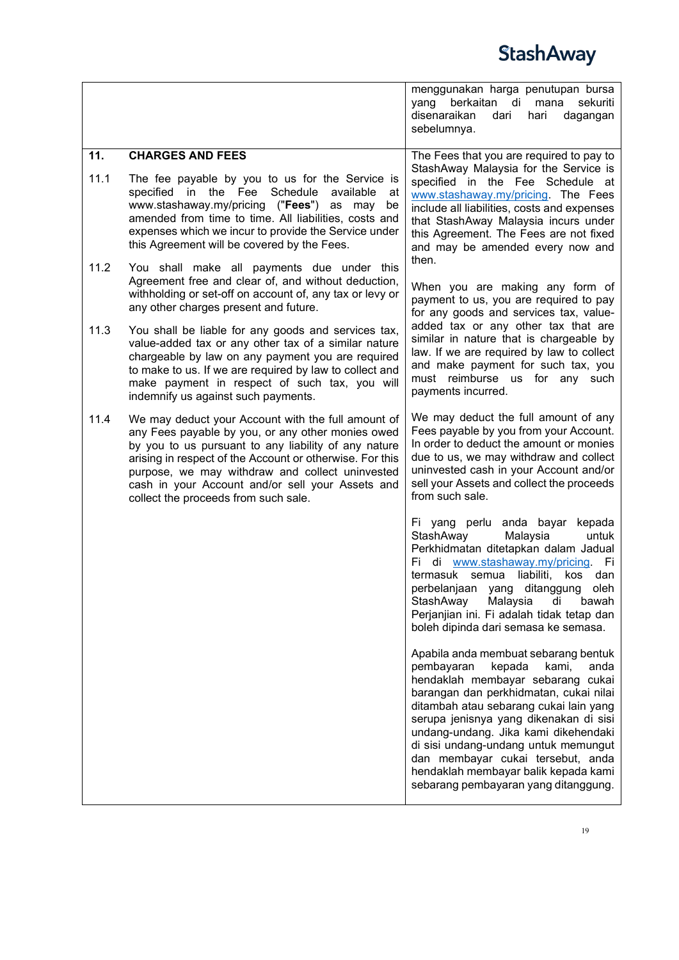<span id="page-18-0"></span>

|             |                                                                                                                                                                                                                                                                                                                                                                            | menggunakan harga penutupan bursa<br>berkaitan<br>di<br>yang<br>mana<br>sekuriti<br>disenaraikan<br>dagangan<br>dari<br>hari<br>sebelumnya.                                                                                                                                                                                                                                                                                                           |
|-------------|----------------------------------------------------------------------------------------------------------------------------------------------------------------------------------------------------------------------------------------------------------------------------------------------------------------------------------------------------------------------------|-------------------------------------------------------------------------------------------------------------------------------------------------------------------------------------------------------------------------------------------------------------------------------------------------------------------------------------------------------------------------------------------------------------------------------------------------------|
| 11.<br>11.1 | <b>CHARGES AND FEES</b><br>The fee payable by you to us for the Service is<br>Schedule<br>specified in the Fee<br>available<br>at<br>www.stashaway.my/pricing ("Fees") as may<br>be<br>amended from time to time. All liabilities, costs and<br>expenses which we incur to provide the Service under<br>this Agreement will be covered by the Fees.                        | The Fees that you are required to pay to<br>StashAway Malaysia for the Service is<br>specified in the Fee Schedule at<br>www.stashaway.my/pricing. The Fees<br>include all liabilities, costs and expenses<br>that StashAway Malaysia incurs under<br>this Agreement. The Fees are not fixed<br>and may be amended every now and                                                                                                                      |
| 11.2        | You shall make all payments due under this<br>Agreement free and clear of, and without deduction,<br>withholding or set-off on account of, any tax or levy or<br>any other charges present and future.                                                                                                                                                                     | then.<br>When you are making any form of<br>payment to us, you are required to pay<br>for any goods and services tax, value-                                                                                                                                                                                                                                                                                                                          |
| 11.3        | You shall be liable for any goods and services tax,<br>value-added tax or any other tax of a similar nature<br>chargeable by law on any payment you are required<br>to make to us. If we are required by law to collect and<br>make payment in respect of such tax, you will<br>indemnify us against such payments.                                                        | added tax or any other tax that are<br>similar in nature that is chargeable by<br>law. If we are required by law to collect<br>and make payment for such tax, you<br>must reimburse us for any such<br>payments incurred.                                                                                                                                                                                                                             |
| 11.4        | We may deduct your Account with the full amount of<br>any Fees payable by you, or any other monies owed<br>by you to us pursuant to any liability of any nature<br>arising in respect of the Account or otherwise. For this<br>purpose, we may withdraw and collect uninvested<br>cash in your Account and/or sell your Assets and<br>collect the proceeds from such sale. | We may deduct the full amount of any<br>Fees payable by you from your Account.<br>In order to deduct the amount or monies<br>due to us, we may withdraw and collect<br>uninvested cash in your Account and/or<br>sell your Assets and collect the proceeds<br>from such sale.                                                                                                                                                                         |
|             |                                                                                                                                                                                                                                                                                                                                                                            | Fi yang perlu anda bayar kepada<br>StashAway<br>Malaysia<br>untuk<br>Perkhidmatan ditetapkan dalam Jadual<br>Fi di www.stashaway.my/pricing.<br>Fi<br>termasuk semua liabiliti, kos dan<br>perbelanjaan yang ditanggung oleh<br>StashAway<br>Malaysia<br>di<br>bawah<br>Perjanjian ini. Fi adalah tidak tetap dan<br>boleh dipinda dari semasa ke semasa.                                                                                             |
|             |                                                                                                                                                                                                                                                                                                                                                                            | Apabila anda membuat sebarang bentuk<br>pembayaran<br>kepada<br>kami,<br>anda<br>hendaklah membayar sebarang cukai<br>barangan dan perkhidmatan, cukai nilai<br>ditambah atau sebarang cukai lain yang<br>serupa jenisnya yang dikenakan di sisi<br>undang-undang. Jika kami dikehendaki<br>di sisi undang-undang untuk memungut<br>dan membayar cukai tersebut, anda<br>hendaklah membayar balik kepada kami<br>sebarang pembayaran yang ditanggung. |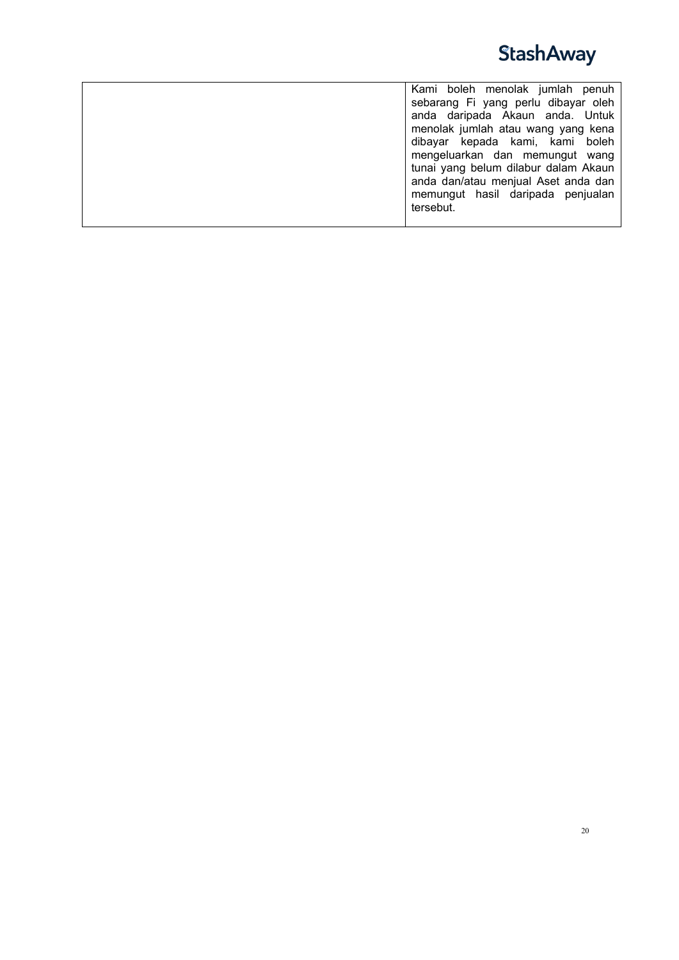

| Kami boleh menolak jumlah penuh<br>sebarang Fi yang perlu dibayar oleh<br>anda daripada Akaun anda. Untuk<br>menolak jumlah atau wang yang kena<br>dibayar kepada kami, kami boleh<br>mengeluarkan dan memungut wang<br>tunai yang belum dilabur dalam Akaun<br>anda dan/atau menjual Aset anda dan<br>memungut hasil daripada penjualan<br>tersebut. |
|-------------------------------------------------------------------------------------------------------------------------------------------------------------------------------------------------------------------------------------------------------------------------------------------------------------------------------------------------------|
|-------------------------------------------------------------------------------------------------------------------------------------------------------------------------------------------------------------------------------------------------------------------------------------------------------------------------------------------------------|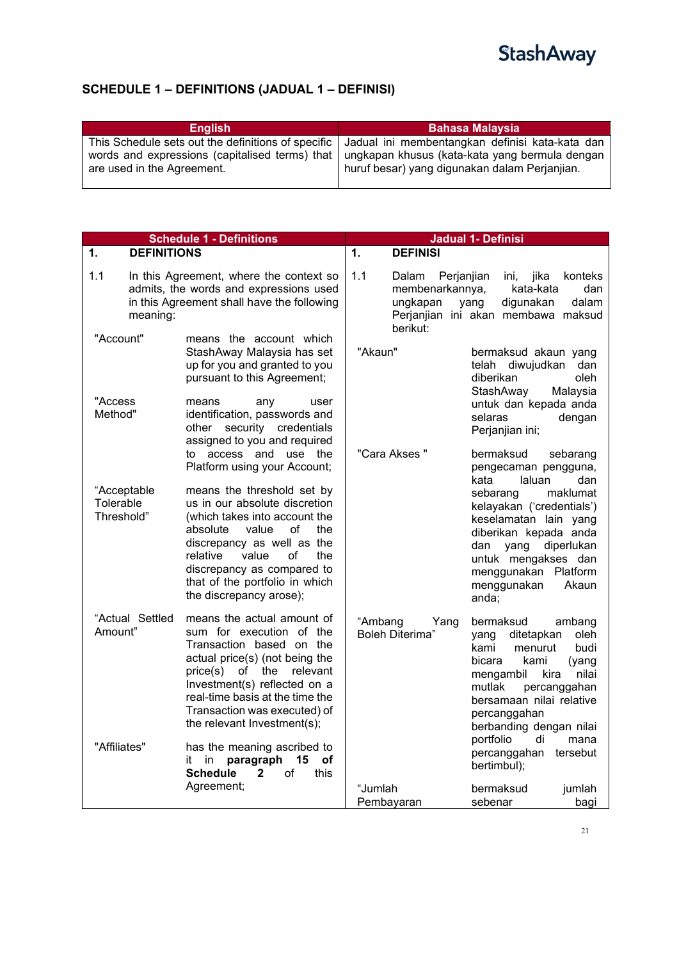### <span id="page-20-0"></span>**SCHEDULE 1 – DEFINITIONS (JADUAL 1 – DEFINISI)**

| <b>English</b>                                     | <b>Bahasa Malaysia</b>                          |
|----------------------------------------------------|-------------------------------------------------|
| This Schedule sets out the definitions of specific | Jadual ini membentangkan definisi kata-kata dan |
| words and expressions (capitalised terms) that     | ungkapan khusus (kata-kata yang bermula dengan  |
| are used in the Agreement.                         | huruf besar) yang digunakan dalam Perjanjian.   |

<span id="page-20-2"></span><span id="page-20-1"></span>

|                                        | <b>Schedule 1 - Definitions</b>                                                                                                                                                                                                                                                           | <b>Jadual 1- Definisi</b>                               |                                                                                                                                                                                                                                                                   |  |
|----------------------------------------|-------------------------------------------------------------------------------------------------------------------------------------------------------------------------------------------------------------------------------------------------------------------------------------------|---------------------------------------------------------|-------------------------------------------------------------------------------------------------------------------------------------------------------------------------------------------------------------------------------------------------------------------|--|
| <b>DEFINITIONS</b><br>1.               |                                                                                                                                                                                                                                                                                           | $\mathbf 1$ .<br><b>DEFINISI</b>                        |                                                                                                                                                                                                                                                                   |  |
| 1.1<br>meaning:<br>"Account"           | In this Agreement, where the context so<br>admits, the words and expressions used<br>in this Agreement shall have the following<br>means the account which                                                                                                                                | 1.1<br>Dalam<br>membenarkannya,<br>ungkapan<br>berikut: | Perjanjian<br>ini,<br>jika<br>konteks<br>kata-kata<br>dan<br>dalam<br>yang<br>digunakan<br>Perjanjian ini akan membawa maksud                                                                                                                                     |  |
| "Access                                | StashAway Malaysia has set<br>up for you and granted to you<br>pursuant to this Agreement;<br>means<br>any<br>user                                                                                                                                                                        | "Akaun"                                                 | bermaksud akaun yang<br>telah diwujudkan<br>dan<br>diberikan<br>oleh<br>StashAway<br>Malaysia<br>untuk dan kepada anda                                                                                                                                            |  |
| Method"                                | identification, passwords and<br>security credentials<br>other<br>assigned to you and required                                                                                                                                                                                            | "Cara Akses "                                           | selaras<br>dengan<br>Perjanjian ini;                                                                                                                                                                                                                              |  |
|                                        | to access and use the<br>Platform using your Account;                                                                                                                                                                                                                                     |                                                         | bermaksud<br>sebarang<br>pengecaman pengguna,<br>laluan<br>dan<br>kata                                                                                                                                                                                            |  |
| "Acceptable<br>Tolerable<br>Threshold" | means the threshold set by<br>us in our absolute discretion<br>(which takes into account the<br>absolute<br>value<br>οf<br>the<br>discrepancy as well as the<br>of<br>relative<br>value<br>the<br>discrepancy as compared to<br>that of the portfolio in which<br>the discrepancy arose); |                                                         | maklumat<br>sebarang<br>kelayakan ('credentials')<br>keselamatan lain yang<br>diberikan kepada anda<br>diperlukan<br>dan yang<br>untuk mengakses dan<br>menggunakan<br>Platform<br>menggunakan<br>Akaun<br>anda;                                                  |  |
| "Actual Settled<br>Amount"             | means the actual amount of<br>sum for execution of the<br>Transaction based on the<br>actual price(s) (not being the<br>price(s) of the relevant<br>Investment(s) reflected on a<br>real-time basis at the time the<br>Transaction was executed) of<br>the relevant Investment(s);        | "Ambang<br>Yang<br><b>Boleh Diterima"</b>               | bermaksud<br>ambang<br>ditetapkan<br>oleh<br>yang<br>kami<br>menurut<br>budi<br>bicara<br>kami<br>(yang<br>nilai<br>mengambil<br>kira<br>percanggahan<br>mutlak<br>bersamaan nilai relative<br>percanggahan<br>berbanding dengan nilai<br>portfolio<br>di<br>mana |  |
| "Affiliates"                           | has the meaning ascribed to<br>paragraph<br>in<br>15<br>οf<br>it<br><b>Schedule</b><br>$\overline{2}$<br>οf<br>this                                                                                                                                                                       |                                                         | percanggahan<br>tersebut<br>bertimbul);                                                                                                                                                                                                                           |  |
|                                        | Agreement;                                                                                                                                                                                                                                                                                | "Jumlah<br>Pembayaran                                   | bermaksud<br>jumlah<br>sebenar<br>bagi                                                                                                                                                                                                                            |  |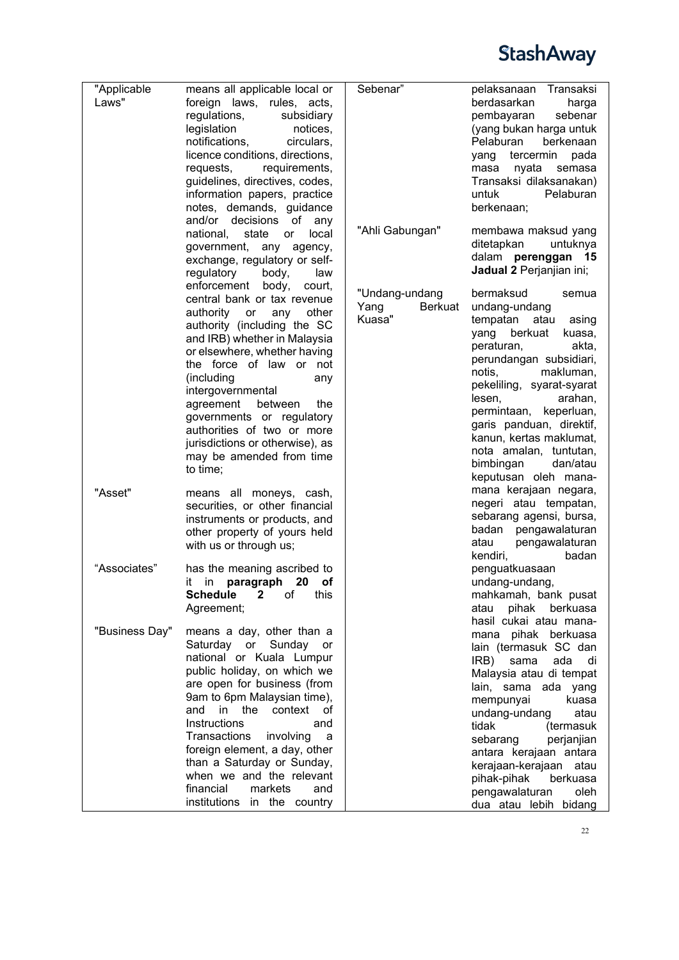| "Applicable    | means all applicable local or                               | Sebenar"        | Transaksi<br>pelaksanaan                         |
|----------------|-------------------------------------------------------------|-----------------|--------------------------------------------------|
| Laws"          | foreign laws, rules, acts,                                  |                 | berdasarkan<br>harga                             |
|                | regulations,<br>subsidiary                                  |                 | pembayaran<br>sebenar                            |
|                | legislation<br>notices,                                     |                 | (yang bukan harga untuk                          |
|                | notifications,<br>circulars,                                |                 | Pelaburan<br>berkenaan                           |
|                | licence conditions, directions,                             |                 | tercermin pada<br>yang                           |
|                | requests,<br>requirements,                                  |                 | masa<br>nyata<br>semasa                          |
|                | guidelines, directives, codes,                              |                 | Transaksi dilaksanakan)                          |
|                | information papers, practice                                |                 | untuk<br>Pelaburan                               |
|                | notes, demands, guidance                                    |                 | berkenaan;                                       |
|                | and/or decisions<br>of<br>any                               |                 |                                                  |
|                | national,<br>state<br>local<br>or                           | "Ahli Gabungan" | membawa maksud yang<br>ditetapkan<br>untuknya    |
|                | government, any agency,                                     |                 | dalam perenggan 15                               |
|                | exchange, regulatory or self-                               |                 | Jadual 2 Perjanjian ini;                         |
|                | regulatory<br>body,<br>law                                  |                 |                                                  |
|                | enforcement body,<br>court,                                 | "Undang-undang  | bermaksud<br>semua                               |
|                | central bank or tax revenue                                 | Yang<br>Berkuat | undang-undang                                    |
|                | authority or<br>any other                                   | Kuasa"          | tempatan atau<br>asing                           |
|                | authority (including the SC<br>and IRB) whether in Malaysia |                 | yang berkuat<br>kuasa,                           |
|                | or elsewhere, whether having                                |                 | peraturan,<br>akta,                              |
|                | the force of law or not                                     |                 | perundangan subsidiari,                          |
|                | (including<br>any                                           |                 | makluman,<br>notis,                              |
|                | intergovernmental                                           |                 | pekeliling, syarat-syarat                        |
|                | agreement<br>between<br>the                                 |                 | arahan,<br>lesen,                                |
|                | governments or regulatory                                   |                 | permintaan, keperluan,                           |
|                | authorities of two or more                                  |                 | garis panduan, direktif,                         |
|                | jurisdictions or otherwise), as                             |                 | kanun, kertas maklumat,                          |
|                | may be amended from time                                    |                 | nota amalan, tuntutan,                           |
|                | to time;                                                    |                 | bimbingan<br>dan/atau                            |
|                |                                                             |                 | keputusan oleh mana-                             |
| "Asset"        | means all moneys, cash,                                     |                 | mana kerajaan negara,                            |
|                | securities, or other financial                              |                 | negeri atau tempatan,<br>sebarang agensi, bursa, |
|                | instruments or products, and                                |                 | badan pengawalaturan                             |
|                | other property of yours held                                |                 | pengawalaturan<br>atau                           |
|                | with us or through us;                                      |                 | badan<br>kendiri,                                |
| "Associates"   | has the meaning ascribed to                                 |                 | penguatkuasaan                                   |
|                | in paragraph 20 of<br>it.                                   |                 | undang-undang,                                   |
|                | Schedule 2<br>of this                                       |                 | mahkamah, bank pusat                             |
|                | Agreement;                                                  |                 | pihak<br>atau<br>berkuasa                        |
|                |                                                             |                 | hasil cukai atau mana-                           |
| "Business Day" | means a day, other than a                                   |                 | mana pihak berkuasa                              |
|                | Saturday or Sunday<br>or                                    |                 | lain (termasuk SC dan                            |
|                | national or Kuala Lumpur                                    |                 | IRB)<br>sama<br>ada<br>di                        |
|                | public holiday, on which we                                 |                 | Malaysia atau di tempat                          |
|                | are open for business (from                                 |                 | lain, sama ada yang                              |
|                | 9am to 6pm Malaysian time),                                 |                 | kuasa<br>mempunyai                               |
|                | and in the context<br>0f                                    |                 | undang-undang<br>atau                            |
|                | Instructions<br>and                                         |                 | tidak<br>(termasuk                               |
|                | Transactions<br>involving<br>a                              |                 | sebarang<br>perjanjian                           |
|                | foreign element, a day, other<br>than a Saturday or Sunday, |                 | antara kerajaan antara                           |
|                | when we and the relevant                                    |                 | kerajaan-kerajaan atau                           |
|                | financial<br>markets<br>and                                 |                 | pihak-pihak<br>berkuasa<br>oleh                  |
|                | institutions in the country                                 |                 | pengawalaturan<br>dua atau lebih bidang          |
|                |                                                             |                 |                                                  |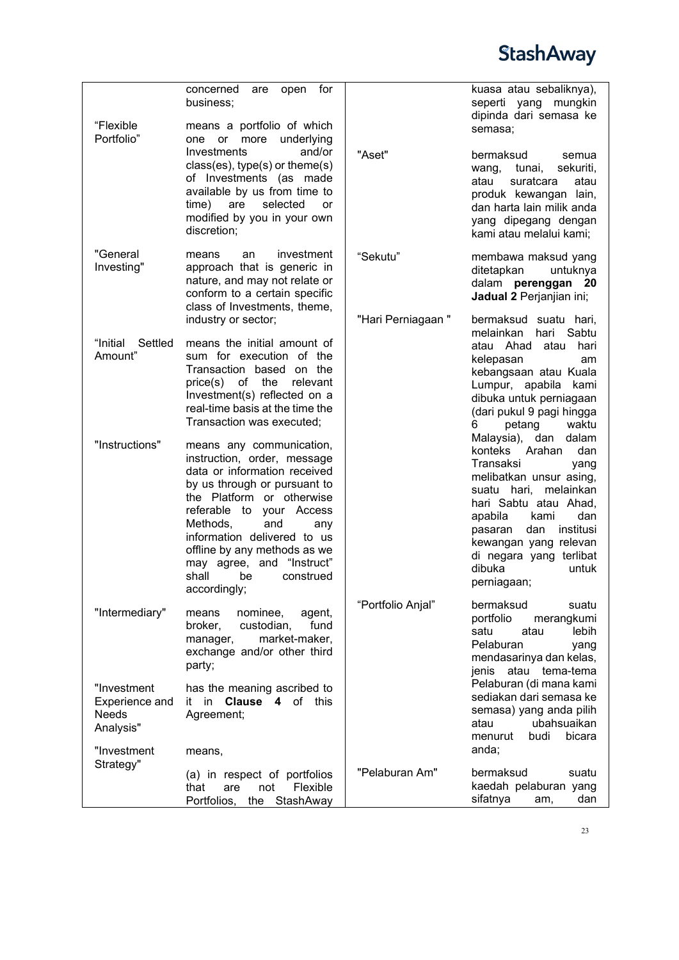| "Flexible<br>Portfolio"                                            | for<br>concerned<br>open<br>are<br>business;<br>means a portfolio of which<br>underlying<br>one or<br>more<br>and/or<br>Investments<br>$class(es)$ , type $(s)$ or theme $(s)$<br>of Investments (as made<br>available by us from time to<br>are<br>selected<br>time)<br>or<br>modified by you in your own<br>discretion;                             | "Aset"            | kuasa atau sebaliknya),<br>seperti yang<br>mungkin<br>dipinda dari semasa ke<br>semasa;<br>bermaksud<br>semua<br>tunai,<br>sekuriti,<br>wang,<br>suratcara<br>atau<br>atau<br>produk kewangan lain,<br>dan harta lain milik anda<br>yang dipegang dengan<br>kami atau melalui kami;                     |
|--------------------------------------------------------------------|-------------------------------------------------------------------------------------------------------------------------------------------------------------------------------------------------------------------------------------------------------------------------------------------------------------------------------------------------------|-------------------|---------------------------------------------------------------------------------------------------------------------------------------------------------------------------------------------------------------------------------------------------------------------------------------------------------|
| "General<br>Investing"                                             | investment<br>means<br>an<br>approach that is generic in<br>nature, and may not relate or<br>conform to a certain specific<br>class of Investments, theme,                                                                                                                                                                                            | "Sekutu"          | membawa maksud yang<br>ditetapkan<br>untuknya<br>dalam perenggan 20<br>Jadual 2 Perjanjian ini;                                                                                                                                                                                                         |
| "Initial<br>Settled<br>Amount"                                     | industry or sector;<br>means the initial amount of<br>sum for execution of the<br>Transaction based on the<br>the<br>price(s) of<br>relevant<br>Investment(s) reflected on a<br>real-time basis at the time the<br>Transaction was executed;                                                                                                          | "Hari Perniagaan" | bermaksud suatu hari,<br>melainkan<br>hari<br>Sabtu<br>atau Ahad<br>atau<br>hari<br>kelepasan<br>am<br>kebangsaan atau Kuala<br>Lumpur, apabila kami<br>dibuka untuk perniagaan<br>(dari pukul 9 pagi hingga<br>waktu<br>petang<br>6                                                                    |
| "Instructions"                                                     | means any communication,<br>instruction, order, message<br>data or information received<br>by us through or pursuant to<br>the Platform or otherwise<br>referable to<br>your Access<br>Methods,<br>and<br>any<br>information delivered to us<br>offline by any methods as we<br>may agree, and "Instruct"<br>shall<br>construed<br>be<br>accordingly; |                   | Malaysia),<br>dan<br>dalam<br>konteks<br>Arahan<br>dan<br>Transaksi<br>yang<br>melibatkan unsur asing,<br>suatu hari, melainkan<br>hari Sabtu atau Ahad,<br>dan<br>apabila<br>kami<br>dan<br>institusi<br>pasaran<br>kewangan yang relevan<br>di negara yang terlibat<br>dibuka<br>untuk<br>perniagaan; |
| "Intermediary"                                                     | nominee,<br>agent,<br>means<br>fund<br>broker,<br>custodian,<br>market-maker,<br>manager,<br>exchange and/or other third<br>party;                                                                                                                                                                                                                    | "Portfolio Anjal" | bermaksud<br>suatu<br>portfolio<br>merangkumi<br>lebih<br>satu<br>atau<br>Pelaburan<br>yang<br>mendasarinya dan kelas,<br>atau tema-tema<br>jenis                                                                                                                                                       |
| "Investment<br>Experience and<br>Needs<br>Analysis"<br>"Investment | has the meaning ascribed to<br>it in <b>Clause 4</b> of this<br>Agreement;<br>means,                                                                                                                                                                                                                                                                  |                   | Pelaburan (di mana kami<br>sediakan dari semasa ke<br>semasa) yang anda pilih<br>ubahsuaikan<br>atau<br>bicara<br>menurut<br>budi<br>anda;                                                                                                                                                              |
| Strategy"                                                          | (a) in respect of portfolios<br>Flexible<br>that<br>are<br>not<br>Portfolios,<br>StashAway<br>the                                                                                                                                                                                                                                                     | "Pelaburan Am"    | bermaksud<br>suatu<br>kaedah pelaburan yang<br>sifatnya<br>dan<br>am,                                                                                                                                                                                                                                   |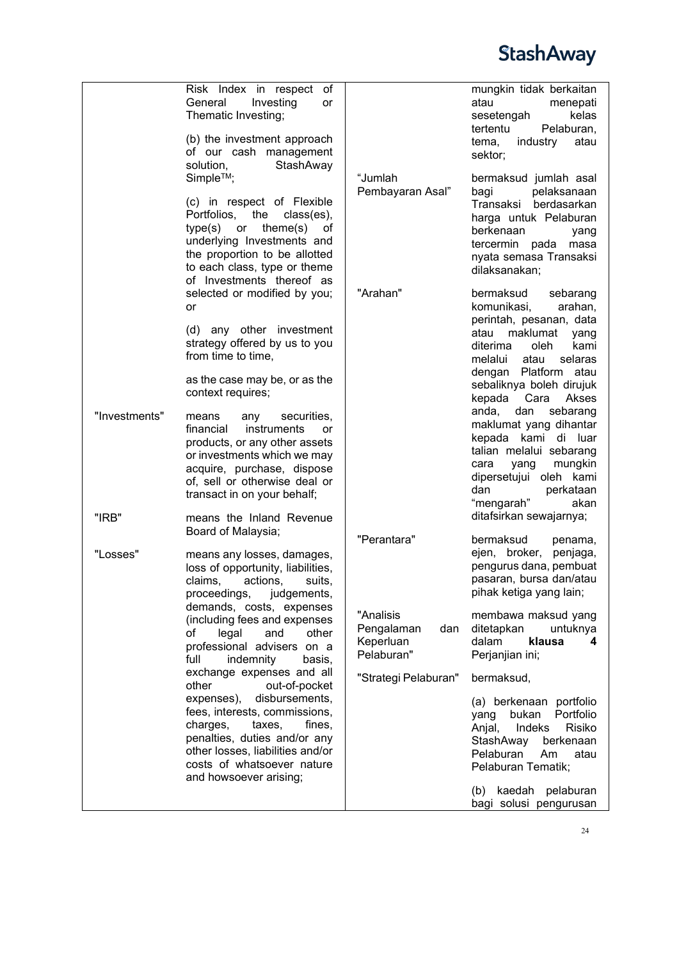

|               | Risk Index in respect of<br>General<br>Investing<br>or<br>Thematic Investing;<br>(b) the investment approach<br>of our cash management<br>solution,<br>StashAway<br>Simple™;<br>(c) in respect of Flexible<br>Portfolios,<br>the<br>class(es),<br>type(s)<br>theme(s)<br>or<br>ot<br>underlying Investments and<br>the proportion to be allotted<br>to each class, type or theme<br>of Investments thereof as<br>selected or modified by you;<br>or<br>(d) any other investment<br>strategy offered by us to you<br>from time to time,<br>as the case may be, or as the<br>context requires; | "Jumlah<br>Pembayaran Asal"<br>"Arahan"                                                          | mungkin tidak berkaitan<br>atau<br>menepati<br>sesetengah<br>kelas<br>tertentu<br>Pelaburan,<br>industry<br>tema,<br>atau<br>sektor;<br>bermaksud jumlah asal<br>pelaksanaan<br>bagi<br>Transaksi berdasarkan<br>harga untuk Pelaburan<br>berkenaan<br>yang<br>tercermin pada<br>masa<br>nyata semasa Transaksi<br>dilaksanakan;<br>bermaksud<br>sebarang<br>komunikasi,<br>arahan,<br>perintah, pesanan, data<br>maklumat<br>atau<br>yang<br>kami<br>diterima<br>oleh.<br>melalui<br>atau<br>selaras<br>dengan Platform atau<br>sebaliknya boleh dirujuk |
|---------------|----------------------------------------------------------------------------------------------------------------------------------------------------------------------------------------------------------------------------------------------------------------------------------------------------------------------------------------------------------------------------------------------------------------------------------------------------------------------------------------------------------------------------------------------------------------------------------------------|--------------------------------------------------------------------------------------------------|-----------------------------------------------------------------------------------------------------------------------------------------------------------------------------------------------------------------------------------------------------------------------------------------------------------------------------------------------------------------------------------------------------------------------------------------------------------------------------------------------------------------------------------------------------------|
| "Investments" | securities,<br>means<br>any<br>instruments<br>financial<br>or<br>products, or any other assets<br>or investments which we may<br>acquire, purchase, dispose<br>of, sell or otherwise deal or<br>transact in on your behalf;                                                                                                                                                                                                                                                                                                                                                                  |                                                                                                  | kepada<br>Cara<br>Akses<br>anda,<br>dan<br>sebarang<br>maklumat yang dihantar<br>kepada kami di luar<br>talian melalui sebarang<br>mungkin<br>cara<br>yang<br>dipersetujui oleh kami<br>dan<br>perkataan<br>"mengarah"<br>akan                                                                                                                                                                                                                                                                                                                            |
| "IRB"         | means the Inland Revenue<br>Board of Malaysia;                                                                                                                                                                                                                                                                                                                                                                                                                                                                                                                                               |                                                                                                  | ditafsirkan sewajarnya;                                                                                                                                                                                                                                                                                                                                                                                                                                                                                                                                   |
| "Losses"      | means any losses, damages,<br>loss of opportunity, liabilities,<br>claims,<br>actions,<br>suits,<br>proceedings,<br>judgements,<br>demands, costs, expenses<br>(including fees and expenses<br>of<br>legal<br>other<br>and<br>professional advisers on a<br>full<br>indemnity<br>basis,<br>exchange expenses and all<br>other<br>out-of-pocket<br>disbursements,<br>expenses),<br>fees, interests, commissions,<br>charges,<br>taxes,<br>fines,                                                                                                                                              | "Perantara"<br>"Analisis<br>Pengalaman<br>dan<br>Keperluan<br>Pelaburan"<br>"Strategi Pelaburan" | bermaksud<br>penama,<br>ejen, broker,<br>penjaga,<br>pengurus dana, pembuat<br>pasaran, bursa dan/atau<br>pihak ketiga yang lain;<br>membawa maksud yang<br>ditetapkan<br>untuknya<br>klausa<br>dalam<br>4<br>Perjanjian ini;<br>bermaksud,<br>(a) berkenaan portfolio<br>Portfolio<br>bukan<br>yang<br>Indeks<br>Risiko                                                                                                                                                                                                                                  |
|               | penalties, duties and/or any<br>other losses, liabilities and/or<br>costs of whatsoever nature<br>and howsoever arising;                                                                                                                                                                                                                                                                                                                                                                                                                                                                     |                                                                                                  | Anjal,<br>StashAway<br>berkenaan<br>Pelaburan<br>Am<br>atau<br>Pelaburan Tematik;<br>(b) kaedah pelaburan                                                                                                                                                                                                                                                                                                                                                                                                                                                 |
|               |                                                                                                                                                                                                                                                                                                                                                                                                                                                                                                                                                                                              |                                                                                                  | bagi solusi pengurusan                                                                                                                                                                                                                                                                                                                                                                                                                                                                                                                                    |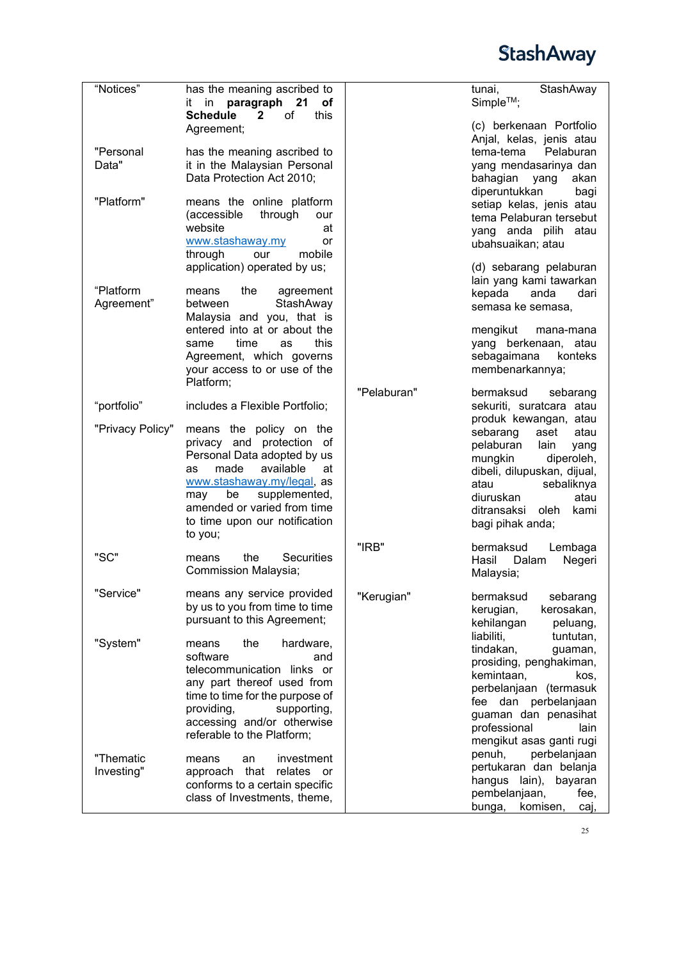| "Notices"               | has the meaning ascribed to<br>paragraph<br>21<br>in<br>οf<br>it<br>this<br><b>Schedule</b><br>$\mathbf{2}$<br>of                                                                                                                                           |             | StashAway<br>tunai,<br>Simple™;                                                                                                                                                                                                       |
|-------------------------|-------------------------------------------------------------------------------------------------------------------------------------------------------------------------------------------------------------------------------------------------------------|-------------|---------------------------------------------------------------------------------------------------------------------------------------------------------------------------------------------------------------------------------------|
|                         | Agreement;                                                                                                                                                                                                                                                  |             | (c) berkenaan Portfolio<br>Anjal, kelas, jenis atau                                                                                                                                                                                   |
| "Personal<br>Data"      | has the meaning ascribed to<br>it in the Malaysian Personal<br>Data Protection Act 2010;                                                                                                                                                                    |             | tema-tema<br>Pelaburan<br>yang mendasarinya dan<br>bahagian yang<br>akan                                                                                                                                                              |
| "Platform"              | means the online platform<br>(accessible<br>through<br>our<br>website<br>at<br>www.stashaway.my<br>or<br>through<br>mobile<br>our<br>application) operated by us;                                                                                           |             | diperuntukkan<br>bagi<br>setiap kelas, jenis atau<br>tema Pelaburan tersebut<br>yang anda pilih atau<br>ubahsuaikan; atau<br>(d) sebarang pelaburan                                                                                   |
| "Platform<br>Agreement" | the<br>agreement<br>means<br>StashAway<br>between<br>Malaysia and you, that is                                                                                                                                                                              |             | lain yang kami tawarkan<br>kepada<br>anda<br>dari<br>semasa ke semasa,                                                                                                                                                                |
|                         | entered into at or about the<br>this<br>time<br>same<br>as<br>Agreement, which governs<br>your access to or use of the<br>Platform;                                                                                                                         |             | mengikut<br>mana-mana<br>yang berkenaan, atau<br>sebagaimana<br>konteks<br>membenarkannya;                                                                                                                                            |
| "portfolio"             | includes a Flexible Portfolio;                                                                                                                                                                                                                              | "Pelaburan" | bermaksud<br>sebarang<br>sekuriti, suratcara atau                                                                                                                                                                                     |
| "Privacy Policy"        | means the policy on the<br>privacy and protection of<br>Personal Data adopted by us<br>made<br>available<br>at<br>as<br>www.stashaway.my/legal, as<br>supplemented,<br>be<br>may<br>amended or varied from time<br>to time upon our notification<br>to you; |             | produk kewangan, atau<br>sebarang<br>aset<br>atau<br>pelaburan<br>lain<br>yang<br>diperoleh,<br>mungkin<br>dibeli, dilupuskan, dijual,<br>sebaliknya<br>atau<br>diuruskan<br>atau<br>ditransaksi<br>oleh.<br>kami<br>bagi pihak anda; |
| "SC"                    | the<br><b>Securities</b><br>means<br>Commission Malaysia;                                                                                                                                                                                                   | "IRB"       | bermaksud<br>Lembaga<br>Dalam<br>Hasil<br>Negeri<br>Malaysia;                                                                                                                                                                         |
| "Service"               | means any service provided<br>by us to you from time to time<br>pursuant to this Agreement;                                                                                                                                                                 | "Kerugian"  | bermaksud<br>sebarang<br>kerugian,<br>kerosakan,<br>kehilangan<br>peluang,                                                                                                                                                            |
| "System"                | the<br>hardware,<br>means<br>software<br>and<br>telecommunication links or<br>any part thereof used from<br>time to time for the purpose of<br>providing,<br>supporting,<br>accessing and/or otherwise<br>referable to the Platform;                        |             | liabiliti,<br>tuntutan,<br>tindakan,<br>guaman,<br>prosiding, penghakiman,<br>kemintaan,<br>kos.<br>perbelanjaan (termasuk<br>dan perbelanjaan<br>fee<br>guaman dan penasihat<br>professional<br>lain<br>mengikut asas ganti rugi     |
| "Thematic<br>Investing" | investment<br>means<br>an<br>that<br>relates or<br>approach<br>conforms to a certain specific<br>class of Investments, theme,                                                                                                                               |             | perbelanjaan<br>penuh,<br>pertukaran dan belanja<br>hangus lain),<br>bayaran<br>pembelanjaan,<br>fee,<br>komisen,<br>bunga,<br>caj,                                                                                                   |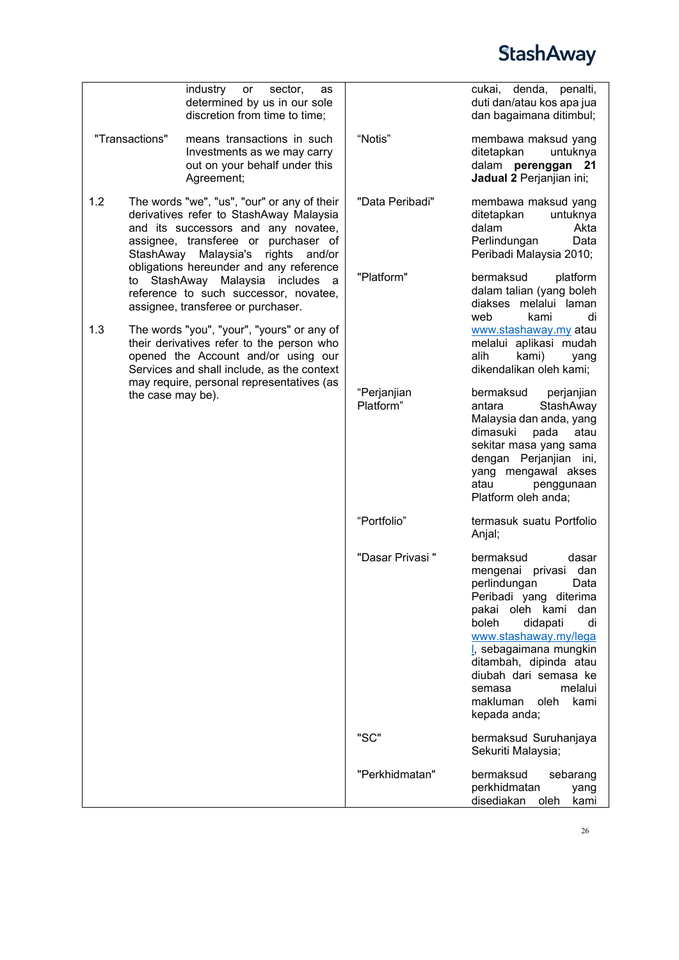

|                  | industry<br>sector,<br>or<br>as                                                                                                                                                                         |                          | cukai, denda, penalti,                                                                                                                                                                                                                                                                                                         |
|------------------|---------------------------------------------------------------------------------------------------------------------------------------------------------------------------------------------------------|--------------------------|--------------------------------------------------------------------------------------------------------------------------------------------------------------------------------------------------------------------------------------------------------------------------------------------------------------------------------|
|                  | determined by us in our sole<br>discretion from time to time;                                                                                                                                           |                          | duti dan/atau kos apa jua<br>dan bagaimana ditimbul;                                                                                                                                                                                                                                                                           |
| "Transactions"   | means transactions in such<br>Investments as we may carry<br>out on your behalf under this<br>Agreement;                                                                                                | "Notis"                  | membawa maksud yang<br>ditetapkan<br>untuknya<br>dalam perenggan<br>- 21<br>Jadual 2 Perjanjian ini;                                                                                                                                                                                                                           |
| 1.2<br>StashAway | The words "we", "us", "our" or any of their<br>derivatives refer to StashAway Malaysia<br>and its successors and any novatee,<br>assignee, transferee or purchaser of<br>Malaysia's<br>rights<br>and/or | "Data Peribadi"          | membawa maksud yang<br>ditetapkan<br>untuknya<br>dalam<br>Akta<br>Perlindungan<br>Data<br>Peribadi Malaysia 2010;                                                                                                                                                                                                              |
|                  | obligations hereunder and any reference<br>to StashAway Malaysia includes<br>a<br>reference to such successor, novatee,<br>assignee, transferee or purchaser.                                           | "Platform"               | bermaksud<br>platform<br>dalam talian (yang boleh<br>diakses melalui laman<br>web<br>kami<br>di                                                                                                                                                                                                                                |
| 1.3              | The words "you", "your", "yours" or any of<br>their derivatives refer to the person who<br>opened the Account and/or using our<br>Services and shall include, as the context                            |                          | www.stashaway.my atau<br>melalui aplikasi mudah<br>alih<br>kami)<br>yang<br>dikendalikan oleh kami;                                                                                                                                                                                                                            |
|                  | may require, personal representatives (as<br>the case may be).                                                                                                                                          | "Perjanjian<br>Platform" | bermaksud<br>perjanjian<br>StashAway<br>antara<br>Malaysia dan anda, yang<br>dimasuki<br>pada<br>atau<br>sekitar masa yang sama<br>dengan Perjanjian ini,<br>yang mengawal akses<br>atau<br>penggunaan<br>Platform oleh anda;                                                                                                  |
|                  |                                                                                                                                                                                                         | "Portfolio"              | termasuk suatu Portfolio<br>Anjal;                                                                                                                                                                                                                                                                                             |
|                  |                                                                                                                                                                                                         | "Dasar Privasi"          | bermaksud<br>dasar<br>dan<br>mengenai<br>privasi<br>perlindungan<br>Data<br>Peribadi yang diterima<br>pakai oleh kami<br>dan<br>boleh<br>didapati<br>di<br>www.stashaway.my/lega<br>I, sebagaimana mungkin<br>ditambah, dipinda atau<br>diubah dari semasa ke<br>melalui<br>semasa<br>oleh<br>makluman<br>kami<br>kepada anda; |
|                  |                                                                                                                                                                                                         | "SC"                     | bermaksud Suruhanjaya<br>Sekuriti Malaysia;                                                                                                                                                                                                                                                                                    |
|                  |                                                                                                                                                                                                         | "Perkhidmatan"           | bermaksud<br>sebarang<br>perkhidmatan<br>yang<br>disediakan<br>oleh<br>kami                                                                                                                                                                                                                                                    |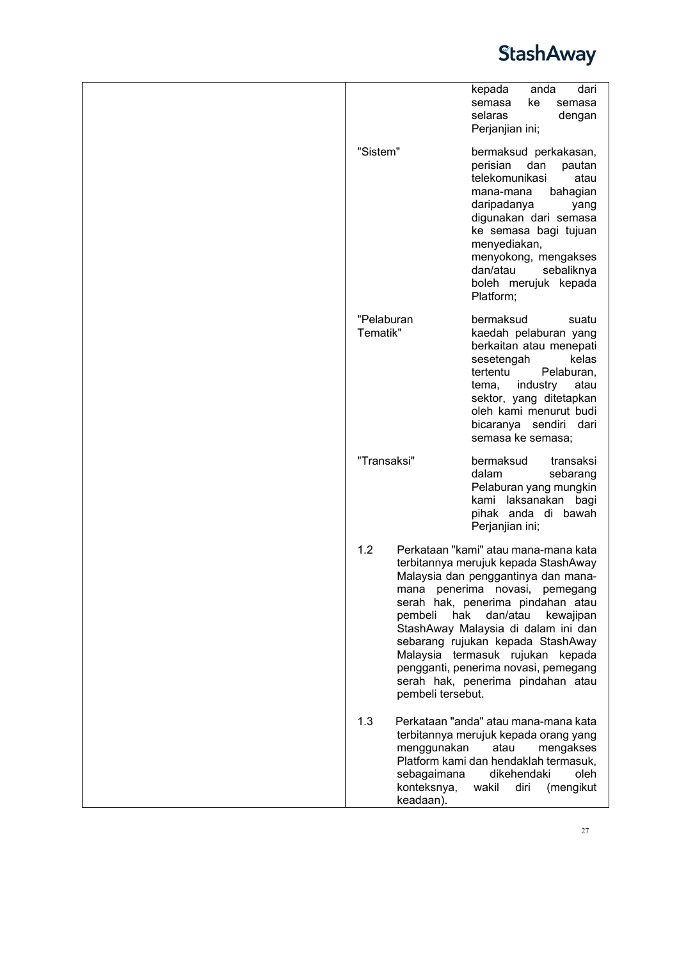|                                                               | kepada<br>anda<br>dari<br>semasa<br>ke<br>semasa<br>selaras<br>dengan<br>Perjanjian ini;                                                                                                                                                                                                                                                                                                                                |
|---------------------------------------------------------------|-------------------------------------------------------------------------------------------------------------------------------------------------------------------------------------------------------------------------------------------------------------------------------------------------------------------------------------------------------------------------------------------------------------------------|
| "Sistem"                                                      | bermaksud perkakasan,<br>perisian<br>dan<br>pautan<br>telekomunikasi<br>atau<br>bahagian<br>mana-mana<br>daripadanya<br>yang<br>digunakan dari semasa<br>ke semasa bagi tujuan<br>menyediakan,<br>menyokong, mengakses<br>dan/atau<br>sebaliknya<br>boleh merujuk kepada<br>Platform;                                                                                                                                   |
| "Pelaburan<br>Tematik"                                        | bermaksud<br>suatu<br>kaedah pelaburan yang<br>berkaitan atau menepati<br>sesetengah<br>kelas<br>tertentu<br>Pelaburan,<br>industry<br>atau<br>tema,<br>sektor, yang ditetapkan<br>oleh kami menurut budi<br>bicaranya sendiri dari<br>semasa ke semasa;                                                                                                                                                                |
| "Transaksi"                                                   | bermaksud<br>transaksi<br>dalam<br>sebarang<br>Pelaburan yang mungkin<br>kami laksanakan bagi<br>pihak anda di bawah<br>Perjanjian ini;                                                                                                                                                                                                                                                                                 |
| 1.2<br>pembeli<br>pembeli tersebut.                           | Perkataan "kami" atau mana-mana kata<br>terbitannya merujuk kepada StashAway<br>Malaysia dan penggantinya dan mana-<br>mana penerima novasi, pemegang<br>serah hak, penerima pindahan atau<br>hak<br>dan/atau<br>kewajipan<br>StashAway Malaysia di dalam ini dan<br>sebarang rujukan kepada StashAway<br>Malaysia termasuk rujukan kepada<br>pengganti, penerima novasi, pemegang<br>serah hak, penerima pindahan atau |
| 1.3<br>menggunakan<br>sebagaimana<br>konteksnya,<br>keadaan). | Perkataan "anda" atau mana-mana kata<br>terbitannya merujuk kepada orang yang<br>atau<br>mengakses<br>Platform kami dan hendaklah termasuk,<br>dikehendaki<br>oleh<br>wakil<br>diri<br>(mengikut                                                                                                                                                                                                                        |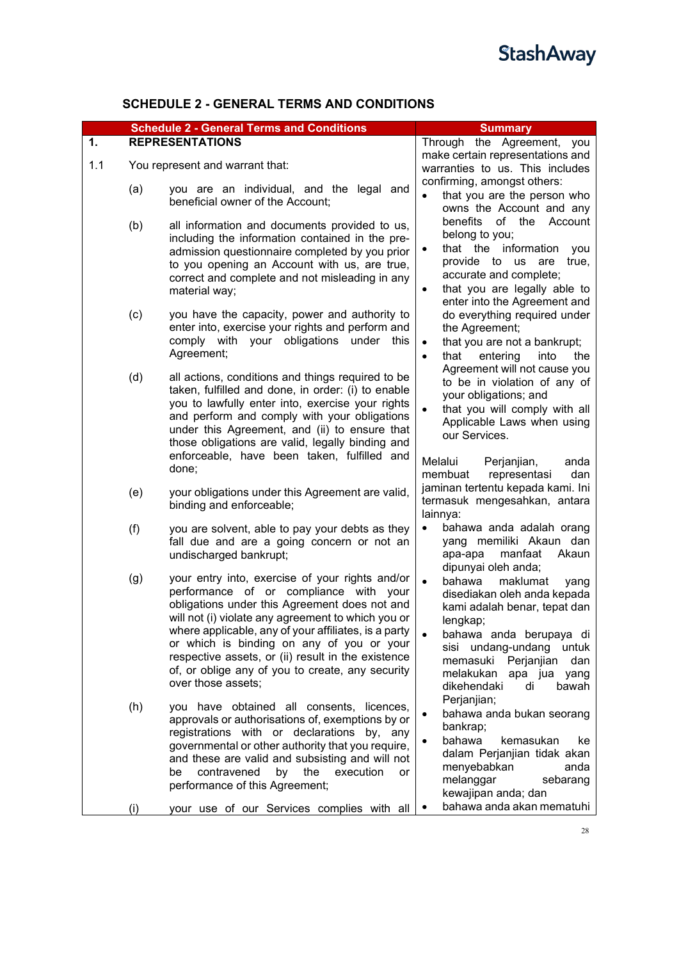### **SCHEDULE 2 - GENERAL TERMS AND CONDITIONS**

<span id="page-27-1"></span><span id="page-27-0"></span>

|     |     | <b>Schedule 2 - General Terms and Conditions</b>                                                                                                                                                                                                                                                                                                                                                                                      | <b>Summary</b>                                                                                                                                                                                                                                                  |
|-----|-----|---------------------------------------------------------------------------------------------------------------------------------------------------------------------------------------------------------------------------------------------------------------------------------------------------------------------------------------------------------------------------------------------------------------------------------------|-----------------------------------------------------------------------------------------------------------------------------------------------------------------------------------------------------------------------------------------------------------------|
| 1.  |     | <b>REPRESENTATIONS</b>                                                                                                                                                                                                                                                                                                                                                                                                                | Through the Agreement, you                                                                                                                                                                                                                                      |
| 1.1 |     | You represent and warrant that:                                                                                                                                                                                                                                                                                                                                                                                                       | make certain representations and<br>warranties to us. This includes                                                                                                                                                                                             |
|     | (a) | you are an individual, and the legal and<br>beneficial owner of the Account;                                                                                                                                                                                                                                                                                                                                                          | confirming, amongst others:<br>that you are the person who<br>$\bullet$<br>owns the Account and any                                                                                                                                                             |
|     | (b) | all information and documents provided to us,<br>including the information contained in the pre-<br>admission questionnaire completed by you prior<br>to you opening an Account with us, are true,<br>correct and complete and not misleading in any<br>material way;                                                                                                                                                                 | benefits<br>of the<br>Account<br>belong to you;<br>that the information<br>$\bullet$<br>you<br>provide to us<br>are<br>true,<br>accurate and complete;<br>that you are legally able to<br>$\bullet$<br>enter into the Agreement and                             |
|     | (c) | you have the capacity, power and authority to<br>enter into, exercise your rights and perform and<br>comply with your obligations under<br>this<br>Agreement;                                                                                                                                                                                                                                                                         | do everything required under<br>the Agreement;<br>that you are not a bankrupt;<br>$\bullet$<br>entering<br>that<br>into<br>the<br>$\bullet$                                                                                                                     |
|     | (d) | all actions, conditions and things required to be<br>taken, fulfilled and done, in order: (i) to enable<br>you to lawfully enter into, exercise your rights<br>and perform and comply with your obligations<br>under this Agreement, and (ii) to ensure that<br>those obligations are valid, legally binding and                                                                                                                      | Agreement will not cause you<br>to be in violation of any of<br>your obligations; and<br>that you will comply with all<br>Applicable Laws when using<br>our Services.                                                                                           |
|     |     | enforceable, have been taken, fulfilled and<br>done;                                                                                                                                                                                                                                                                                                                                                                                  | Melalui<br>Perjanjian,<br>anda<br>membuat<br>representasi<br>dan                                                                                                                                                                                                |
|     | (e) | your obligations under this Agreement are valid,<br>binding and enforceable;                                                                                                                                                                                                                                                                                                                                                          | jaminan tertentu kepada kami. Ini<br>termasuk mengesahkan, antara<br>lainnya:                                                                                                                                                                                   |
|     | (f) | you are solvent, able to pay your debts as they<br>fall due and are a going concern or not an<br>undischarged bankrupt;                                                                                                                                                                                                                                                                                                               | bahawa anda adalah orang<br>$\bullet$<br>yang memiliki Akaun dan<br>manfaat<br>Akaun<br>apa-apa<br>dipunyai oleh anda;                                                                                                                                          |
|     | (g) | your entry into, exercise of your rights and/or<br>performance of or compliance with your<br>obligations under this Agreement does not and<br>will not (i) violate any agreement to which you or<br>where applicable, any of your affiliates, is a party<br>or which is binding on any of you or your<br>respective assets, or (ii) result in the existence<br>of, or oblige any of you to create, any security<br>over those assets; | $\bullet$<br>bahawa<br>maklumat<br>yang<br>disediakan oleh anda kepada<br>kami adalah benar, tepat dan<br>lengkap;<br>bahawa anda berupaya di<br>sisi undang-undang untuk<br>memasuki Perjanjian<br>dan<br>melakukan apa jua yang<br>dikehendaki<br>di<br>bawah |
|     | (h) | you have obtained all consents, licences,<br>approvals or authorisations of, exemptions by or<br>registrations with or declarations by, any<br>governmental or other authority that you require,<br>and these are valid and subsisting and will not<br>contravened<br>by<br>the<br>execution<br>be<br>or<br>performance of this Agreement;                                                                                            | Perjanjian;<br>bahawa anda bukan seorang<br>$\bullet$<br>bankrap;<br>bahawa<br>kemasukan<br>ke<br>$\bullet$<br>dalam Perjanjian tidak akan<br>menyebabkan<br>anda<br>melanggar<br>sebarang<br>kewajipan anda; dan                                               |
|     | (i) | your use of our Services complies with all                                                                                                                                                                                                                                                                                                                                                                                            | bahawa anda akan mematuhi                                                                                                                                                                                                                                       |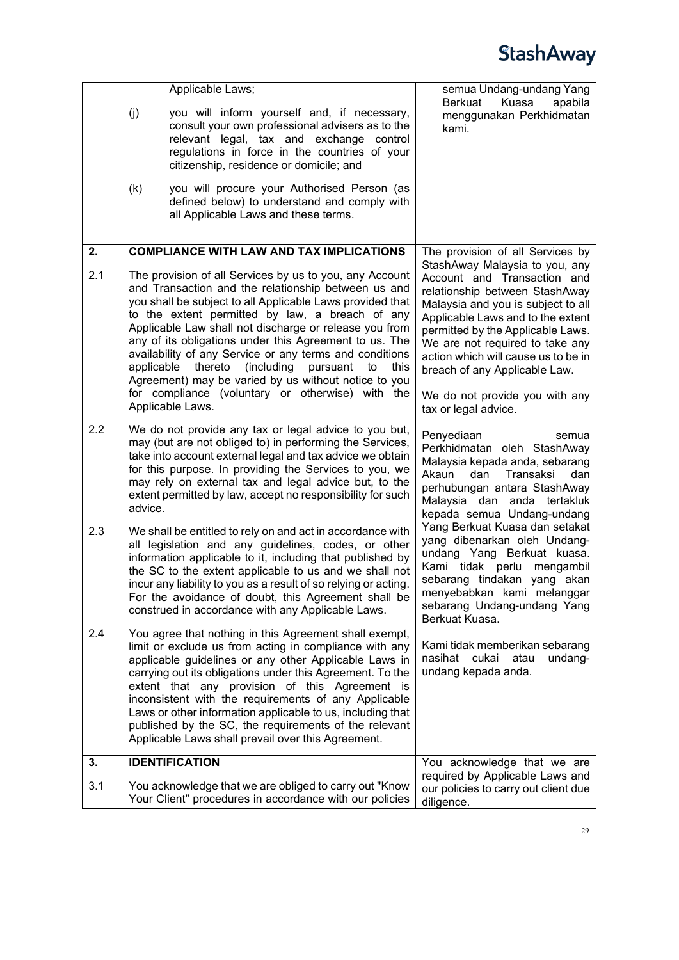<span id="page-28-1"></span><span id="page-28-0"></span>

|     |            | Applicable Laws;                                                                                                                                                                                                                                                                                                                                                                                                                                                                                                                                                                                 | semua Undang-undang Yang<br>Berkuat<br>Kuasa<br>apabila                                                                                                                                                                                                                                                                                                                              |
|-----|------------|--------------------------------------------------------------------------------------------------------------------------------------------------------------------------------------------------------------------------------------------------------------------------------------------------------------------------------------------------------------------------------------------------------------------------------------------------------------------------------------------------------------------------------------------------------------------------------------------------|--------------------------------------------------------------------------------------------------------------------------------------------------------------------------------------------------------------------------------------------------------------------------------------------------------------------------------------------------------------------------------------|
|     | (j)        | you will inform yourself and, if necessary,<br>consult your own professional advisers as to the<br>relevant legal, tax and exchange control<br>regulations in force in the countries of your<br>citizenship, residence or domicile; and                                                                                                                                                                                                                                                                                                                                                          | menggunakan Perkhidmatan<br>kami.                                                                                                                                                                                                                                                                                                                                                    |
|     | (k)        | you will procure your Authorised Person (as<br>defined below) to understand and comply with<br>all Applicable Laws and these terms.                                                                                                                                                                                                                                                                                                                                                                                                                                                              |                                                                                                                                                                                                                                                                                                                                                                                      |
| 2.  |            | <b>COMPLIANCE WITH LAW AND TAX IMPLICATIONS</b>                                                                                                                                                                                                                                                                                                                                                                                                                                                                                                                                                  | The provision of all Services by                                                                                                                                                                                                                                                                                                                                                     |
| 2.1 | applicable | The provision of all Services by us to you, any Account<br>and Transaction and the relationship between us and<br>you shall be subject to all Applicable Laws provided that<br>to the extent permitted by law, a breach of any<br>Applicable Law shall not discharge or release you from<br>any of its obligations under this Agreement to us. The<br>availability of any Service or any terms and conditions<br>thereto<br>(including<br>this<br>pursuant<br>to<br>Agreement) may be varied by us without notice to you<br>for compliance (voluntary or otherwise) with the<br>Applicable Laws. | StashAway Malaysia to you, any<br>Account and Transaction and<br>relationship between StashAway<br>Malaysia and you is subject to all<br>Applicable Laws and to the extent<br>permitted by the Applicable Laws.<br>We are not required to take any<br>action which will cause us to be in<br>breach of any Applicable Law.<br>We do not provide you with any<br>tax or legal advice. |
| 2.2 | advice.    | We do not provide any tax or legal advice to you but,<br>may (but are not obliged to) in performing the Services,<br>take into account external legal and tax advice we obtain<br>for this purpose. In providing the Services to you, we<br>may rely on external tax and legal advice but, to the<br>extent permitted by law, accept no responsibility for such                                                                                                                                                                                                                                  | Penyediaan<br>semua<br>Perkhidmatan oleh StashAway<br>Malaysia kepada anda, sebarang<br>Akaun<br>dan<br>Transaksi<br>dan<br>perhubungan antara StashAway<br>Malaysia dan anda tertakluk<br>kepada semua Undang-undang                                                                                                                                                                |
| 2.3 |            | We shall be entitled to rely on and act in accordance with<br>all legislation and any guidelines, codes, or other<br>information applicable to it, including that published by<br>the SC to the extent applicable to us and we shall not<br>incur any liability to you as a result of so relying or acting.<br>For the avoidance of doubt, this Agreement shall be<br>construed in accordance with any Applicable Laws.                                                                                                                                                                          | Yang Berkuat Kuasa dan setakat<br>yang dibenarkan oleh Undang-<br>undang Yang Berkuat kuasa.<br>Kami tidak perlu<br>mengambil<br>sebarang tindakan yang akan<br>menyebabkan kami melanggar<br>sebarang Undang-undang Yang<br>Berkuat Kuasa.                                                                                                                                          |
| 2.4 |            | You agree that nothing in this Agreement shall exempt,<br>limit or exclude us from acting in compliance with any<br>applicable guidelines or any other Applicable Laws in<br>carrying out its obligations under this Agreement. To the<br>extent that any provision of this Agreement is<br>inconsistent with the requirements of any Applicable<br>Laws or other information applicable to us, including that<br>published by the SC, the requirements of the relevant<br>Applicable Laws shall prevail over this Agreement.                                                                    | Kami tidak memberikan sebarang<br>nasihat cukai<br>undang-<br>atau<br>undang kepada anda.                                                                                                                                                                                                                                                                                            |
| 3.  |            | <b>IDENTIFICATION</b>                                                                                                                                                                                                                                                                                                                                                                                                                                                                                                                                                                            | You acknowledge that we are                                                                                                                                                                                                                                                                                                                                                          |
| 3.1 |            | You acknowledge that we are obliged to carry out "Know<br>Your Client" procedures in accordance with our policies                                                                                                                                                                                                                                                                                                                                                                                                                                                                                | required by Applicable Laws and<br>our policies to carry out client due<br>diligence.                                                                                                                                                                                                                                                                                                |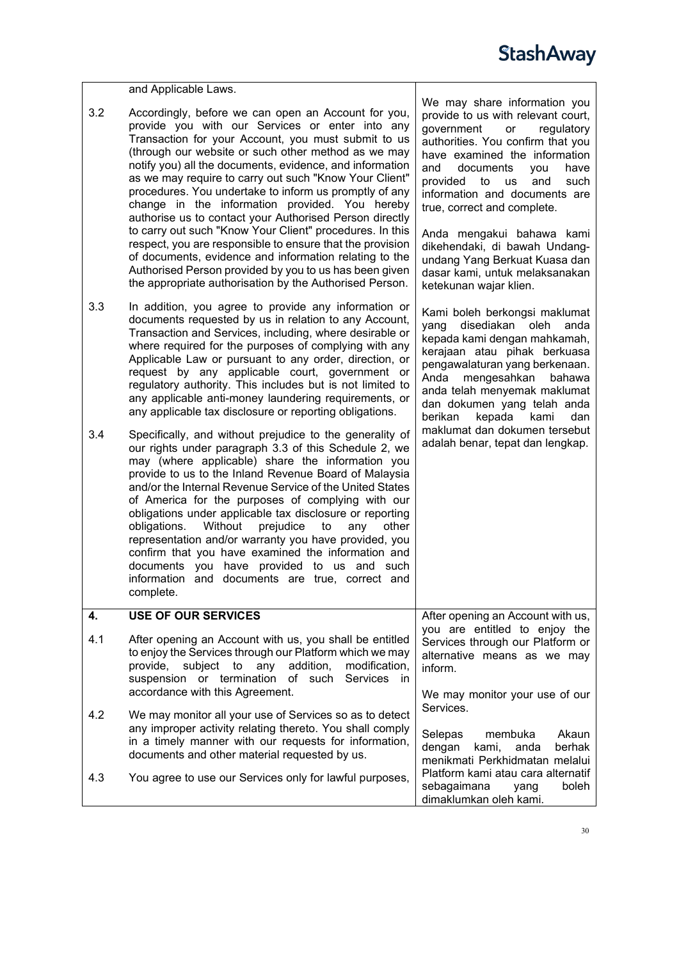<span id="page-29-1"></span><span id="page-29-0"></span>

|     | and Applicable Laws.                                                                                                                                                                                                                                                                                                                                                                                                                                                                                                                                                                                                                                                                                                                                                                                                      |                                                                                                                                                                                                                                                                                                                                                                                                                                                                                        |
|-----|---------------------------------------------------------------------------------------------------------------------------------------------------------------------------------------------------------------------------------------------------------------------------------------------------------------------------------------------------------------------------------------------------------------------------------------------------------------------------------------------------------------------------------------------------------------------------------------------------------------------------------------------------------------------------------------------------------------------------------------------------------------------------------------------------------------------------|----------------------------------------------------------------------------------------------------------------------------------------------------------------------------------------------------------------------------------------------------------------------------------------------------------------------------------------------------------------------------------------------------------------------------------------------------------------------------------------|
| 3.2 | Accordingly, before we can open an Account for you,<br>provide you with our Services or enter into any<br>Transaction for your Account, you must submit to us<br>(through our website or such other method as we may<br>notify you) all the documents, evidence, and information<br>as we may require to carry out such "Know Your Client"<br>procedures. You undertake to inform us promptly of any<br>change in the information provided. You hereby<br>authorise us to contact your Authorised Person directly<br>to carry out such "Know Your Client" procedures. In this<br>respect, you are responsible to ensure that the provision<br>of documents, evidence and information relating to the<br>Authorised Person provided by you to us has been given<br>the appropriate authorisation by the Authorised Person. | We may share information you<br>provide to us with relevant court,<br>government<br>regulatory<br>or<br>authorities. You confirm that you<br>have examined the information<br>documents<br>and<br>have<br>you<br>provided<br>and<br>to<br>such<br><b>us</b><br>information and documents are<br>true, correct and complete.<br>Anda mengakui bahawa kami<br>dikehendaki, di bawah Undang-<br>undang Yang Berkuat Kuasa dan<br>dasar kami, untuk melaksanakan<br>ketekunan wajar klien. |
| 3.3 | In addition, you agree to provide any information or<br>documents requested by us in relation to any Account,<br>Transaction and Services, including, where desirable or<br>where required for the purposes of complying with any<br>Applicable Law or pursuant to any order, direction, or<br>request by any applicable court, government or<br>regulatory authority. This includes but is not limited to<br>any applicable anti-money laundering requirements, or<br>any applicable tax disclosure or reporting obligations.                                                                                                                                                                                                                                                                                            | Kami boleh berkongsi maklumat<br>yang<br>disediakan oleh<br>anda<br>kepada kami dengan mahkamah,<br>kerajaan atau pihak berkuasa<br>pengawalaturan yang berkenaan.<br>Anda<br>mengesahkan<br>bahawa<br>anda telah menyemak maklumat<br>dan dokumen yang telah anda<br>berikan<br>kepada<br>kami<br>dan                                                                                                                                                                                 |
| 3.4 | Specifically, and without prejudice to the generality of<br>our rights under paragraph 3.3 of this Schedule 2, we<br>may (where applicable) share the information you<br>provide to us to the Inland Revenue Board of Malaysia<br>and/or the Internal Revenue Service of the United States<br>of America for the purposes of complying with our<br>obligations under applicable tax disclosure or reporting<br>obligations.<br>Without<br>prejudice<br>to<br>any<br>other<br>representation and/or warranty you have provided, you<br>confirm that you have examined the information and<br>documents you have provided to us and such<br>information and documents are true, correct and<br>complete                                                                                                                     | maklumat dan dokumen tersebut<br>adalah benar, tepat dan lengkap.                                                                                                                                                                                                                                                                                                                                                                                                                      |
| 4.  | <b>USE OF OUR SERVICES</b>                                                                                                                                                                                                                                                                                                                                                                                                                                                                                                                                                                                                                                                                                                                                                                                                | After opening an Account with us,                                                                                                                                                                                                                                                                                                                                                                                                                                                      |
| 4.1 | After opening an Account with us, you shall be entitled<br>to enjoy the Services through our Platform which we may<br>provide,<br>subject to<br>any<br>addition,<br>modification,<br>suspension or termination<br>of such<br>Services in                                                                                                                                                                                                                                                                                                                                                                                                                                                                                                                                                                                  | you are entitled to enjoy the<br>Services through our Platform or<br>alternative means as we may<br>inform.                                                                                                                                                                                                                                                                                                                                                                            |
|     | accordance with this Agreement.                                                                                                                                                                                                                                                                                                                                                                                                                                                                                                                                                                                                                                                                                                                                                                                           | We may monitor your use of our<br>Services.                                                                                                                                                                                                                                                                                                                                                                                                                                            |
| 4.2 | We may monitor all your use of Services so as to detect<br>any improper activity relating thereto. You shall comply<br>in a timely manner with our requests for information,<br>documents and other material requested by us.                                                                                                                                                                                                                                                                                                                                                                                                                                                                                                                                                                                             | Selepas<br>Akaun<br>membuka<br>dengan<br>kami,<br>berhak<br>anda<br>menikmati Perkhidmatan melalui                                                                                                                                                                                                                                                                                                                                                                                     |
| 4.3 | You agree to use our Services only for lawful purposes,                                                                                                                                                                                                                                                                                                                                                                                                                                                                                                                                                                                                                                                                                                                                                                   | Platform kami atau cara alternatif<br>sebagaimana<br>boleh<br>yang<br>dimaklumkan oleh kami.                                                                                                                                                                                                                                                                                                                                                                                           |
|     |                                                                                                                                                                                                                                                                                                                                                                                                                                                                                                                                                                                                                                                                                                                                                                                                                           |                                                                                                                                                                                                                                                                                                                                                                                                                                                                                        |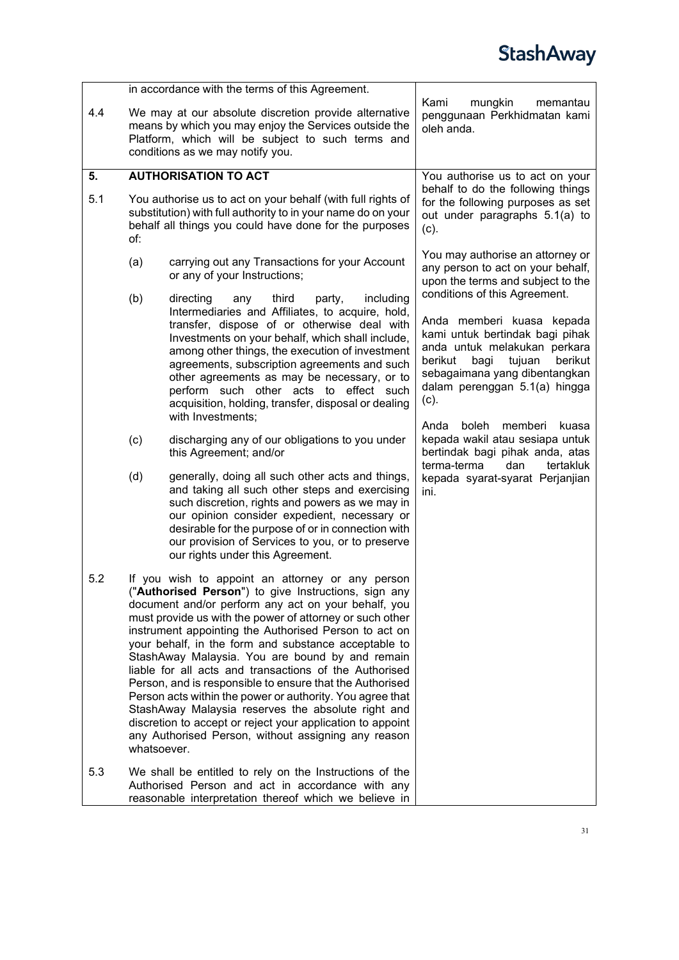<span id="page-30-0"></span>

|     |                                                                                                                                                                                                                                                                                                                                                                                                                                                                                                                                                                                                                                                                                                                                                                              | in accordance with the terms of this Agreement.                                                                                                                                                                                                                                                                                                                                                                                                                                 |                                                                                                                                                                                                                                                                                      |
|-----|------------------------------------------------------------------------------------------------------------------------------------------------------------------------------------------------------------------------------------------------------------------------------------------------------------------------------------------------------------------------------------------------------------------------------------------------------------------------------------------------------------------------------------------------------------------------------------------------------------------------------------------------------------------------------------------------------------------------------------------------------------------------------|---------------------------------------------------------------------------------------------------------------------------------------------------------------------------------------------------------------------------------------------------------------------------------------------------------------------------------------------------------------------------------------------------------------------------------------------------------------------------------|--------------------------------------------------------------------------------------------------------------------------------------------------------------------------------------------------------------------------------------------------------------------------------------|
| 4.4 |                                                                                                                                                                                                                                                                                                                                                                                                                                                                                                                                                                                                                                                                                                                                                                              | We may at our absolute discretion provide alternative<br>means by which you may enjoy the Services outside the<br>Platform, which will be subject to such terms and<br>conditions as we may notify you.                                                                                                                                                                                                                                                                         | Kami<br>mungkin<br>memantau<br>penggunaan Perkhidmatan kami<br>oleh anda.                                                                                                                                                                                                            |
| 5.  |                                                                                                                                                                                                                                                                                                                                                                                                                                                                                                                                                                                                                                                                                                                                                                              | <b>AUTHORISATION TO ACT</b>                                                                                                                                                                                                                                                                                                                                                                                                                                                     | You authorise us to act on your                                                                                                                                                                                                                                                      |
| 5.1 | of:                                                                                                                                                                                                                                                                                                                                                                                                                                                                                                                                                                                                                                                                                                                                                                          | You authorise us to act on your behalf (with full rights of<br>substitution) with full authority to in your name do on your<br>behalf all things you could have done for the purposes                                                                                                                                                                                                                                                                                           | behalf to do the following things<br>for the following purposes as set<br>out under paragraphs 5.1(a) to<br>(c).                                                                                                                                                                     |
|     | (a)                                                                                                                                                                                                                                                                                                                                                                                                                                                                                                                                                                                                                                                                                                                                                                          | carrying out any Transactions for your Account<br>or any of your Instructions;                                                                                                                                                                                                                                                                                                                                                                                                  | You may authorise an attorney or<br>any person to act on your behalf,<br>upon the terms and subject to the                                                                                                                                                                           |
|     | (b)                                                                                                                                                                                                                                                                                                                                                                                                                                                                                                                                                                                                                                                                                                                                                                          | third<br>including<br>directing<br>party,<br>any<br>Intermediaries and Affiliates, to acquire, hold,<br>transfer, dispose of or otherwise deal with<br>Investments on your behalf, which shall include,<br>among other things, the execution of investment<br>agreements, subscription agreements and such<br>other agreements as may be necessary, or to<br>perform such other acts to effect such<br>acquisition, holding, transfer, disposal or dealing<br>with Investments; | conditions of this Agreement.<br>Anda memberi kuasa kepada<br>kami untuk bertindak bagi pihak<br>anda untuk melakukan perkara<br>berikut<br>tujuan<br>berikut<br>bagi<br>sebagaimana yang dibentangkan<br>dalam perenggan 5.1(a) hingga<br>(c).<br>boleh<br>Anda<br>memberi<br>kuasa |
|     | (c)                                                                                                                                                                                                                                                                                                                                                                                                                                                                                                                                                                                                                                                                                                                                                                          | discharging any of our obligations to you under<br>this Agreement; and/or                                                                                                                                                                                                                                                                                                                                                                                                       | kepada wakil atau sesiapa untuk<br>bertindak bagi pihak anda, atas                                                                                                                                                                                                                   |
|     | (d)                                                                                                                                                                                                                                                                                                                                                                                                                                                                                                                                                                                                                                                                                                                                                                          | generally, doing all such other acts and things,<br>and taking all such other steps and exercising<br>such discretion, rights and powers as we may in<br>our opinion consider expedient, necessary or<br>desirable for the purpose of or in connection with<br>our provision of Services to you, or to preserve<br>our rights under this Agreement.                                                                                                                             | terma-terma<br>dan<br>tertakluk<br>kepada syarat-syarat Perjanjian<br>ini.                                                                                                                                                                                                           |
| 5.2 | If you wish to appoint an attorney or any person<br>("Authorised Person") to give Instructions, sign any<br>document and/or perform any act on your behalf, you<br>must provide us with the power of attorney or such other<br>instrument appointing the Authorised Person to act on<br>your behalf, in the form and substance acceptable to<br>StashAway Malaysia. You are bound by and remain<br>liable for all acts and transactions of the Authorised<br>Person, and is responsible to ensure that the Authorised<br>Person acts within the power or authority. You agree that<br>StashAway Malaysia reserves the absolute right and<br>discretion to accept or reject your application to appoint<br>any Authorised Person, without assigning any reason<br>whatsoever. |                                                                                                                                                                                                                                                                                                                                                                                                                                                                                 |                                                                                                                                                                                                                                                                                      |
| 5.3 |                                                                                                                                                                                                                                                                                                                                                                                                                                                                                                                                                                                                                                                                                                                                                                              | We shall be entitled to rely on the Instructions of the<br>Authorised Person and act in accordance with any<br>reasonable interpretation thereof which we believe in                                                                                                                                                                                                                                                                                                            |                                                                                                                                                                                                                                                                                      |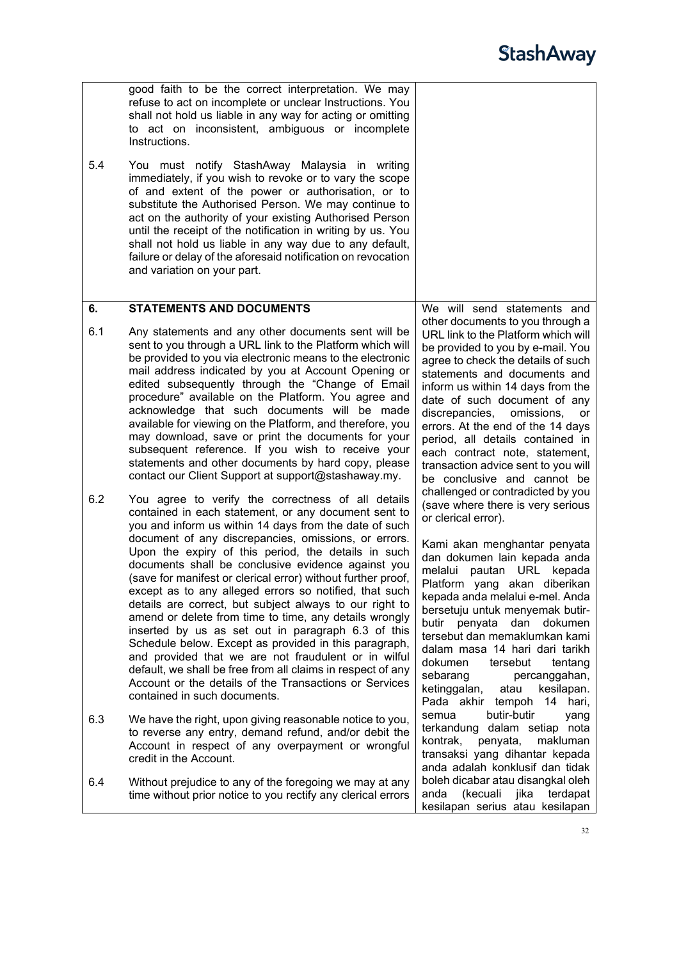<span id="page-31-1"></span><span id="page-31-0"></span>

|     | good faith to be the correct interpretation. We may<br>refuse to act on incomplete or unclear Instructions. You<br>shall not hold us liable in any way for acting or omitting<br>to act on inconsistent, ambiguous or incomplete<br>Instructions.                                                                                                                                                                                                                                                                                                                                                                                                                                                                                                                                                                                                                                                                        |                                                                                                                                                                                                                                                                                                                                                                                                                                                                                                                              |
|-----|--------------------------------------------------------------------------------------------------------------------------------------------------------------------------------------------------------------------------------------------------------------------------------------------------------------------------------------------------------------------------------------------------------------------------------------------------------------------------------------------------------------------------------------------------------------------------------------------------------------------------------------------------------------------------------------------------------------------------------------------------------------------------------------------------------------------------------------------------------------------------------------------------------------------------|------------------------------------------------------------------------------------------------------------------------------------------------------------------------------------------------------------------------------------------------------------------------------------------------------------------------------------------------------------------------------------------------------------------------------------------------------------------------------------------------------------------------------|
| 5.4 | You must notify StashAway Malaysia in writing<br>immediately, if you wish to revoke or to vary the scope<br>of and extent of the power or authorisation, or to<br>substitute the Authorised Person. We may continue to<br>act on the authority of your existing Authorised Person<br>until the receipt of the notification in writing by us. You<br>shall not hold us liable in any way due to any default,<br>failure or delay of the aforesaid notification on revocation<br>and variation on your part.                                                                                                                                                                                                                                                                                                                                                                                                               |                                                                                                                                                                                                                                                                                                                                                                                                                                                                                                                              |
| 6.  | <b>STATEMENTS AND DOCUMENTS</b>                                                                                                                                                                                                                                                                                                                                                                                                                                                                                                                                                                                                                                                                                                                                                                                                                                                                                          | We will send statements and                                                                                                                                                                                                                                                                                                                                                                                                                                                                                                  |
| 6.1 | Any statements and any other documents sent will be<br>sent to you through a URL link to the Platform which will<br>be provided to you via electronic means to the electronic<br>mail address indicated by you at Account Opening or<br>edited subsequently through the "Change of Email<br>procedure" available on the Platform. You agree and<br>acknowledge that such documents will be made<br>available for viewing on the Platform, and therefore, you<br>may download, save or print the documents for your<br>subsequent reference. If you wish to receive your<br>statements and other documents by hard copy, please<br>contact our Client Support at support@stashaway.my.                                                                                                                                                                                                                                    | other documents to you through a<br>URL link to the Platform which will<br>be provided to you by e-mail. You<br>agree to check the details of such<br>statements and documents and<br>inform us within 14 days from the<br>date of such document of any<br>discrepancies, omissions,<br>or<br>errors. At the end of the 14 days<br>period, all details contained in<br>each contract note, statement,<br>transaction advice sent to you will<br>be conclusive and cannot be<br>challenged or contradicted by you             |
| 6.2 | You agree to verify the correctness of all details<br>contained in each statement, or any document sent to<br>you and inform us within 14 days from the date of such<br>document of any discrepancies, omissions, or errors.<br>Upon the expiry of this period, the details in such<br>documents shall be conclusive evidence against you<br>(save for manifest or clerical error) without further proof,<br>except as to any alleged errors so notified, that such<br>details are correct, but subject always to our right to<br>amend or delete from time to time, any details wrongly<br>inserted by us as set out in paragraph 6.3 of this<br>Schedule below. Except as provided in this paragraph,<br>and provided that we are not fraudulent or in wilful<br>default, we shall be free from all claims in respect of any<br>Account or the details of the Transactions or Services<br>contained in such documents. | (save where there is very serious<br>or clerical error).<br>Kami akan menghantar penyata<br>dan dokumen lain kepada anda<br>melalui pautan URL kepada<br>Platform yang akan diberikan<br>kepada anda melalui e-mel. Anda<br>bersetuju untuk menyemak butir-<br>butir penyata<br>dan<br>dokumen<br>tersebut dan memaklumkan kami<br>dalam masa 14 hari dari tarikh<br>dokumen<br>tersebut<br>tentang<br>sebarang<br>percanggahan,<br>ketinggalan,<br>atau<br>kesilapan.<br>Pada akhir tempoh 14 hari,<br>butir-butir<br>semua |
| 6.3 | We have the right, upon giving reasonable notice to you,<br>to reverse any entry, demand refund, and/or debit the<br>Account in respect of any overpayment or wrongful<br>credit in the Account.                                                                                                                                                                                                                                                                                                                                                                                                                                                                                                                                                                                                                                                                                                                         | yang<br>terkandung dalam setiap nota<br>penyata,<br>kontrak,<br>makluman<br>transaksi yang dihantar kepada<br>anda adalah konklusif dan tidak                                                                                                                                                                                                                                                                                                                                                                                |
| 6.4 | Without prejudice to any of the foregoing we may at any<br>time without prior notice to you rectify any clerical errors                                                                                                                                                                                                                                                                                                                                                                                                                                                                                                                                                                                                                                                                                                                                                                                                  | boleh dicabar atau disangkal oleh<br>(kecuali<br>anda<br>jika<br>terdapat<br>kesilapan serius atau kesilapan                                                                                                                                                                                                                                                                                                                                                                                                                 |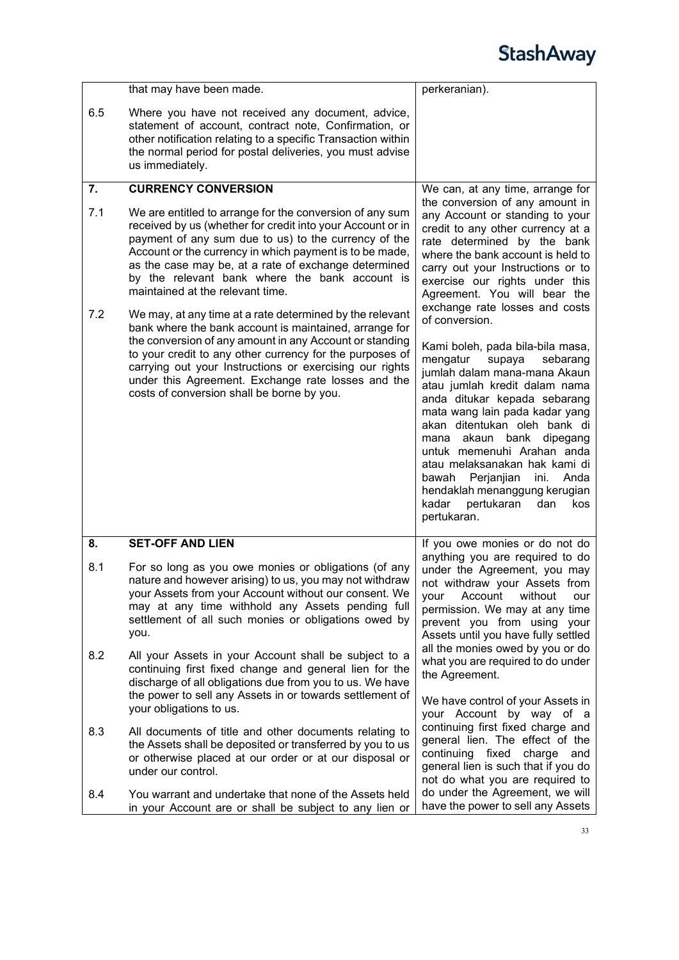<span id="page-32-1"></span><span id="page-32-0"></span>

|     | that may have been made.                                                                                                                                                                                                                                                                                                                                                                | perkeranian).                                                                                                                                                                                                                                                                                                                                                                                                                                                      |
|-----|-----------------------------------------------------------------------------------------------------------------------------------------------------------------------------------------------------------------------------------------------------------------------------------------------------------------------------------------------------------------------------------------|--------------------------------------------------------------------------------------------------------------------------------------------------------------------------------------------------------------------------------------------------------------------------------------------------------------------------------------------------------------------------------------------------------------------------------------------------------------------|
| 6.5 | Where you have not received any document, advice,<br>statement of account, contract note, Confirmation, or<br>other notification relating to a specific Transaction within<br>the normal period for postal deliveries, you must advise<br>us immediately.                                                                                                                               |                                                                                                                                                                                                                                                                                                                                                                                                                                                                    |
| 7.  | <b>CURRENCY CONVERSION</b>                                                                                                                                                                                                                                                                                                                                                              | We can, at any time, arrange for                                                                                                                                                                                                                                                                                                                                                                                                                                   |
| 7.1 | We are entitled to arrange for the conversion of any sum<br>received by us (whether for credit into your Account or in<br>payment of any sum due to us) to the currency of the<br>Account or the currency in which payment is to be made,<br>as the case may be, at a rate of exchange determined<br>by the relevant bank where the bank account is<br>maintained at the relevant time. | the conversion of any amount in<br>any Account or standing to your<br>credit to any other currency at a<br>rate determined by the bank<br>where the bank account is held to<br>carry out your Instructions or to<br>exercise our rights under this<br>Agreement. You will bear the                                                                                                                                                                                 |
| 7.2 | We may, at any time at a rate determined by the relevant                                                                                                                                                                                                                                                                                                                                | exchange rate losses and costs<br>of conversion.                                                                                                                                                                                                                                                                                                                                                                                                                   |
|     | bank where the bank account is maintained, arrange for<br>the conversion of any amount in any Account or standing<br>to your credit to any other currency for the purposes of<br>carrying out your Instructions or exercising our rights<br>under this Agreement. Exchange rate losses and the<br>costs of conversion shall be borne by you.                                            | Kami boleh, pada bila-bila masa,<br>mengatur<br>supaya<br>sebarang<br>jumlah dalam mana-mana Akaun<br>atau jumlah kredit dalam nama<br>anda ditukar kepada sebarang<br>mata wang lain pada kadar yang<br>akan ditentukan oleh bank di<br>akaun bank<br>dipegang<br>mana<br>untuk memenuhi Arahan anda<br>atau melaksanakan hak kami di<br>Perjanjian<br>Anda<br>bawah<br>ini.<br>hendaklah menanggung kerugian<br>kadar<br>pertukaran<br>kos<br>dan<br>pertukaran. |
| 8.  | <b>SET-OFF AND LIEN</b>                                                                                                                                                                                                                                                                                                                                                                 | If you owe monies or do not do                                                                                                                                                                                                                                                                                                                                                                                                                                     |
| 8.1 | For so long as you owe monies or obligations (of any<br>nature and however arising) to us, you may not withdraw<br>your Assets from your Account without our consent. We<br>may at any time withhold any Assets pending full<br>settlement of all such monies or obligations owed by<br>you.                                                                                            | anything you are required to do<br>under the Agreement, you may<br>not withdraw your Assets from<br>Account<br>your<br>without<br>our<br>permission. We may at any time<br>prevent you from using your<br>Assets until you have fully settled<br>all the monies owed by you or do                                                                                                                                                                                  |
| 8.2 | All your Assets in your Account shall be subject to a<br>continuing first fixed change and general lien for the<br>discharge of all obligations due from you to us. We have<br>the power to sell any Assets in or towards settlement of                                                                                                                                                 | what you are required to do under<br>the Agreement.                                                                                                                                                                                                                                                                                                                                                                                                                |
|     | your obligations to us.                                                                                                                                                                                                                                                                                                                                                                 | We have control of your Assets in<br>your Account by way of a                                                                                                                                                                                                                                                                                                                                                                                                      |
| 8.3 | All documents of title and other documents relating to<br>the Assets shall be deposited or transferred by you to us<br>or otherwise placed at our order or at our disposal or<br>under our control.                                                                                                                                                                                     | continuing first fixed charge and<br>general lien. The effect of the<br>fixed<br>continuing<br>charge<br>and<br>general lien is such that if you do<br>not do what you are required to                                                                                                                                                                                                                                                                             |
| 8.4 | You warrant and undertake that none of the Assets held<br>in your Account are or shall be subject to any lien or                                                                                                                                                                                                                                                                        | do under the Agreement, we will<br>have the power to sell any Assets                                                                                                                                                                                                                                                                                                                                                                                               |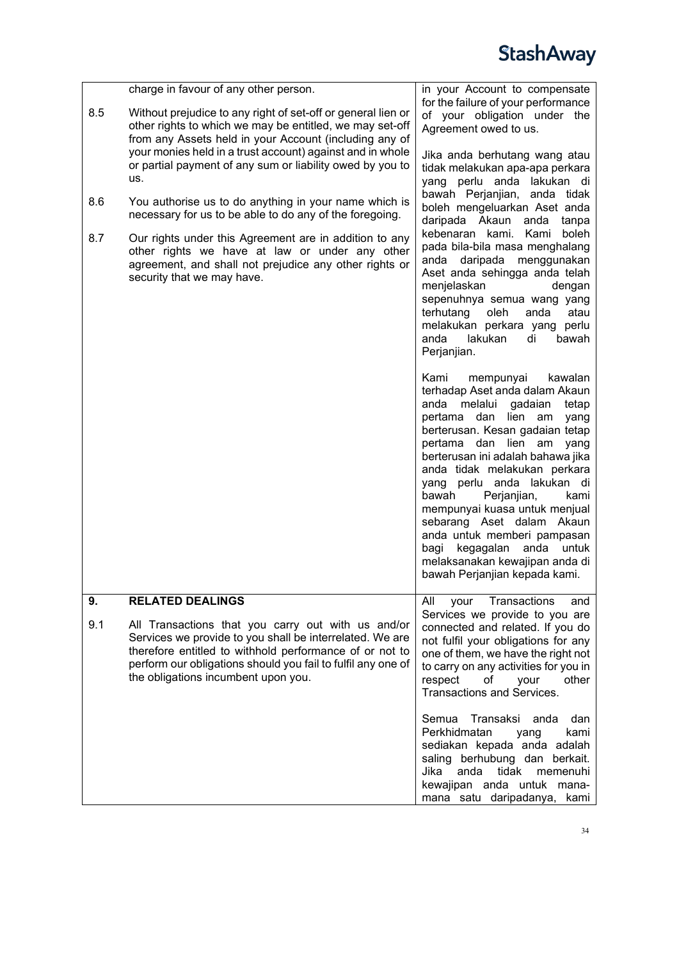<span id="page-33-0"></span>

|     | charge in favour of any other person.                                                                                                                                                                                                                                            | in your Account to compensate                                                                                                                                                                                                                                                                                                                                                                                                                                                                                                                      |
|-----|----------------------------------------------------------------------------------------------------------------------------------------------------------------------------------------------------------------------------------------------------------------------------------|----------------------------------------------------------------------------------------------------------------------------------------------------------------------------------------------------------------------------------------------------------------------------------------------------------------------------------------------------------------------------------------------------------------------------------------------------------------------------------------------------------------------------------------------------|
| 8.5 | Without prejudice to any right of set-off or general lien or<br>other rights to which we may be entitled, we may set-off<br>from any Assets held in your Account (including any of                                                                                               | for the failure of your performance<br>of your obligation under the<br>Agreement owed to us.                                                                                                                                                                                                                                                                                                                                                                                                                                                       |
|     | your monies held in a trust account) against and in whole<br>or partial payment of any sum or liability owed by you to<br>us.                                                                                                                                                    | Jika anda berhutang wang atau<br>tidak melakukan apa-apa perkara<br>yang perlu anda lakukan di                                                                                                                                                                                                                                                                                                                                                                                                                                                     |
| 8.6 | You authorise us to do anything in your name which is<br>necessary for us to be able to do any of the foregoing.                                                                                                                                                                 | bawah Perjanjian, anda tidak<br>boleh mengeluarkan Aset anda<br>daripada Akaun<br>anda tanpa                                                                                                                                                                                                                                                                                                                                                                                                                                                       |
| 8.7 | Our rights under this Agreement are in addition to any<br>other rights we have at law or under any other<br>agreement, and shall not prejudice any other rights or<br>security that we may have.                                                                                 | kebenaran kami. Kami<br>boleh<br>pada bila-bila masa menghalang<br>anda daripada menggunakan<br>Aset anda sehingga anda telah<br>menjelaskan<br>dengan<br>sepenuhnya semua wang yang<br>terhutang<br>oleh<br>atau<br>anda<br>melakukan perkara yang perlu<br>anda<br>lakukan<br>di<br>bawah<br>Perjanjian.                                                                                                                                                                                                                                         |
|     |                                                                                                                                                                                                                                                                                  | Kami<br>mempunyai<br>kawalan<br>terhadap Aset anda dalam Akaun<br>melalui gadaian<br>anda<br>tetap<br>lien am<br>pertama dan<br>yang<br>berterusan. Kesan gadaian tetap<br>lien am<br>pertama<br>dan<br>yang<br>berterusan ini adalah bahawa jika<br>anda tidak melakukan perkara<br>yang perlu anda lakukan di<br>Perjanjian,<br>bawah<br>kami<br>mempunyai kuasa untuk menjual<br>sebarang Aset dalam Akaun<br>anda untuk memberi pampasan<br>kegagalan anda<br>untuk<br>bagi<br>melaksanakan kewajipan anda di<br>bawah Perjanjian kepada kami. |
| 9.  | <b>RELATED DEALINGS</b>                                                                                                                                                                                                                                                          | Transactions<br>All<br>your<br>and<br>Services we provide to you are                                                                                                                                                                                                                                                                                                                                                                                                                                                                               |
| 9.1 | All Transactions that you carry out with us and/or<br>Services we provide to you shall be interrelated. We are<br>therefore entitled to withhold performance of or not to<br>perform our obligations should you fail to fulfil any one of<br>the obligations incumbent upon you. | connected and related. If you do<br>not fulfil your obligations for any<br>one of them, we have the right not<br>to carry on any activities for you in<br>respect<br>of<br>your<br>other<br>Transactions and Services.                                                                                                                                                                                                                                                                                                                             |
|     |                                                                                                                                                                                                                                                                                  | Transaksi<br>Semua<br>anda<br>dan<br>Perkhidmatan<br>kami<br>yang<br>sediakan kepada anda adalah<br>saling berhubung dan berkait.<br>Jika<br>tidak<br>memenuhi<br>anda<br>kewajipan anda untuk mana-<br>mana satu daripadanya,<br>kami                                                                                                                                                                                                                                                                                                             |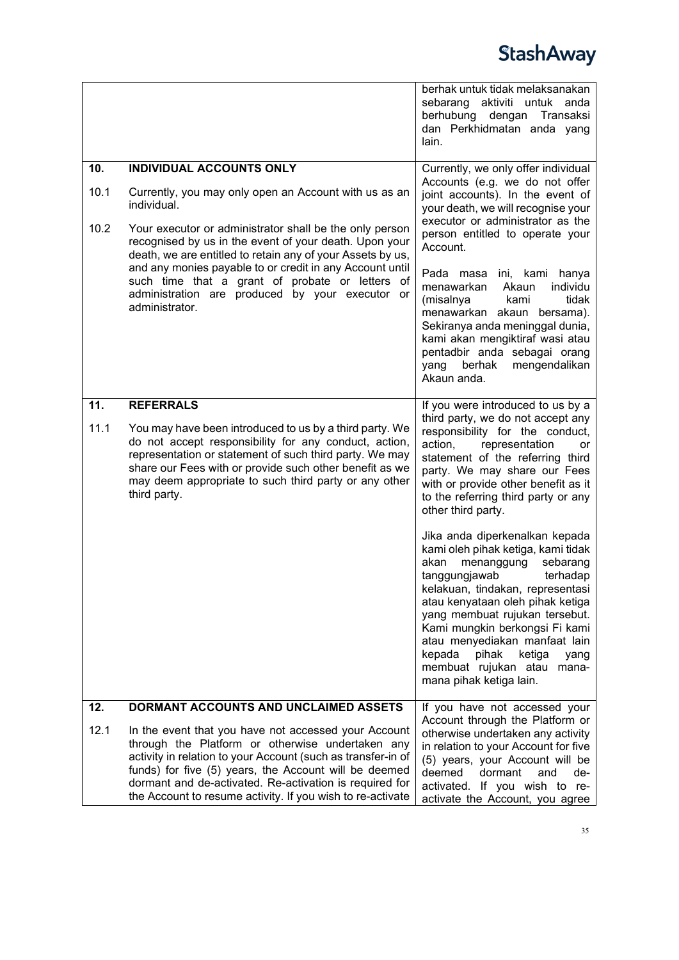<span id="page-34-2"></span><span id="page-34-1"></span><span id="page-34-0"></span>

|                     |                                                                                                                                                                                                                                                                                                                                                                                                                                                                                | berhak untuk tidak melaksanakan<br>aktiviti untuk anda<br>sebarang<br>berhubung dengan Transaksi<br>dan Perkhidmatan anda yang<br>lain.                                                                                                                                                                                                                                                                                                                                                                                                                                                                                                                                                                                                |
|---------------------|--------------------------------------------------------------------------------------------------------------------------------------------------------------------------------------------------------------------------------------------------------------------------------------------------------------------------------------------------------------------------------------------------------------------------------------------------------------------------------|----------------------------------------------------------------------------------------------------------------------------------------------------------------------------------------------------------------------------------------------------------------------------------------------------------------------------------------------------------------------------------------------------------------------------------------------------------------------------------------------------------------------------------------------------------------------------------------------------------------------------------------------------------------------------------------------------------------------------------------|
| 10.<br>10.1<br>10.2 | <b>INDIVIDUAL ACCOUNTS ONLY</b><br>Currently, you may only open an Account with us as an<br>individual.<br>Your executor or administrator shall be the only person<br>recognised by us in the event of your death. Upon your<br>death, we are entitled to retain any of your Assets by us,<br>and any monies payable to or credit in any Account until<br>such time that a grant of probate or letters of<br>administration are produced by your executor or<br>administrator. | Currently, we only offer individual<br>Accounts (e.g. we do not offer<br>joint accounts). In the event of<br>your death, we will recognise your<br>executor or administrator as the<br>person entitled to operate your<br>Account.<br>Pada masa<br>ini, kami hanya<br>menawarkan<br>Akaun<br>individu<br>(misalnya<br>tidak<br>kami<br>menawarkan akaun bersama).<br>Sekiranya anda meninggal dunia,<br>kami akan mengiktiraf wasi atau<br>pentadbir anda sebagai orang<br>berhak<br>mengendalikan<br>yang<br>Akaun anda.                                                                                                                                                                                                              |
| 11.<br>11.1         | <b>REFERRALS</b><br>You may have been introduced to us by a third party. We<br>do not accept responsibility for any conduct, action,<br>representation or statement of such third party. We may<br>share our Fees with or provide such other benefit as we<br>may deem appropriate to such third party or any other<br>third party.                                                                                                                                            | If you were introduced to us by a<br>third party, we do not accept any<br>responsibility for the conduct,<br>action,<br>representation<br>or<br>statement of the referring third<br>party. We may share our Fees<br>with or provide other benefit as it<br>to the referring third party or any<br>other third party.<br>Jika anda diperkenalkan kepada<br>kami oleh pihak ketiga, kami tidak<br>akan<br>menanggung<br>sebarang<br>tanggungjawab<br>terhadap<br>kelakuan, tindakan, representasi<br>atau kenyataan oleh pihak ketiga<br>yang membuat rujukan tersebut.<br>Kami mungkin berkongsi Fi kami<br>atau menyediakan manfaat lain<br>kepada<br>pihak<br>ketiga<br>yang<br>membuat rujukan atau mana-<br>mana pihak ketiga lain. |
| 12.<br>12.1         | <b>DORMANT ACCOUNTS AND UNCLAIMED ASSETS</b><br>In the event that you have not accessed your Account<br>through the Platform or otherwise undertaken any<br>activity in relation to your Account (such as transfer-in of<br>funds) for five (5) years, the Account will be deemed<br>dormant and de-activated. Re-activation is required for<br>the Account to resume activity. If you wish to re-activate                                                                     | If you have not accessed your<br>Account through the Platform or<br>otherwise undertaken any activity<br>in relation to your Account for five<br>(5) years, your Account will be<br>deemed<br>dormant<br>and<br>de-<br>activated. If you wish to re-<br>activate the Account, you agree                                                                                                                                                                                                                                                                                                                                                                                                                                                |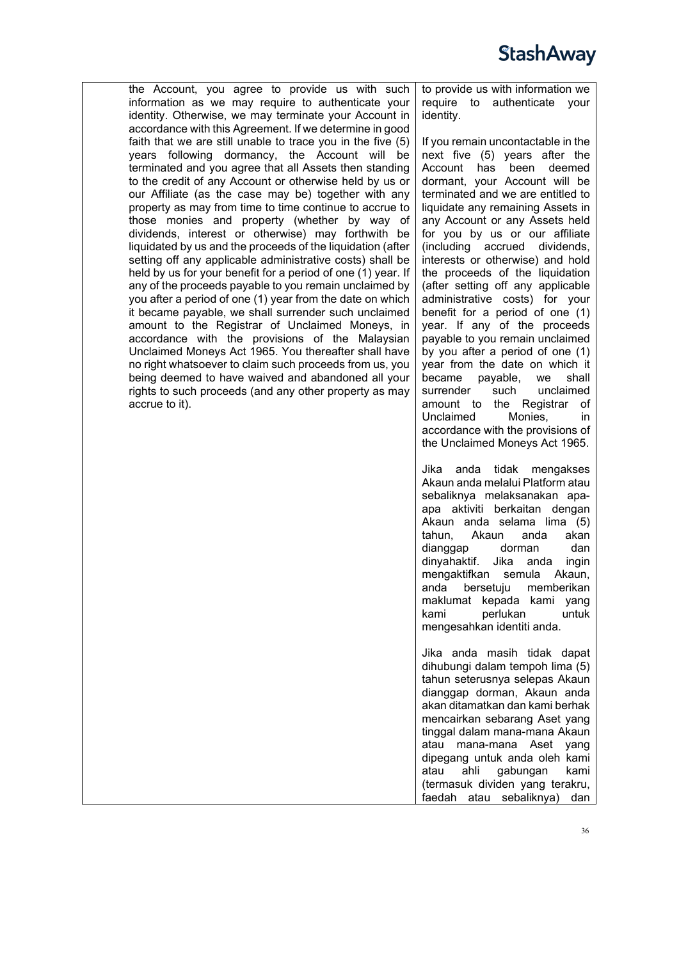the Account, you agree to provide us with such information as we may require to authenticate your identity. Otherwise, we may terminate your Account in accordance with this Agreement. If we determine in good faith that we are still unable to trace you in the five (5) years following dormancy, the Account will be terminated and you agree that all Assets then standing to the credit of any Account or otherwise held by us or our Affiliate (as the case may be) together with any property as may from time to time continue to accrue to those monies and property (whether by way of dividends, interest or otherwise) may forthwith be liquidated by us and the proceeds of the liquidation (after setting off any applicable administrative costs) shall be held by us for your benefit for a period of one (1) year. If any of the proceeds payable to you remain unclaimed by you after a period of one (1) year from the date on which it became payable, we shall surrender such unclaimed amount to the Registrar of Unclaimed Moneys, in accordance with the provisions of the Malaysian Unclaimed Moneys Act 1965. You thereafter shall have no right whatsoever to claim such proceeds from us, you being deemed to have waived and abandoned all your rights to such proceeds (and any other property as may accrue to it).

to provide us with information we require to authenticate your identity.

If you remain uncontactable in the next five (5) years after the Account has been deemed dormant, your Account will be terminated and we are entitled to liquidate any remaining Assets in any Account or any Assets held for you by us or our affiliate (including accrued dividends, interests or otherwise) and hold the proceeds of the liquidation (after setting off any applicable administrative costs) for your benefit for a period of one (1) year. If any of the proceeds payable to you remain unclaimed by you after a period of one (1) year from the date on which it became payable, we shall surrender such unclaimed amount to the Registrar of<br>Unclaimed Monies, in Unclaimed accordance with the provisions of the Unclaimed Moneys Act 1965.

Jika anda tidak mengakses Akaun anda melalui Platform atau sebaliknya melaksanakan apaapa aktiviti berkaitan dengan Akaun anda selama lima (5) tahun, Akaun anda akan dianggap dorman dan dinyahaktif. Jika anda ingin mengaktifkan semula Akaun, anda bersetuju memberikan maklumat kepada kami yang kami perlukan untuk mengesahkan identiti anda.

Jika anda masih tidak dapat dihubungi dalam tempoh lima (5) tahun seterusnya selepas Akaun dianggap dorman, Akaun anda akan ditamatkan dan kami berhak mencairkan sebarang Aset yang tinggal dalam mana-mana Akaun atau mana-mana Aset yang dipegang untuk anda oleh kami atau ahli gabungan kami (termasuk dividen yang terakru, faedah atau sebaliknya) dan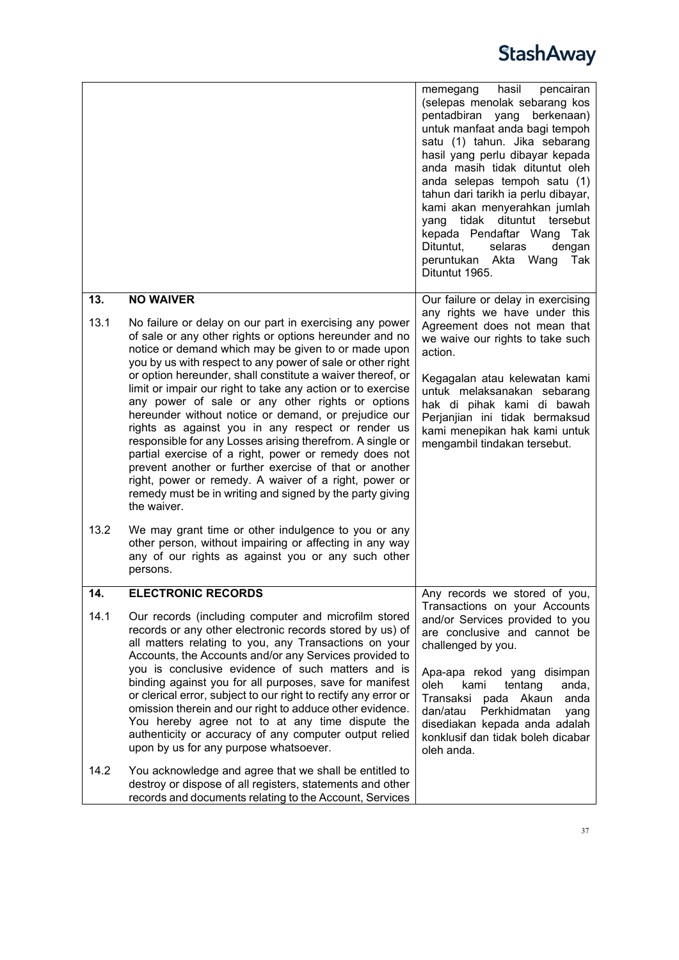<span id="page-36-1"></span><span id="page-36-0"></span>

|                     |                                                                                                                                                                                                                                                                                                                                                                                                                                                                                                                                                                                                                                                                                                                                                                                                                                                                                                                                                                                                                                                       | hasil<br>memegang<br>pencairan<br>(selepas menolak sebarang kos<br>pentadbiran yang<br>berkenaan)<br>untuk manfaat anda bagi tempoh<br>satu (1) tahun. Jika sebarang<br>hasil yang perlu dibayar kepada<br>anda masih tidak dituntut oleh<br>anda selepas tempoh satu (1)<br>tahun dari tarikh ia perlu dibayar,<br>kami akan menyerahkan jumlah<br>tidak<br>dituntut tersebut<br>yang<br>kepada Pendaftar Wang<br>Tak<br>Dituntut,<br>selaras<br>dengan<br>peruntukan Akta<br>Tak<br>Wang<br>Dituntut 1965. |
|---------------------|-------------------------------------------------------------------------------------------------------------------------------------------------------------------------------------------------------------------------------------------------------------------------------------------------------------------------------------------------------------------------------------------------------------------------------------------------------------------------------------------------------------------------------------------------------------------------------------------------------------------------------------------------------------------------------------------------------------------------------------------------------------------------------------------------------------------------------------------------------------------------------------------------------------------------------------------------------------------------------------------------------------------------------------------------------|--------------------------------------------------------------------------------------------------------------------------------------------------------------------------------------------------------------------------------------------------------------------------------------------------------------------------------------------------------------------------------------------------------------------------------------------------------------------------------------------------------------|
| 13.<br>13.1<br>13.2 | <b>NO WAIVER</b><br>No failure or delay on our part in exercising any power<br>of sale or any other rights or options hereunder and no<br>notice or demand which may be given to or made upon<br>you by us with respect to any power of sale or other right<br>or option hereunder, shall constitute a waiver thereof, or<br>limit or impair our right to take any action or to exercise<br>any power of sale or any other rights or options<br>hereunder without notice or demand, or prejudice our<br>rights as against you in any respect or render us<br>responsible for any Losses arising therefrom. A single or<br>partial exercise of a right, power or remedy does not<br>prevent another or further exercise of that or another<br>right, power or remedy. A waiver of a right, power or<br>remedy must be in writing and signed by the party giving<br>the waiver.<br>We may grant time or other indulgence to you or any<br>other person, without impairing or affecting in any way<br>any of our rights as against you or any such other | Our failure or delay in exercising<br>any rights we have under this<br>Agreement does not mean that<br>we waive our rights to take such<br>action.<br>Kegagalan atau kelewatan kami<br>untuk melaksanakan sebarang<br>hak di pihak kami di bawah<br>Perjanjian ini tidak bermaksud<br>kami menepikan hak kami untuk<br>mengambil tindakan tersebut.                                                                                                                                                          |
| 14.                 | persons.<br><b>ELECTRONIC RECORDS</b>                                                                                                                                                                                                                                                                                                                                                                                                                                                                                                                                                                                                                                                                                                                                                                                                                                                                                                                                                                                                                 | Any records we stored of you,                                                                                                                                                                                                                                                                                                                                                                                                                                                                                |
| 14.1                | Our records (including computer and microfilm stored<br>records or any other electronic records stored by us) of<br>all matters relating to you, any Transactions on your<br>Accounts, the Accounts and/or any Services provided to<br>you is conclusive evidence of such matters and is<br>binding against you for all purposes, save for manifest<br>or clerical error, subject to our right to rectify any error or<br>omission therein and our right to adduce other evidence.<br>You hereby agree not to at any time dispute the                                                                                                                                                                                                                                                                                                                                                                                                                                                                                                                 | Transactions on your Accounts<br>and/or Services provided to you<br>are conclusive and cannot be<br>challenged by you.<br>Apa-apa rekod yang disimpan<br>oleh<br>tentang<br>kami<br>anda,<br>Transaksi<br>pada Akaun<br>anda<br>dan/atau<br>Perkhidmatan<br>yang                                                                                                                                                                                                                                             |
|                     | authenticity or accuracy of any computer output relied<br>upon by us for any purpose whatsoever.                                                                                                                                                                                                                                                                                                                                                                                                                                                                                                                                                                                                                                                                                                                                                                                                                                                                                                                                                      | disediakan kepada anda adalah<br>konklusif dan tidak boleh dicabar<br>oleh anda.                                                                                                                                                                                                                                                                                                                                                                                                                             |
| 14.2                | You acknowledge and agree that we shall be entitled to<br>destroy or dispose of all registers, statements and other<br>records and documents relating to the Account, Services                                                                                                                                                                                                                                                                                                                                                                                                                                                                                                                                                                                                                                                                                                                                                                                                                                                                        |                                                                                                                                                                                                                                                                                                                                                                                                                                                                                                              |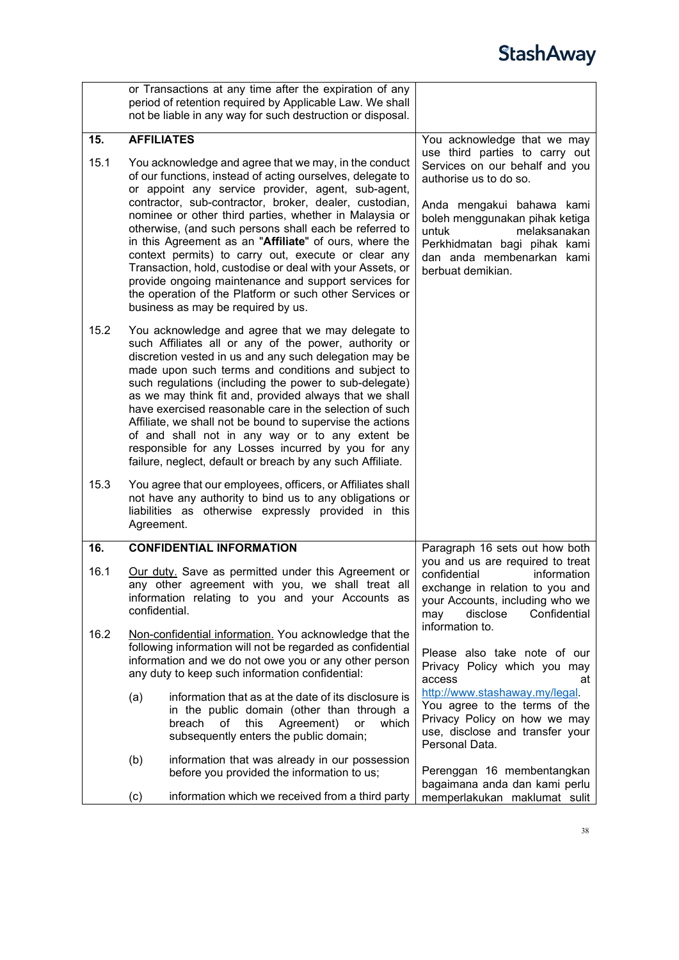<span id="page-37-1"></span><span id="page-37-0"></span>

|      | or Transactions at any time after the expiration of any<br>period of retention required by Applicable Law. We shall<br>not be liable in any way for such destruction or disposal.                                                                                                                                                                                                                                                                                                                                                                                                                                                                                                              |                                                                                                                                                                                                                                                                      |
|------|------------------------------------------------------------------------------------------------------------------------------------------------------------------------------------------------------------------------------------------------------------------------------------------------------------------------------------------------------------------------------------------------------------------------------------------------------------------------------------------------------------------------------------------------------------------------------------------------------------------------------------------------------------------------------------------------|----------------------------------------------------------------------------------------------------------------------------------------------------------------------------------------------------------------------------------------------------------------------|
| 15.  | <b>AFFILIATES</b>                                                                                                                                                                                                                                                                                                                                                                                                                                                                                                                                                                                                                                                                              | You acknowledge that we may                                                                                                                                                                                                                                          |
| 15.1 | You acknowledge and agree that we may, in the conduct<br>of our functions, instead of acting ourselves, delegate to<br>or appoint any service provider, agent, sub-agent,<br>contractor, sub-contractor, broker, dealer, custodian,<br>nominee or other third parties, whether in Malaysia or<br>otherwise, (and such persons shall each be referred to<br>in this Agreement as an "Affiliate" of ours, where the<br>context permits) to carry out, execute or clear any<br>Transaction, hold, custodise or deal with your Assets, or<br>provide ongoing maintenance and support services for<br>the operation of the Platform or such other Services or<br>business as may be required by us. | use third parties to carry out<br>Services on our behalf and you<br>authorise us to do so.<br>Anda mengakui bahawa kami<br>boleh menggunakan pihak ketiga<br>untuk<br>melaksanakan<br>Perkhidmatan bagi pihak kami<br>dan anda membenarkan kami<br>berbuat demikian. |
| 15.2 | You acknowledge and agree that we may delegate to<br>such Affiliates all or any of the power, authority or<br>discretion vested in us and any such delegation may be<br>made upon such terms and conditions and subject to<br>such regulations (including the power to sub-delegate)<br>as we may think fit and, provided always that we shall<br>have exercised reasonable care in the selection of such<br>Affiliate, we shall not be bound to supervise the actions<br>of and shall not in any way or to any extent be<br>responsible for any Losses incurred by you for any<br>failure, neglect, default or breach by any such Affiliate.                                                  |                                                                                                                                                                                                                                                                      |
| 15.3 | You agree that our employees, officers, or Affiliates shall<br>not have any authority to bind us to any obligations or<br>liabilities as otherwise expressly provided in this<br>Agreement.                                                                                                                                                                                                                                                                                                                                                                                                                                                                                                    |                                                                                                                                                                                                                                                                      |
| 16.  | <b>CONFIDENTIAL INFORMATION</b>                                                                                                                                                                                                                                                                                                                                                                                                                                                                                                                                                                                                                                                                | Paragraph 16 sets out how both                                                                                                                                                                                                                                       |
| 16.1 | Our duty. Save as permitted under this Agreement or<br>any other agreement with you, we shall treat all<br>information relating to you and your Accounts as<br>confidential.                                                                                                                                                                                                                                                                                                                                                                                                                                                                                                                   | you and us are required to treat<br>confidential<br>information<br>exchange in relation to you and<br>your Accounts, including who we<br>may<br>disclose<br>Confidential<br>information to.                                                                          |
| 16.2 | Non-confidential information. You acknowledge that the<br>following information will not be regarded as confidential<br>information and we do not owe you or any other person<br>any duty to keep such information confidential:                                                                                                                                                                                                                                                                                                                                                                                                                                                               | Please also take note of our<br>Privacy Policy which you may<br>access<br>at                                                                                                                                                                                         |
|      | information that as at the date of its disclosure is<br>(a)<br>in the public domain (other than through a<br>this<br>Agreement)<br>breach of<br>or<br>which<br>subsequently enters the public domain;                                                                                                                                                                                                                                                                                                                                                                                                                                                                                          | http://www.stashaway.my/legal.<br>You agree to the terms of the<br>Privacy Policy on how we may<br>use, disclose and transfer your<br>Personal Data.                                                                                                                 |
|      | (b)<br>information that was already in our possession<br>before you provided the information to us;                                                                                                                                                                                                                                                                                                                                                                                                                                                                                                                                                                                            | Perenggan 16 membentangkan<br>bagaimana anda dan kami perlu                                                                                                                                                                                                          |
|      | information which we received from a third party<br>(c)                                                                                                                                                                                                                                                                                                                                                                                                                                                                                                                                                                                                                                        | memperlakukan maklumat sulit                                                                                                                                                                                                                                         |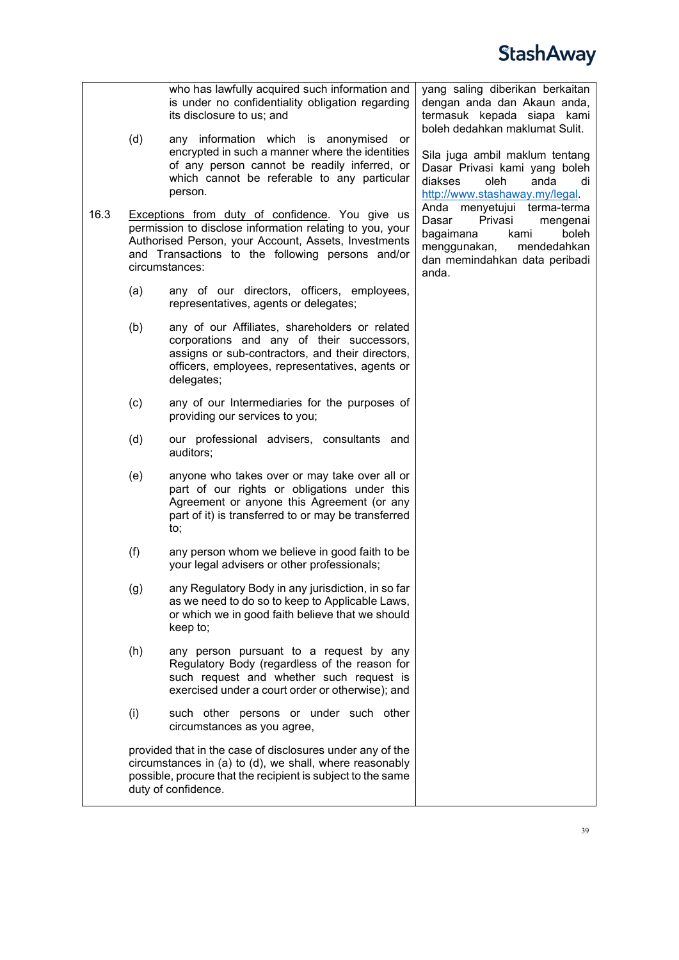

|      | (d) | who has lawfully acquired such information and<br>is under no confidentiality obligation regarding<br>its disclosure to us; and<br>any information which is anonymised<br>or<br>encrypted in such a manner where the identities<br>of any person cannot be readily inferred, or<br>which cannot be referable to any particular<br>person. | yang saling diberikan berkaitan<br>dengan anda dan Akaun anda,<br>termasuk kepada siapa kami<br>boleh dedahkan maklumat Sulit.<br>Sila juga ambil maklum tentang<br>Dasar Privasi kami yang boleh<br>diakses<br>oleh<br>anda<br>di<br>http://www.stashaway.my/legal. |
|------|-----|-------------------------------------------------------------------------------------------------------------------------------------------------------------------------------------------------------------------------------------------------------------------------------------------------------------------------------------------|----------------------------------------------------------------------------------------------------------------------------------------------------------------------------------------------------------------------------------------------------------------------|
| 16.3 |     | Exceptions from duty of confidence. You give us<br>permission to disclose information relating to you, your<br>Authorised Person, your Account, Assets, Investments<br>and Transactions to the following persons and/or<br>circumstances:                                                                                                 | Anda menyetujui terma-terma<br>Dasar<br>Privasi<br>mengenai<br>bagaimana<br>boleh<br>kami<br>menggunakan,<br>mendedahkan<br>dan memindahkan data peribadi<br>anda.                                                                                                   |
|      | (a) | any of our directors, officers, employees,<br>representatives, agents or delegates;                                                                                                                                                                                                                                                       |                                                                                                                                                                                                                                                                      |
|      | (b) | any of our Affiliates, shareholders or related<br>corporations and any of their successors,<br>assigns or sub-contractors, and their directors,<br>officers, employees, representatives, agents or<br>delegates;                                                                                                                          |                                                                                                                                                                                                                                                                      |
|      | (c) | any of our Intermediaries for the purposes of<br>providing our services to you;                                                                                                                                                                                                                                                           |                                                                                                                                                                                                                                                                      |
|      | (d) | our professional advisers, consultants and<br>auditors;                                                                                                                                                                                                                                                                                   |                                                                                                                                                                                                                                                                      |
|      | (e) | anyone who takes over or may take over all or<br>part of our rights or obligations under this<br>Agreement or anyone this Agreement (or any<br>part of it) is transferred to or may be transferred<br>to;                                                                                                                                 |                                                                                                                                                                                                                                                                      |
|      | (f) | any person whom we believe in good faith to be<br>your legal advisers or other professionals;                                                                                                                                                                                                                                             |                                                                                                                                                                                                                                                                      |
|      | (g) | any Regulatory Body in any jurisdiction, in so far<br>as we need to do so to keep to Applicable Laws,<br>or which we in good faith believe that we should<br>keep to;                                                                                                                                                                     |                                                                                                                                                                                                                                                                      |
|      | (h) | any person pursuant to a request by any<br>Regulatory Body (regardless of the reason for<br>such request and whether such request is<br>exercised under a court order or otherwise); and                                                                                                                                                  |                                                                                                                                                                                                                                                                      |
|      | (i) | such other persons or under such other<br>circumstances as you agree,                                                                                                                                                                                                                                                                     |                                                                                                                                                                                                                                                                      |
|      |     | provided that in the case of disclosures under any of the<br>circumstances in (a) to (d), we shall, where reasonably<br>possible, procure that the recipient is subject to the same<br>duty of confidence.                                                                                                                                |                                                                                                                                                                                                                                                                      |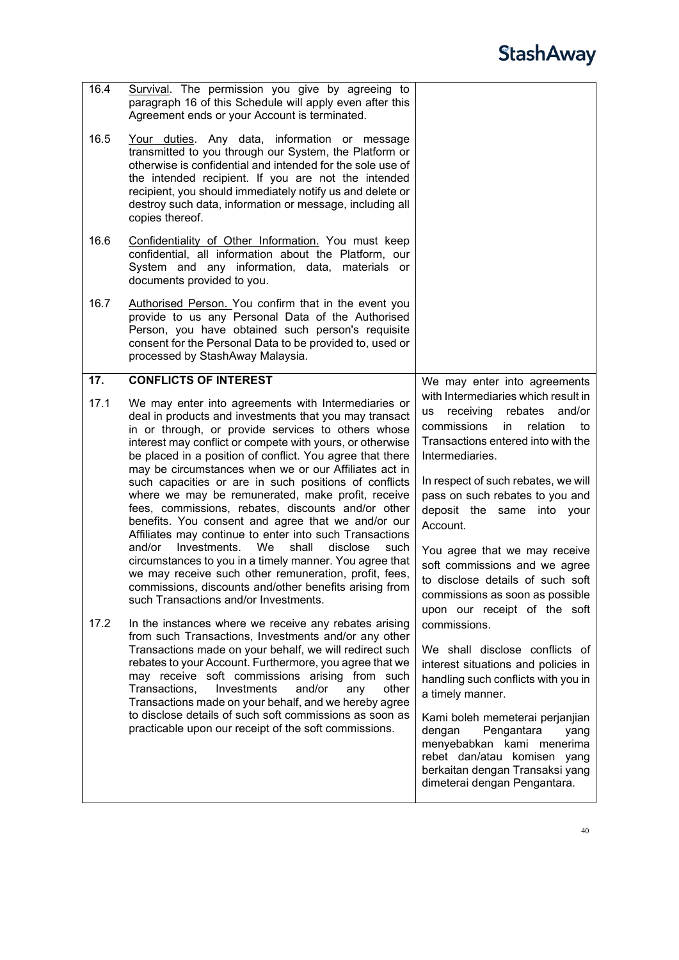<span id="page-39-0"></span>

| 16.4 | Survival. The permission you give by agreeing to<br>paragraph 16 of this Schedule will apply even after this<br>Agreement ends or your Account is terminated.                                                                                                                                                                                                                                                                                                                                                                                                                                                                                                                                                                                                                                                                                                                                                                   |                                                                                                                                                                                                                                                                                                                                                                                                                                                  |
|------|---------------------------------------------------------------------------------------------------------------------------------------------------------------------------------------------------------------------------------------------------------------------------------------------------------------------------------------------------------------------------------------------------------------------------------------------------------------------------------------------------------------------------------------------------------------------------------------------------------------------------------------------------------------------------------------------------------------------------------------------------------------------------------------------------------------------------------------------------------------------------------------------------------------------------------|--------------------------------------------------------------------------------------------------------------------------------------------------------------------------------------------------------------------------------------------------------------------------------------------------------------------------------------------------------------------------------------------------------------------------------------------------|
| 16.5 | Your duties. Any data, information or message<br>transmitted to you through our System, the Platform or<br>otherwise is confidential and intended for the sole use of<br>the intended recipient. If you are not the intended<br>recipient, you should immediately notify us and delete or<br>destroy such data, information or message, including all<br>copies thereof.                                                                                                                                                                                                                                                                                                                                                                                                                                                                                                                                                        |                                                                                                                                                                                                                                                                                                                                                                                                                                                  |
| 16.6 | Confidentiality of Other Information. You must keep<br>confidential, all information about the Platform, our<br>System and any information, data,<br>materials or<br>documents provided to you.                                                                                                                                                                                                                                                                                                                                                                                                                                                                                                                                                                                                                                                                                                                                 |                                                                                                                                                                                                                                                                                                                                                                                                                                                  |
| 16.7 | Authorised Person. You confirm that in the event you<br>provide to us any Personal Data of the Authorised<br>Person, you have obtained such person's requisite<br>consent for the Personal Data to be provided to, used or<br>processed by StashAway Malaysia.                                                                                                                                                                                                                                                                                                                                                                                                                                                                                                                                                                                                                                                                  |                                                                                                                                                                                                                                                                                                                                                                                                                                                  |
| 17.  | <b>CONFLICTS OF INTEREST</b>                                                                                                                                                                                                                                                                                                                                                                                                                                                                                                                                                                                                                                                                                                                                                                                                                                                                                                    | We may enter into agreements                                                                                                                                                                                                                                                                                                                                                                                                                     |
| 17.1 | We may enter into agreements with Intermediaries or<br>deal in products and investments that you may transact<br>in or through, or provide services to others whose<br>interest may conflict or compete with yours, or otherwise<br>be placed in a position of conflict. You agree that there<br>may be circumstances when we or our Affiliates act in<br>such capacities or are in such positions of conflicts<br>where we may be remunerated, make profit, receive<br>fees, commissions, rebates, discounts and/or other<br>benefits. You consent and agree that we and/or our<br>Affiliates may continue to enter into such Transactions<br>and/or<br>Investments.<br>We<br>disclose<br>shall<br>such<br>circumstances to you in a timely manner. You agree that<br>we may receive such other remuneration, profit, fees,<br>commissions, discounts and/other benefits arising from<br>such Transactions and/or Investments. | with Intermediaries which result in<br>rebates<br>and/or<br>receiving<br><b>us</b><br>commissions<br>relation<br>in.<br>to<br>Transactions entered into with the<br>Intermediaries.<br>In respect of such rebates, we will<br>pass on such rebates to you and<br>deposit the same into your<br>Account.<br>You agree that we may receive<br>soft commissions and we agree<br>to disclose details of such soft<br>commissions as soon as possible |
| 17.2 | In the instances where we receive any rebates arising<br>from such Transactions, Investments and/or any other<br>Transactions made on your behalf, we will redirect such<br>rebates to your Account. Furthermore, you agree that we<br>may receive soft commissions arising from such<br>Transactions,<br>Investments<br>and/or<br>other<br>any<br>Transactions made on your behalf, and we hereby agree<br>to disclose details of such soft commissions as soon as<br>practicable upon our receipt of the soft commissions.                                                                                                                                                                                                                                                                                                                                                                                                    | upon our receipt of the soft<br>commissions.<br>We shall disclose conflicts of<br>interest situations and policies in<br>handling such conflicts with you in<br>a timely manner.<br>Kami boleh memeterai perjanjian<br>dengan<br>Pengantara<br>yang<br>menyebabkan kami menerima<br>rebet dan/atau<br>komisen yang<br>berkaitan dengan Transaksi yang<br>dimeterai dengan Pengantara.                                                            |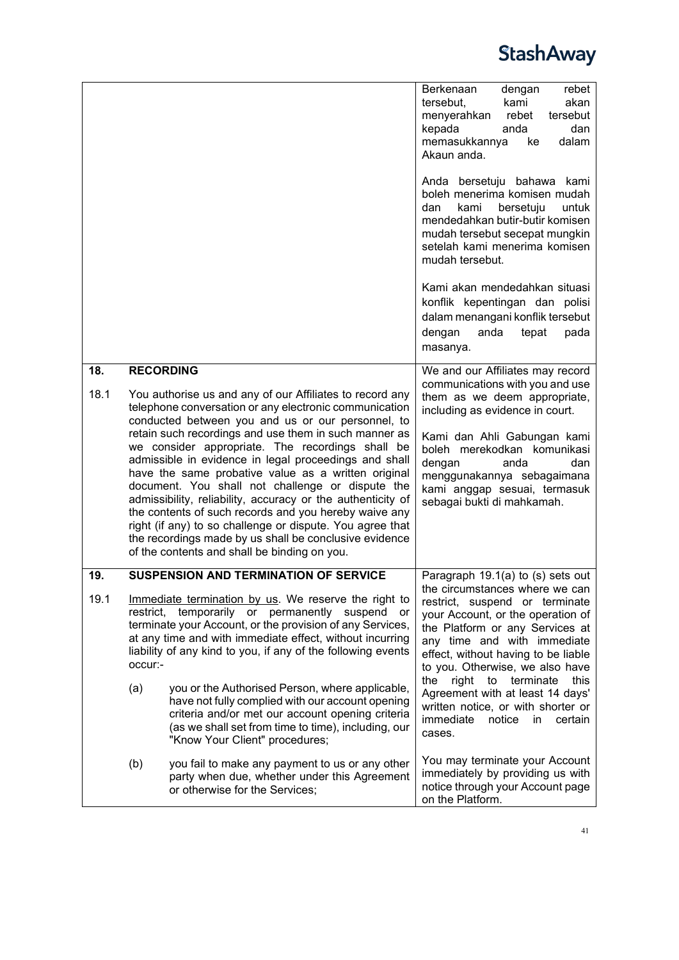

<span id="page-40-2"></span><span id="page-40-1"></span><span id="page-40-0"></span>

|             |                                                                                                                                                                                                                                                                                                                                                                                                                                                                                                                                                                                                                                                                                                                                                                             | Berkenaan<br>rebet<br>dengan<br>tersebut.<br>kami<br>akan<br>menyerahkan<br>tersebut<br>rebet<br>kepada<br>dan<br>anda<br>dalam<br>memasukkannya<br>ke<br>Akaun anda.<br>Anda bersetuju bahawa kami<br>boleh menerima komisen mudah<br>kami<br>dan<br>bersetuju<br>untuk<br>mendedahkan butir-butir komisen<br>mudah tersebut secepat mungkin<br>setelah kami menerima komisen<br>mudah tersebut.                                                       |
|-------------|-----------------------------------------------------------------------------------------------------------------------------------------------------------------------------------------------------------------------------------------------------------------------------------------------------------------------------------------------------------------------------------------------------------------------------------------------------------------------------------------------------------------------------------------------------------------------------------------------------------------------------------------------------------------------------------------------------------------------------------------------------------------------------|---------------------------------------------------------------------------------------------------------------------------------------------------------------------------------------------------------------------------------------------------------------------------------------------------------------------------------------------------------------------------------------------------------------------------------------------------------|
|             |                                                                                                                                                                                                                                                                                                                                                                                                                                                                                                                                                                                                                                                                                                                                                                             | Kami akan mendedahkan situasi<br>konflik kepentingan dan polisi<br>dalam menangani konflik tersebut<br>anda<br>tepat<br>pada<br>dengan<br>masanya.                                                                                                                                                                                                                                                                                                      |
| 18.<br>18.1 | <b>RECORDING</b><br>You authorise us and any of our Affiliates to record any<br>telephone conversation or any electronic communication<br>conducted between you and us or our personnel, to<br>retain such recordings and use them in such manner as<br>we consider appropriate. The recordings shall be<br>admissible in evidence in legal proceedings and shall<br>have the same probative value as a written original<br>document. You shall not challenge or dispute the<br>admissibility, reliability, accuracy or the authenticity of<br>the contents of such records and you hereby waive any<br>right (if any) to so challenge or dispute. You agree that<br>the recordings made by us shall be conclusive evidence<br>of the contents and shall be binding on you. | We and our Affiliates may record<br>communications with you and use<br>them as we deem appropriate,<br>including as evidence in court.<br>Kami dan Ahli Gabungan kami<br>boleh merekodkan komunikasi<br>dengan<br>dan<br>anda<br>menggunakannya sebagaimana<br>kami anggap sesuai, termasuk<br>sebagai bukti di mahkamah.                                                                                                                               |
| 19.<br>19.1 | <b>SUSPENSION AND TERMINATION OF SERVICE</b><br>Immediate termination by us. We reserve the right to<br>restrict, temporarily or permanently suspend or<br>terminate your Account, or the provision of any Services,<br>at any time and with immediate effect, without incurring<br>liability of any kind to you, if any of the following events<br>occur:-<br>(a)<br>you or the Authorised Person, where applicable,<br>have not fully complied with our account opening<br>criteria and/or met our account opening criteria<br>(as we shall set from time to time), including, our<br>"Know Your Client" procedures;                                                                                                                                                      | Paragraph 19.1(a) to (s) sets out<br>the circumstances where we can<br>restrict, suspend or terminate<br>your Account, or the operation of<br>the Platform or any Services at<br>any time and with immediate<br>effect, without having to be liable<br>to you. Otherwise, we also have<br>the<br>right to terminate<br>this<br>Agreement with at least 14 days'<br>written notice, or with shorter or<br>immediate<br>notice<br>in<br>certain<br>cases. |
|             | (b)<br>you fail to make any payment to us or any other<br>party when due, whether under this Agreement<br>or otherwise for the Services;                                                                                                                                                                                                                                                                                                                                                                                                                                                                                                                                                                                                                                    | You may terminate your Account<br>immediately by providing us with<br>notice through your Account page<br>on the Platform.                                                                                                                                                                                                                                                                                                                              |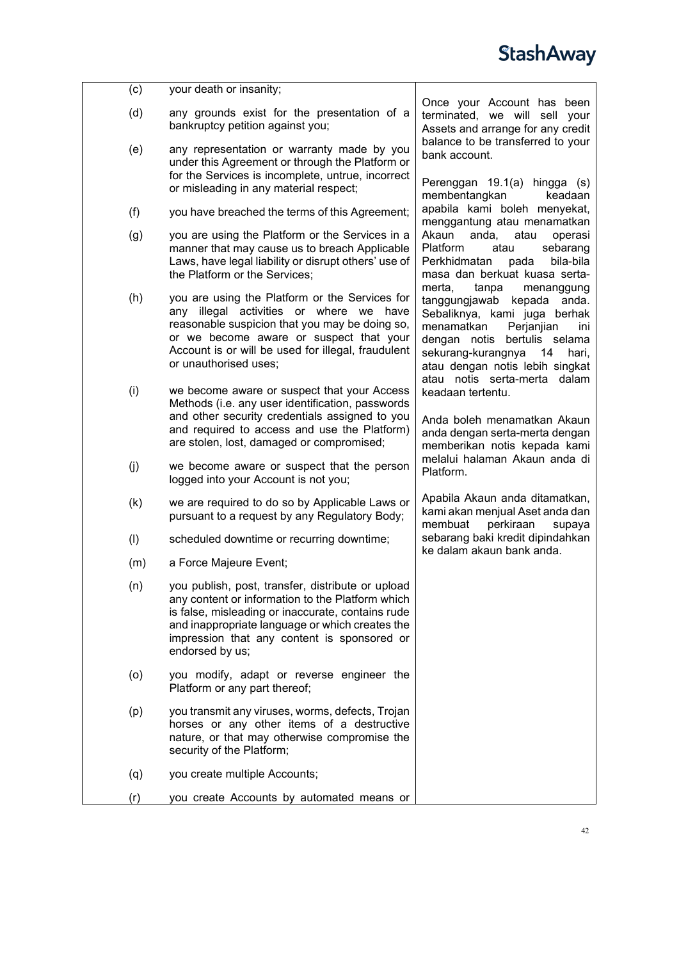<span id="page-41-0"></span>

| (c) | your death or insanity;                                                                                                                                                                                                                                                         |                                                                                                                                                                                                                                          |
|-----|---------------------------------------------------------------------------------------------------------------------------------------------------------------------------------------------------------------------------------------------------------------------------------|------------------------------------------------------------------------------------------------------------------------------------------------------------------------------------------------------------------------------------------|
| (d) | any grounds exist for the presentation of a<br>bankruptcy petition against you;                                                                                                                                                                                                 | Once your Account has been<br>terminated, we will sell your<br>Assets and arrange for any credit                                                                                                                                         |
| (e) | any representation or warranty made by you<br>under this Agreement or through the Platform or<br>for the Services is incomplete, untrue, incorrect                                                                                                                              | balance to be transferred to your<br>bank account.<br>Perenggan 19.1(a) hingga (s)                                                                                                                                                       |
|     | or misleading in any material respect;                                                                                                                                                                                                                                          | membentangkan<br>keadaan                                                                                                                                                                                                                 |
| (f) | you have breached the terms of this Agreement;                                                                                                                                                                                                                                  | apabila kami boleh menyekat,<br>menggantung atau menamatkan                                                                                                                                                                              |
| (g) | you are using the Platform or the Services in a<br>manner that may cause us to breach Applicable<br>Laws, have legal liability or disrupt others' use of<br>the Platform or the Services;                                                                                       | Akaun<br>anda,<br>atau<br>operasi<br>Platform<br>sebarang<br>atau<br>bila-bila<br>Perkhidmatan<br>pada<br>masa dan berkuat kuasa serta-<br>merta,<br>tanpa<br>menanggung                                                                 |
| (h) | you are using the Platform or the Services for<br>any illegal activities or where we have<br>reasonable suspicion that you may be doing so,<br>or we become aware or suspect that your<br>Account is or will be used for illegal, fraudulent<br>or unauthorised uses;           | tanggungjawab<br>kepada anda.<br>Sebaliknya, kami juga berhak<br>menamatkan<br>Perjanjian<br>ini<br>dengan notis bertulis selama<br>sekurang-kurangnya<br>14<br>hari,<br>atau dengan notis lebih singkat<br>atau notis serta-merta dalam |
| (i) | we become aware or suspect that your Access<br>Methods (i.e. any user identification, passwords<br>and other security credentials assigned to you<br>and required to access and use the Platform)<br>are stolen, lost, damaged or compromised;                                  | keadaan tertentu.<br>Anda boleh menamatkan Akaun<br>anda dengan serta-merta dengan<br>memberikan notis kepada kami                                                                                                                       |
| (j) | we become aware or suspect that the person<br>logged into your Account is not you;                                                                                                                                                                                              | melalui halaman Akaun anda di<br>Platform.                                                                                                                                                                                               |
| (k) | we are required to do so by Applicable Laws or<br>pursuant to a request by any Regulatory Body;                                                                                                                                                                                 | Apabila Akaun anda ditamatkan,<br>kami akan menjual Aset anda dan<br>membuat<br>perkiraan<br>supaya                                                                                                                                      |
| (1) | scheduled downtime or recurring downtime;                                                                                                                                                                                                                                       | sebarang baki kredit dipindahkan                                                                                                                                                                                                         |
| (m) | a Force Majeure Event;                                                                                                                                                                                                                                                          | ke dalam akaun bank anda.                                                                                                                                                                                                                |
| (n) | you publish, post, transfer, distribute or upload<br>any content or information to the Platform which<br>is false, misleading or inaccurate, contains rude<br>and inappropriate language or which creates the<br>impression that any content is sponsored or<br>endorsed by us; |                                                                                                                                                                                                                                          |
| (o) | you modify, adapt or reverse engineer the<br>Platform or any part thereof;                                                                                                                                                                                                      |                                                                                                                                                                                                                                          |
| (p) | you transmit any viruses, worms, defects, Trojan<br>horses or any other items of a destructive<br>nature, or that may otherwise compromise the<br>security of the Platform;                                                                                                     |                                                                                                                                                                                                                                          |
| (q) | you create multiple Accounts;                                                                                                                                                                                                                                                   |                                                                                                                                                                                                                                          |
| (r) | you create Accounts by automated means or                                                                                                                                                                                                                                       |                                                                                                                                                                                                                                          |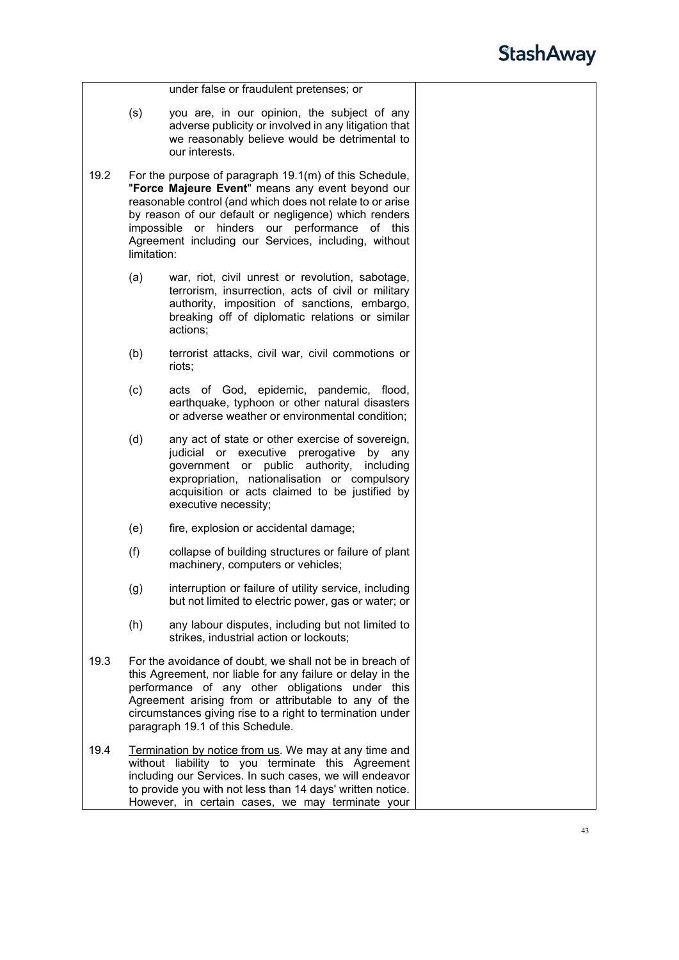|      |                                                                                                                                                                                                                                                                                                                                    | under false or fraudulent pretenses; or                                                                                                                                                                                                                                                                                                   |  |
|------|------------------------------------------------------------------------------------------------------------------------------------------------------------------------------------------------------------------------------------------------------------------------------------------------------------------------------------|-------------------------------------------------------------------------------------------------------------------------------------------------------------------------------------------------------------------------------------------------------------------------------------------------------------------------------------------|--|
|      | (s)                                                                                                                                                                                                                                                                                                                                | you are, in our opinion, the subject of any<br>adverse publicity or involved in any litigation that<br>we reasonably believe would be detrimental to<br>our interests.                                                                                                                                                                    |  |
| 19.2 | limitation:                                                                                                                                                                                                                                                                                                                        | For the purpose of paragraph 19.1(m) of this Schedule,<br>"Force Majeure Event" means any event beyond our<br>reasonable control (and which does not relate to or arise<br>by reason of our default or negligence) which renders<br>impossible or hinders our performance of this<br>Agreement including our Services, including, without |  |
|      | (a)                                                                                                                                                                                                                                                                                                                                | war, riot, civil unrest or revolution, sabotage,<br>terrorism, insurrection, acts of civil or military<br>authority, imposition of sanctions, embargo,<br>breaking off of diplomatic relations or similar<br>actions;                                                                                                                     |  |
|      | (b)                                                                                                                                                                                                                                                                                                                                | terrorist attacks, civil war, civil commotions or<br>riots;                                                                                                                                                                                                                                                                               |  |
|      | (c)                                                                                                                                                                                                                                                                                                                                | acts of God, epidemic, pandemic, flood,<br>earthquake, typhoon or other natural disasters<br>or adverse weather or environmental condition;                                                                                                                                                                                               |  |
|      | (d)                                                                                                                                                                                                                                                                                                                                | any act of state or other exercise of sovereign,<br>judicial or executive prerogative<br>by any<br>government or public authority,<br>including<br>expropriation, nationalisation or compulsory<br>acquisition or acts claimed to be justified by<br>executive necessity;                                                                 |  |
|      | (e)                                                                                                                                                                                                                                                                                                                                | fire, explosion or accidental damage;                                                                                                                                                                                                                                                                                                     |  |
|      | (f)                                                                                                                                                                                                                                                                                                                                | collapse of building structures or failure of plant<br>machinery, computers or vehicles;                                                                                                                                                                                                                                                  |  |
|      | (g)                                                                                                                                                                                                                                                                                                                                | interruption or failure of utility service, including<br>but not limited to electric power, gas or water; or                                                                                                                                                                                                                              |  |
|      | (h)                                                                                                                                                                                                                                                                                                                                | any labour disputes, including but not limited to<br>strikes, industrial action or lockouts;                                                                                                                                                                                                                                              |  |
| 19.3 | For the avoidance of doubt, we shall not be in breach of<br>this Agreement, nor liable for any failure or delay in the<br>performance of any other obligations under this<br>Agreement arising from or attributable to any of the<br>circumstances giving rise to a right to termination under<br>paragraph 19.1 of this Schedule. |                                                                                                                                                                                                                                                                                                                                           |  |
| 19.4 |                                                                                                                                                                                                                                                                                                                                    | Termination by notice from us. We may at any time and<br>without liability to you terminate this Agreement<br>including our Services. In such cases, we will endeavor<br>to provide you with not less than 14 days' written notice.<br>However, in certain cases, we may terminate your                                                   |  |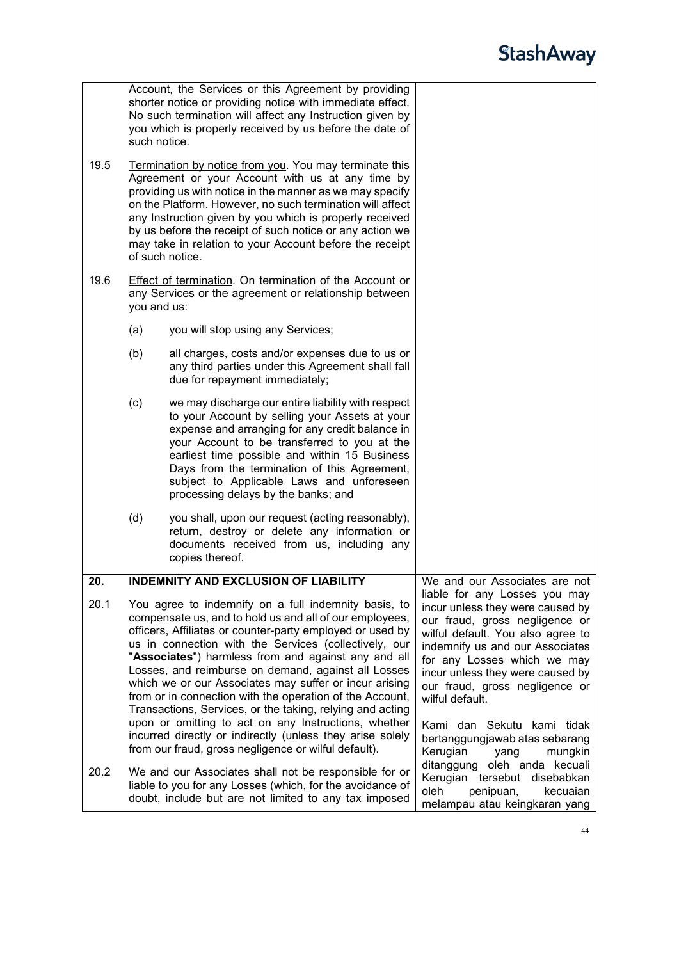<span id="page-43-0"></span>

|      |                                                                                                                                                                                                                                                                                                                                                                                                                                                                                                                                                                                                                                                                                                                     | Account, the Services or this Agreement by providing<br>shorter notice or providing notice with immediate effect.<br>No such termination will affect any Instruction given by<br>you which is properly received by us before the date of<br>such notice.                                                                                                                                                                                 |                                                                                                                                                                                                                                                                                                                                                                                                    |
|------|---------------------------------------------------------------------------------------------------------------------------------------------------------------------------------------------------------------------------------------------------------------------------------------------------------------------------------------------------------------------------------------------------------------------------------------------------------------------------------------------------------------------------------------------------------------------------------------------------------------------------------------------------------------------------------------------------------------------|------------------------------------------------------------------------------------------------------------------------------------------------------------------------------------------------------------------------------------------------------------------------------------------------------------------------------------------------------------------------------------------------------------------------------------------|----------------------------------------------------------------------------------------------------------------------------------------------------------------------------------------------------------------------------------------------------------------------------------------------------------------------------------------------------------------------------------------------------|
| 19.5 |                                                                                                                                                                                                                                                                                                                                                                                                                                                                                                                                                                                                                                                                                                                     | Termination by notice from you. You may terminate this<br>Agreement or your Account with us at any time by<br>providing us with notice in the manner as we may specify<br>on the Platform. However, no such termination will affect<br>any Instruction given by you which is properly received<br>by us before the receipt of such notice or any action we<br>may take in relation to your Account before the receipt<br>of such notice. |                                                                                                                                                                                                                                                                                                                                                                                                    |
| 19.6 | Effect of termination. On termination of the Account or<br>any Services or the agreement or relationship between<br>you and us:                                                                                                                                                                                                                                                                                                                                                                                                                                                                                                                                                                                     |                                                                                                                                                                                                                                                                                                                                                                                                                                          |                                                                                                                                                                                                                                                                                                                                                                                                    |
|      | (a)                                                                                                                                                                                                                                                                                                                                                                                                                                                                                                                                                                                                                                                                                                                 | you will stop using any Services;                                                                                                                                                                                                                                                                                                                                                                                                        |                                                                                                                                                                                                                                                                                                                                                                                                    |
|      | (b)                                                                                                                                                                                                                                                                                                                                                                                                                                                                                                                                                                                                                                                                                                                 | all charges, costs and/or expenses due to us or<br>any third parties under this Agreement shall fall<br>due for repayment immediately;                                                                                                                                                                                                                                                                                                   |                                                                                                                                                                                                                                                                                                                                                                                                    |
|      | (c)                                                                                                                                                                                                                                                                                                                                                                                                                                                                                                                                                                                                                                                                                                                 | we may discharge our entire liability with respect<br>to your Account by selling your Assets at your<br>expense and arranging for any credit balance in<br>your Account to be transferred to you at the<br>earliest time possible and within 15 Business<br>Days from the termination of this Agreement,<br>subject to Applicable Laws and unforeseen<br>processing delays by the banks; and                                             |                                                                                                                                                                                                                                                                                                                                                                                                    |
|      | (d)                                                                                                                                                                                                                                                                                                                                                                                                                                                                                                                                                                                                                                                                                                                 | you shall, upon our request (acting reasonably),<br>return, destroy or delete any information or<br>documents received from us, including any<br>copies thereof.                                                                                                                                                                                                                                                                         |                                                                                                                                                                                                                                                                                                                                                                                                    |
| 20.  |                                                                                                                                                                                                                                                                                                                                                                                                                                                                                                                                                                                                                                                                                                                     | <b>INDEMNITY AND EXCLUSION OF LIABILITY</b>                                                                                                                                                                                                                                                                                                                                                                                              | We and our Associates are not                                                                                                                                                                                                                                                                                                                                                                      |
| 20.1 | You agree to indemnify on a full indemnity basis, to<br>compensate us, and to hold us and all of our employees,<br>officers, Affiliates or counter-party employed or used by<br>us in connection with the Services (collectively, our<br>"Associates") harmless from and against any and all<br>Losses, and reimburse on demand, against all Losses<br>which we or our Associates may suffer or incur arising<br>from or in connection with the operation of the Account,<br>Transactions, Services, or the taking, relying and acting<br>upon or omitting to act on any Instructions, whether<br>incurred directly or indirectly (unless they arise solely<br>from our fraud, gross negligence or wilful default). |                                                                                                                                                                                                                                                                                                                                                                                                                                          | liable for any Losses you may<br>incur unless they were caused by<br>our fraud, gross negligence or<br>wilful default. You also agree to<br>indemnify us and our Associates<br>for any Losses which we may<br>incur unless they were caused by<br>our fraud, gross negligence or<br>wilful default.<br>Kami dan Sekutu kami tidak<br>bertanggungjawab atas sebarang<br>Kerugian<br>mungkin<br>yang |
| 20.2 | We and our Associates shall not be responsible for or<br>liable to you for any Losses (which, for the avoidance of<br>doubt, include but are not limited to any tax imposed                                                                                                                                                                                                                                                                                                                                                                                                                                                                                                                                         |                                                                                                                                                                                                                                                                                                                                                                                                                                          | oleh anda kecuali<br>ditanggung<br>Kerugian tersebut<br>disebabkan<br>oleh<br>penipuan,<br>kecuaian<br>melampau atau keingkaran yang                                                                                                                                                                                                                                                               |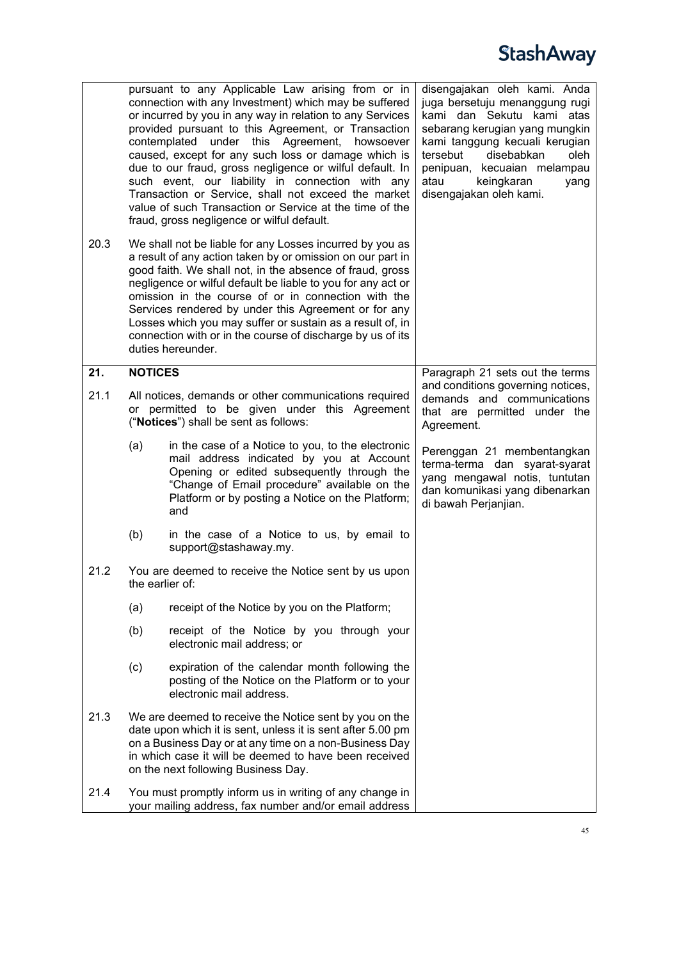<span id="page-44-0"></span>

|      |                                                                                                                                                                                                                                                                                                                                                                                                                                                                                                                   | pursuant to any Applicable Law arising from or in<br>connection with any Investment) which may be suffered<br>or incurred by you in any way in relation to any Services<br>provided pursuant to this Agreement, or Transaction<br>contemplated under this Agreement,<br>howsoever<br>caused, except for any such loss or damage which is<br>due to our fraud, gross negligence or wilful default. In<br>such event, our liability in connection with any<br>Transaction or Service, shall not exceed the market<br>value of such Transaction or Service at the time of the<br>fraud, gross negligence or wilful default. | disengajakan oleh kami. Anda<br>juga bersetuju menanggung rugi<br>kami dan Sekutu kami atas<br>sebarang kerugian yang mungkin<br>kami tanggung kecuali kerugian<br>disebabkan<br>tersebut<br>oleh<br>penipuan, kecuaian melampau<br>atau<br>keingkaran<br>yang<br>disengajakan oleh kami. |
|------|-------------------------------------------------------------------------------------------------------------------------------------------------------------------------------------------------------------------------------------------------------------------------------------------------------------------------------------------------------------------------------------------------------------------------------------------------------------------------------------------------------------------|--------------------------------------------------------------------------------------------------------------------------------------------------------------------------------------------------------------------------------------------------------------------------------------------------------------------------------------------------------------------------------------------------------------------------------------------------------------------------------------------------------------------------------------------------------------------------------------------------------------------------|-------------------------------------------------------------------------------------------------------------------------------------------------------------------------------------------------------------------------------------------------------------------------------------------|
| 20.3 | We shall not be liable for any Losses incurred by you as<br>a result of any action taken by or omission on our part in<br>good faith. We shall not, in the absence of fraud, gross<br>negligence or wilful default be liable to you for any act or<br>omission in the course of or in connection with the<br>Services rendered by under this Agreement or for any<br>Losses which you may suffer or sustain as a result of, in<br>connection with or in the course of discharge by us of its<br>duties hereunder. |                                                                                                                                                                                                                                                                                                                                                                                                                                                                                                                                                                                                                          |                                                                                                                                                                                                                                                                                           |
| 21.  | <b>NOTICES</b>                                                                                                                                                                                                                                                                                                                                                                                                                                                                                                    |                                                                                                                                                                                                                                                                                                                                                                                                                                                                                                                                                                                                                          | Paragraph 21 sets out the terms                                                                                                                                                                                                                                                           |
| 21.1 | All notices, demands or other communications required<br>or permitted to be given under this Agreement<br>("Notices") shall be sent as follows:                                                                                                                                                                                                                                                                                                                                                                   |                                                                                                                                                                                                                                                                                                                                                                                                                                                                                                                                                                                                                          | and conditions governing notices,<br>demands and communications<br>that are permitted under the<br>Agreement.                                                                                                                                                                             |
|      | (a)                                                                                                                                                                                                                                                                                                                                                                                                                                                                                                               | in the case of a Notice to you, to the electronic<br>mail address indicated by you at Account<br>Opening or edited subsequently through the<br>"Change of Email procedure" available on the<br>Platform or by posting a Notice on the Platform;<br>and                                                                                                                                                                                                                                                                                                                                                                   | Perenggan 21 membentangkan<br>terma-terma dan syarat-syarat<br>yang mengawal notis, tuntutan<br>dan komunikasi yang dibenarkan<br>di bawah Perjanjian.                                                                                                                                    |
|      | (b)                                                                                                                                                                                                                                                                                                                                                                                                                                                                                                               | in the case of a Notice to us, by email to<br>support@stashaway.my.                                                                                                                                                                                                                                                                                                                                                                                                                                                                                                                                                      |                                                                                                                                                                                                                                                                                           |
| 21.2 |                                                                                                                                                                                                                                                                                                                                                                                                                                                                                                                   | You are deemed to receive the Notice sent by us upon<br>the earlier of:                                                                                                                                                                                                                                                                                                                                                                                                                                                                                                                                                  |                                                                                                                                                                                                                                                                                           |
|      | (a)                                                                                                                                                                                                                                                                                                                                                                                                                                                                                                               | receipt of the Notice by you on the Platform;                                                                                                                                                                                                                                                                                                                                                                                                                                                                                                                                                                            |                                                                                                                                                                                                                                                                                           |
|      | (b)                                                                                                                                                                                                                                                                                                                                                                                                                                                                                                               | receipt of the Notice by you through your<br>electronic mail address; or                                                                                                                                                                                                                                                                                                                                                                                                                                                                                                                                                 |                                                                                                                                                                                                                                                                                           |
|      | (c)                                                                                                                                                                                                                                                                                                                                                                                                                                                                                                               | expiration of the calendar month following the<br>posting of the Notice on the Platform or to your<br>electronic mail address.                                                                                                                                                                                                                                                                                                                                                                                                                                                                                           |                                                                                                                                                                                                                                                                                           |
| 21.3 | We are deemed to receive the Notice sent by you on the<br>date upon which it is sent, unless it is sent after 5.00 pm<br>on a Business Day or at any time on a non-Business Day<br>in which case it will be deemed to have been received<br>on the next following Business Day.                                                                                                                                                                                                                                   |                                                                                                                                                                                                                                                                                                                                                                                                                                                                                                                                                                                                                          |                                                                                                                                                                                                                                                                                           |
| 21.4 |                                                                                                                                                                                                                                                                                                                                                                                                                                                                                                                   | You must promptly inform us in writing of any change in<br>your mailing address, fax number and/or email address                                                                                                                                                                                                                                                                                                                                                                                                                                                                                                         |                                                                                                                                                                                                                                                                                           |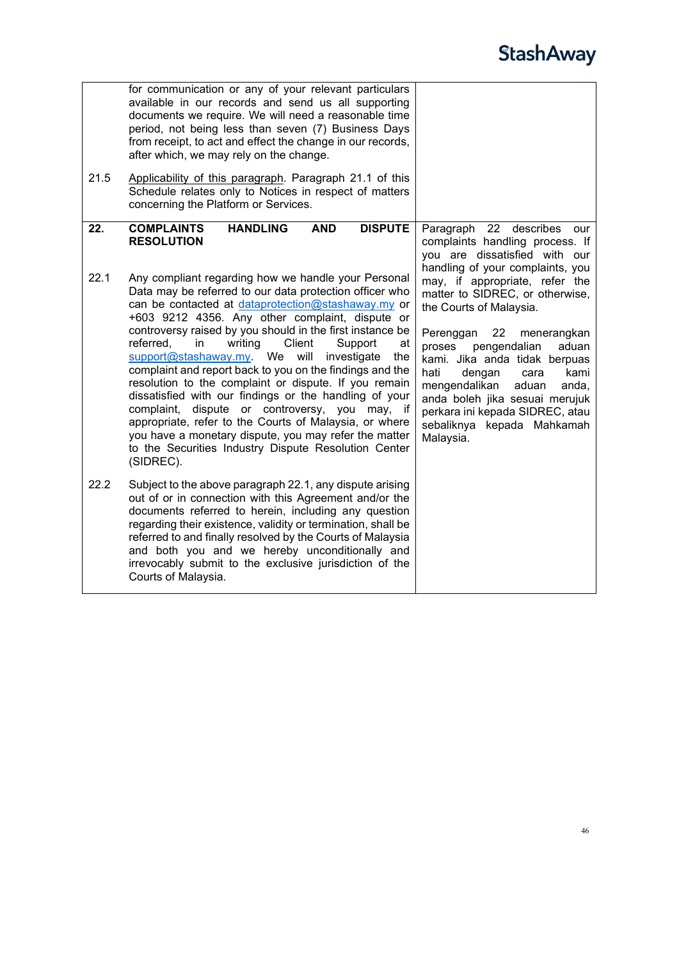<span id="page-45-0"></span>

| 21.5 | for communication or any of your relevant particulars<br>available in our records and send us all supporting<br>documents we require. We will need a reasonable time<br>period, not being less than seven (7) Business Days<br>from receipt, to act and effect the change in our records,<br>after which, we may rely on the change.<br>Applicability of this paragraph. Paragraph 21.1 of this                                                                                                                                                                                                                                                                                                                                                                                                                                     |                                                                                                                                                                                                                                                                                                                                                                                         |
|------|-------------------------------------------------------------------------------------------------------------------------------------------------------------------------------------------------------------------------------------------------------------------------------------------------------------------------------------------------------------------------------------------------------------------------------------------------------------------------------------------------------------------------------------------------------------------------------------------------------------------------------------------------------------------------------------------------------------------------------------------------------------------------------------------------------------------------------------|-----------------------------------------------------------------------------------------------------------------------------------------------------------------------------------------------------------------------------------------------------------------------------------------------------------------------------------------------------------------------------------------|
|      | Schedule relates only to Notices in respect of matters<br>concerning the Platform or Services.                                                                                                                                                                                                                                                                                                                                                                                                                                                                                                                                                                                                                                                                                                                                      |                                                                                                                                                                                                                                                                                                                                                                                         |
| 22.  | <b>COMPLAINTS</b><br><b>HANDLING</b><br><b>AND</b><br><b>DISPUTE</b><br><b>RESOLUTION</b>                                                                                                                                                                                                                                                                                                                                                                                                                                                                                                                                                                                                                                                                                                                                           | Paragraph 22 describes<br>our<br>complaints handling process. If<br>you are dissatisfied with our<br>handling of your complaints, you                                                                                                                                                                                                                                                   |
| 22.1 | Any compliant regarding how we handle your Personal<br>Data may be referred to our data protection officer who<br>can be contacted at dataprotection@stashaway.my or<br>+603 9212 4356. Any other complaint, dispute or<br>controversy raised by you should in the first instance be<br>Client<br>referred,<br>writing<br>Support<br>in<br>at<br>support@stashaway.my.<br>We<br>will<br>investigate<br>the<br>complaint and report back to you on the findings and the<br>resolution to the complaint or dispute. If you remain<br>dissatisfied with our findings or the handling of your<br>complaint, dispute or controversy, you may, if<br>appropriate, refer to the Courts of Malaysia, or where<br>you have a monetary dispute, you may refer the matter<br>to the Securities Industry Dispute Resolution Center<br>(SIDREC). | may, if appropriate, refer the<br>matter to SIDREC, or otherwise,<br>the Courts of Malaysia.<br>Perenggan<br>22<br>menerangkan<br>pengendalian<br>aduan<br>proses<br>kami. Jika anda tidak berpuas<br>hati<br>kami<br>dengan<br>cara<br>mengendalikan<br>aduan<br>anda,<br>anda boleh jika sesuai merujuk<br>perkara ini kepada SIDREC, atau<br>sebaliknya kepada Mahkamah<br>Malaysia. |
| 22.2 | Subject to the above paragraph 22.1, any dispute arising<br>out of or in connection with this Agreement and/or the<br>documents referred to herein, including any question<br>regarding their existence, validity or termination, shall be<br>referred to and finally resolved by the Courts of Malaysia<br>and both you and we hereby unconditionally and<br>irrevocably submit to the exclusive jurisdiction of the<br>Courts of Malaysia.                                                                                                                                                                                                                                                                                                                                                                                        |                                                                                                                                                                                                                                                                                                                                                                                         |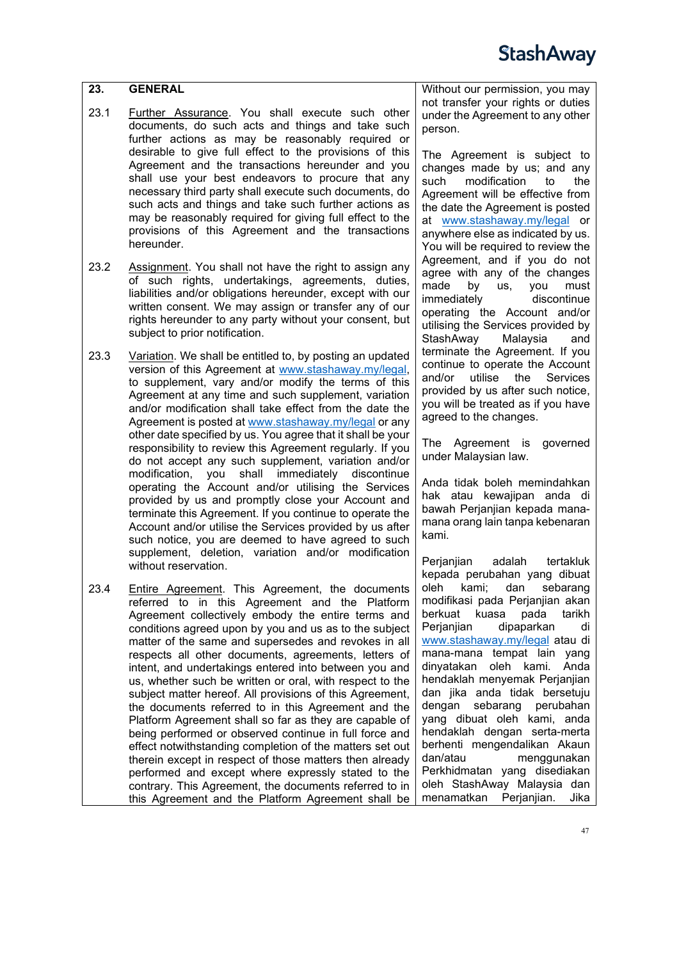<span id="page-46-0"></span>

| $\overline{23}$ . | <b>GENERAL</b>                                                                                                                                                                                                                                                                                      | Without our permission, yo                                                                                                                                                         |  |
|-------------------|-----------------------------------------------------------------------------------------------------------------------------------------------------------------------------------------------------------------------------------------------------------------------------------------------------|------------------------------------------------------------------------------------------------------------------------------------------------------------------------------------|--|
| 23.1              | Further Assurance. You shall execute such other<br>documents, do such acts and things and take such<br>further actions as may be reasonably required or<br>desirable to give full effect to the provisions of this<br>Agreement and the transactions hereunder and you                              | not transfer your rights or<br>under the Agreement to any<br>person.<br>The Agreement is subje<br>changes made by us; an                                                           |  |
|                   | shall use your best endeavors to procure that any<br>necessary third party shall execute such documents, do<br>such acts and things and take such further actions as<br>may be reasonably required for giving full effect to the<br>provisions of this Agreement and the transactions<br>hereunder. | such<br>modification<br>to<br>Agreement will be effective<br>the date the Agreement is p<br>at www.stashaway.my/leg<br>anywhere else as indicated<br>You will be required to revie |  |

- 23.2 Assignment. You shall not have the right to assign any of such rights, undertakings, agreements, duties, liabilities and/or obligations hereunder, except with our written consent. We may assign or transfer any of our rights hereunder to any party without your consent, but subject to prior notification.
- 23.3 Variation. We shall be entitled to, by posting an updated version of this Agreement at [www.stashaway.my/legal,](http://www.stashaway.my/legal) to supplement, vary and/or modify the terms of this Agreement at any time and such supplement, variation and/or modification shall take effect from the date the Agreement is posted a[t www.stashaway.my/legal](http://www.stashaway.my/legal) or any other date specified by us. You agree that it shall be your responsibility to review this Agreement regularly. If you do not accept any such supplement, variation and/or modification, you shall immediately discontinue operating the Account and/or utilising the Services provided by us and promptly close your Account and terminate this Agreement. If you continue to operate the Account and/or utilise the Services provided by us after such notice, you are deemed to have agreed to such supplement, deletion, variation and/or modification without reservation.
- 23.4 Entire Agreement. This Agreement, the documents referred to in this Agreement and the Platform Agreement collectively embody the entire terms and conditions agreed upon by you and us as to the subject matter of the same and supersedes and revokes in all respects all other documents, agreements, letters of intent, and undertakings entered into between you and us, whether such be written or oral, with respect to the subject matter hereof. All provisions of this Agreement, the documents referred to in this Agreement and the Platform Agreement shall so far as they are capable of being performed or observed continue in full force and effect notwithstanding completion of the matters set out therein except in respect of those matters then already performed and except where expressly stated to the contrary. This Agreement, the documents referred to in this Agreement and the Platform Agreement shall be

Without our permission, you may duties  $\prime$  other

ect to d any such modification to the e from oosted al or by us. You will be required to review the Agreement, and if you do not agree with any of the changes made by us, you must<br>immediately discontinue immediately operating the Account and/or utilising the Services provided by StashAway Malaysia and terminate the Agreement. If you continue to operate the Account and/or utilise the Services provided by us after such notice, you will be treated as if you have agreed to the changes.

The Agreement is governed under Malaysian law.

Anda tidak boleh memindahkan hak atau kewajipan anda di bawah Perjanjian kepada manamana orang lain tanpa kebenaran kami.

Perjanjian adalah tertakluk kepada perubahan yang dibuat oleh kami; dan sebarang modifikasi pada Perjanjian akan berkuat kuasa pada tarikh Perjanjian dipaparkan di [www.stashaway.my/legal](http://www.stashaway.my/legal/terms-and-conditions) atau di mana-mana tempat lain yang dinyatakan oleh kami. Anda hendaklah menyemak Perjanjian dan jika anda tidak bersetuju dengan sebarang perubahan yang dibuat oleh kami, anda hendaklah dengan serta-merta berhenti mengendalikan Akaun dan/atau menggunakan Perkhidmatan yang disediakan oleh StashAway Malaysia dan menamatkan Perjanjian. Jika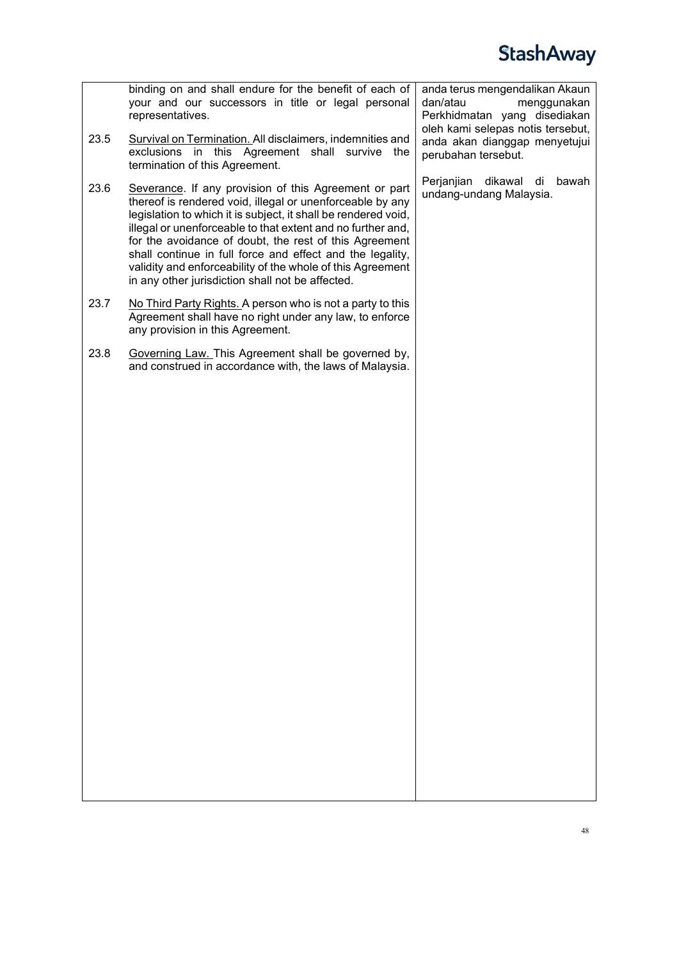|      | binding on and shall endure for the benefit of each of<br>your and our successors in title or legal personal<br>representatives.                                                                                                                                                                                                                                                                                                                                                             | anda terus mengendalikan Akaun<br>dan/atau<br>menggunakan<br>Perkhidmatan yang disediakan<br>oleh kami selepas notis tersebut, |  |
|------|----------------------------------------------------------------------------------------------------------------------------------------------------------------------------------------------------------------------------------------------------------------------------------------------------------------------------------------------------------------------------------------------------------------------------------------------------------------------------------------------|--------------------------------------------------------------------------------------------------------------------------------|--|
| 23.5 | Survival on Termination. All disclaimers, indemnities and<br>exclusions in this Agreement shall survive the<br>termination of this Agreement.                                                                                                                                                                                                                                                                                                                                                | anda akan dianggap menyetujui<br>perubahan tersebut.                                                                           |  |
| 23.6 | Severance. If any provision of this Agreement or part<br>thereof is rendered void, illegal or unenforceable by any<br>legislation to which it is subject, it shall be rendered void,<br>illegal or unenforceable to that extent and no further and,<br>for the avoidance of doubt, the rest of this Agreement<br>shall continue in full force and effect and the legality,<br>validity and enforceability of the whole of this Agreement<br>in any other jurisdiction shall not be affected. | Perjanjian dikawal di<br>bawah<br>undang-undang Malaysia.                                                                      |  |
| 23.7 | No Third Party Rights. A person who is not a party to this<br>Agreement shall have no right under any law, to enforce<br>any provision in this Agreement.                                                                                                                                                                                                                                                                                                                                    |                                                                                                                                |  |
| 23.8 | Governing Law. This Agreement shall be governed by,<br>and construed in accordance with, the laws of Malaysia.                                                                                                                                                                                                                                                                                                                                                                               |                                                                                                                                |  |
|      |                                                                                                                                                                                                                                                                                                                                                                                                                                                                                              |                                                                                                                                |  |
|      |                                                                                                                                                                                                                                                                                                                                                                                                                                                                                              |                                                                                                                                |  |
|      |                                                                                                                                                                                                                                                                                                                                                                                                                                                                                              |                                                                                                                                |  |
|      |                                                                                                                                                                                                                                                                                                                                                                                                                                                                                              |                                                                                                                                |  |
|      |                                                                                                                                                                                                                                                                                                                                                                                                                                                                                              |                                                                                                                                |  |
|      |                                                                                                                                                                                                                                                                                                                                                                                                                                                                                              |                                                                                                                                |  |
|      |                                                                                                                                                                                                                                                                                                                                                                                                                                                                                              |                                                                                                                                |  |
|      |                                                                                                                                                                                                                                                                                                                                                                                                                                                                                              |                                                                                                                                |  |
|      |                                                                                                                                                                                                                                                                                                                                                                                                                                                                                              |                                                                                                                                |  |
|      |                                                                                                                                                                                                                                                                                                                                                                                                                                                                                              |                                                                                                                                |  |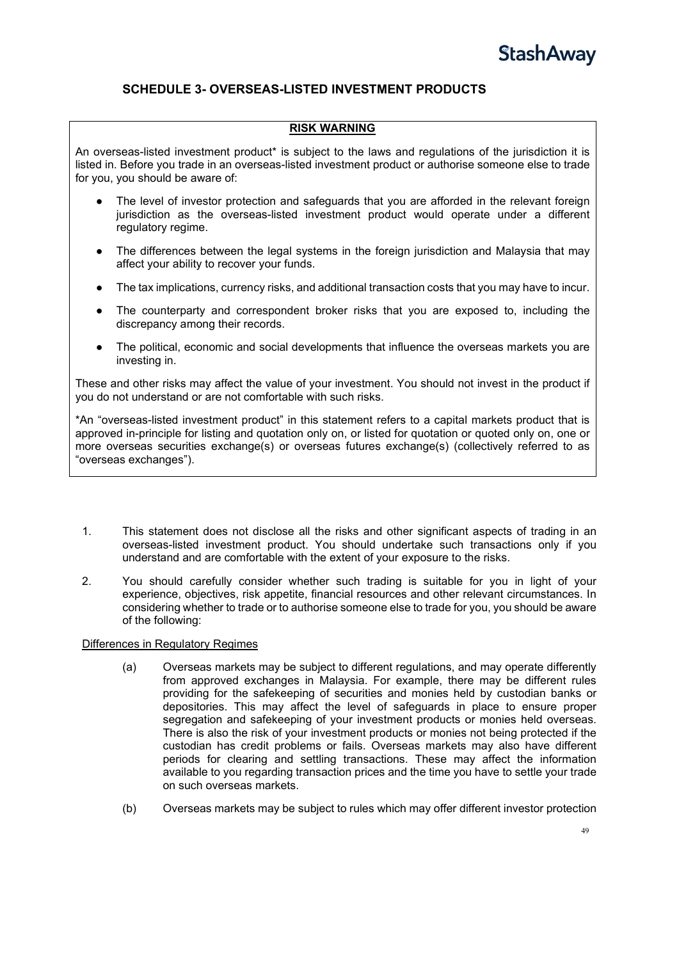### <span id="page-48-0"></span>**SCHEDULE 3- OVERSEAS-LISTED INVESTMENT PRODUCTS**

#### **RISK WARNING**

An overseas-listed investment product\* is subject to the laws and regulations of the jurisdiction it is listed in. Before you trade in an overseas-listed investment product or authorise someone else to trade for you, you should be aware of:

- The level of investor protection and safeguards that you are afforded in the relevant foreign jurisdiction as the overseas-listed investment product would operate under a different regulatory regime.
- The differences between the legal systems in the foreign jurisdiction and Malaysia that may affect your ability to recover your funds.
- The tax implications, currency risks, and additional transaction costs that you may have to incur.
- The counterparty and correspondent broker risks that you are exposed to, including the discrepancy among their records.
- The political, economic and social developments that influence the overseas markets you are investing in.

These and other risks may affect the value of your investment. You should not invest in the product if you do not understand or are not comfortable with such risks.

\*An "overseas-listed investment product" in this statement refers to a capital markets product that is approved in-principle for listing and quotation only on, or listed for quotation or quoted only on, one or more overseas securities exchange(s) or overseas futures exchange(s) (collectively referred to as "overseas exchanges").

- 1. This statement does not disclose all the risks and other significant aspects of trading in an overseas-listed investment product. You should undertake such transactions only if you understand and are comfortable with the extent of your exposure to the risks.
- 2. You should carefully consider whether such trading is suitable for you in light of your experience, objectives, risk appetite, financial resources and other relevant circumstances. In considering whether to trade or to authorise someone else to trade for you, you should be aware of the following:

#### Differences in Regulatory Regimes

- (a) Overseas markets may be subject to different regulations, and may operate differently from approved exchanges in Malaysia. For example, there may be different rules providing for the safekeeping of securities and monies held by custodian banks or depositories. This may affect the level of safeguards in place to ensure proper segregation and safekeeping of your investment products or monies held overseas. There is also the risk of your investment products or monies not being protected if the custodian has credit problems or fails. Overseas markets may also have different periods for clearing and settling transactions. These may affect the information available to you regarding transaction prices and the time you have to settle your trade on such overseas markets.
- (b) Overseas markets may be subject to rules which may offer different investor protection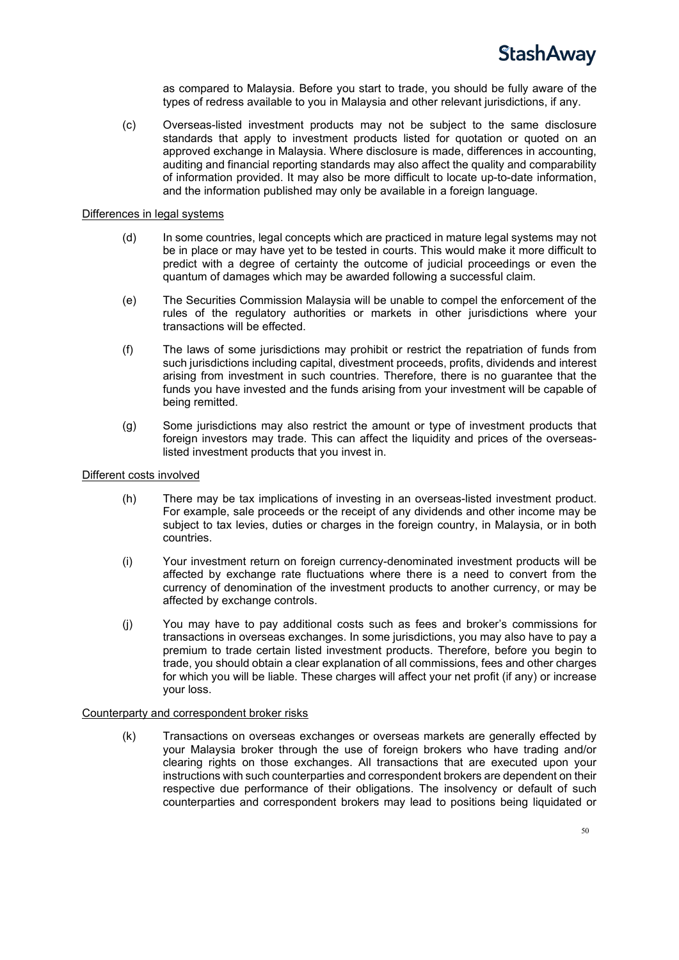as compared to Malaysia. Before you start to trade, you should be fully aware of the types of redress available to you in Malaysia and other relevant jurisdictions, if any.

(c) Overseas-listed investment products may not be subject to the same disclosure standards that apply to investment products listed for quotation or quoted on an approved exchange in Malaysia. Where disclosure is made, differences in accounting, auditing and financial reporting standards may also affect the quality and comparability of information provided. It may also be more difficult to locate up-to-date information, and the information published may only be available in a foreign language.

#### Differences in legal systems

- (d) In some countries, legal concepts which are practiced in mature legal systems may not be in place or may have yet to be tested in courts. This would make it more difficult to predict with a degree of certainty the outcome of judicial proceedings or even the quantum of damages which may be awarded following a successful claim.
- (e) The Securities Commission Malaysia will be unable to compel the enforcement of the rules of the regulatory authorities or markets in other jurisdictions where your transactions will be effected.
- (f) The laws of some jurisdictions may prohibit or restrict the repatriation of funds from such jurisdictions including capital, divestment proceeds, profits, dividends and interest arising from investment in such countries. Therefore, there is no guarantee that the funds you have invested and the funds arising from your investment will be capable of being remitted.
- (g) Some jurisdictions may also restrict the amount or type of investment products that foreign investors may trade. This can affect the liquidity and prices of the overseaslisted investment products that you invest in.

#### Different costs involved

- (h) There may be tax implications of investing in an overseas-listed investment product. For example, sale proceeds or the receipt of any dividends and other income may be subject to tax levies, duties or charges in the foreign country, in Malaysia, or in both countries.
- (i) Your investment return on foreign currency-denominated investment products will be affected by exchange rate fluctuations where there is a need to convert from the currency of denomination of the investment products to another currency, or may be affected by exchange controls.
- (j) You may have to pay additional costs such as fees and broker's commissions for transactions in overseas exchanges. In some jurisdictions, you may also have to pay a premium to trade certain listed investment products. Therefore, before you begin to trade, you should obtain a clear explanation of all commissions, fees and other charges for which you will be liable. These charges will affect your net profit (if any) or increase your loss.

#### Counterparty and correspondent broker risks

(k) Transactions on overseas exchanges or overseas markets are generally effected by your Malaysia broker through the use of foreign brokers who have trading and/or clearing rights on those exchanges. All transactions that are executed upon your instructions with such counterparties and correspondent brokers are dependent on their respective due performance of their obligations. The insolvency or default of such counterparties and correspondent brokers may lead to positions being liquidated or